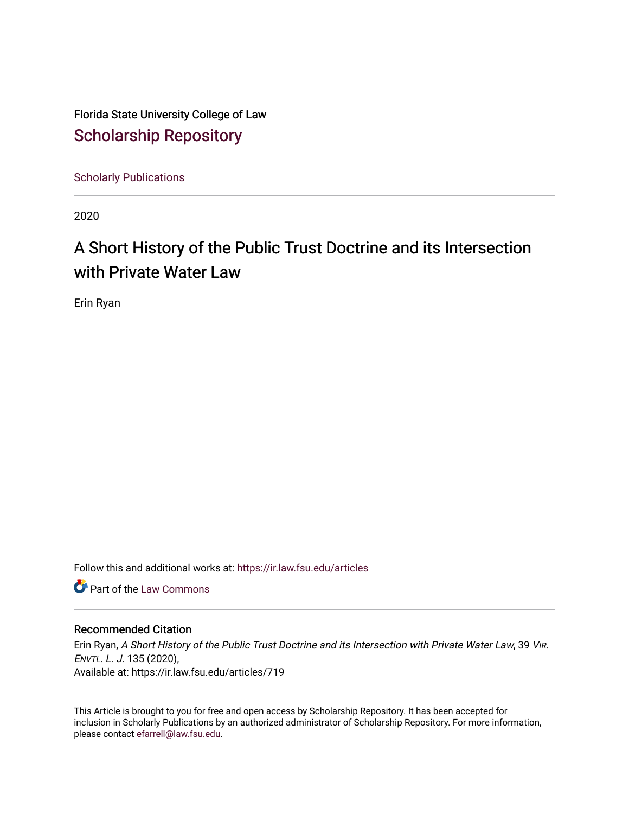Florida State University College of Law [Scholarship Repository](https://ir.law.fsu.edu/) 

[Scholarly Publications](https://ir.law.fsu.edu/articles) 

2020

# A Short History of the Public Trust Doctrine and its Intersection with Private Water Law

Erin Ryan

Follow this and additional works at: [https://ir.law.fsu.edu/articles](https://ir.law.fsu.edu/articles?utm_source=ir.law.fsu.edu%2Farticles%2F719&utm_medium=PDF&utm_campaign=PDFCoverPages) 

**Part of the [Law Commons](https://network.bepress.com/hgg/discipline/578?utm_source=ir.law.fsu.edu%2Farticles%2F719&utm_medium=PDF&utm_campaign=PDFCoverPages)** 

## Recommended Citation

Erin Ryan, A Short History of the Public Trust Doctrine and its Intersection with Private Water Law, 39 VIR. ENVTL. L. J. 135 (2020), Available at: https://ir.law.fsu.edu/articles/719

This Article is brought to you for free and open access by Scholarship Repository. It has been accepted for inclusion in Scholarly Publications by an authorized administrator of Scholarship Repository. For more information, please contact [efarrell@law.fsu.edu.](mailto:efarrell@law.fsu.edu)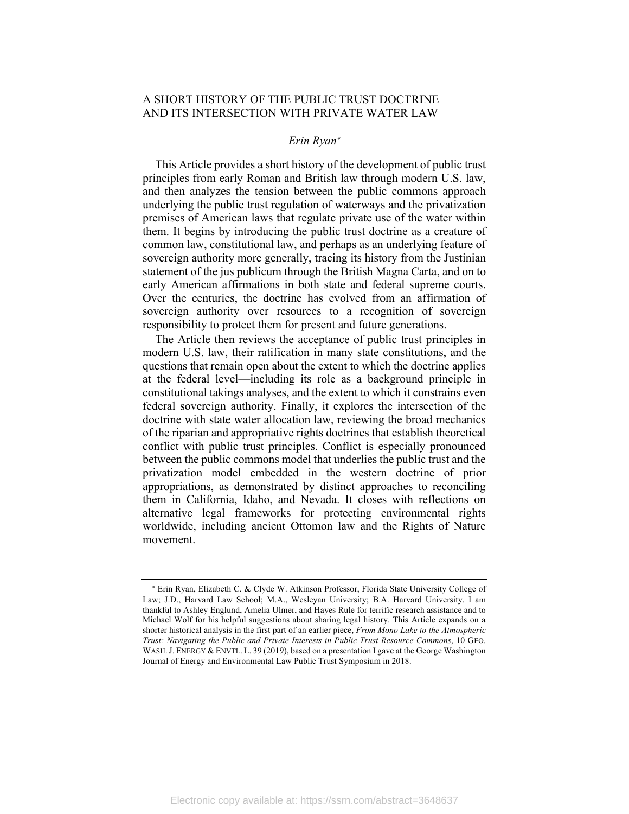## A SHORT HISTORY OF THE PUBLIC TRUST DOCTRINE AND ITS INTERSECTION WITH PRIVATE WATER LAW

#### *Erin Ryan*\*

This Article provides a short history of the development of public trust principles from early Roman and British law through modern U.S. law, and then analyzes the tension between the public commons approach underlying the public trust regulation of waterways and the privatization premises of American laws that regulate private use of the water within them. It begins by introducing the public trust doctrine as a creature of common law, constitutional law, and perhaps as an underlying feature of sovereign authority more generally, tracing its history from the Justinian statement of the jus publicum through the British Magna Carta, and on to early American affirmations in both state and federal supreme courts. Over the centuries, the doctrine has evolved from an affirmation of sovereign authority over resources to a recognition of sovereign responsibility to protect them for present and future generations.

The Article then reviews the acceptance of public trust principles in modern U.S. law, their ratification in many state constitutions, and the questions that remain open about the extent to which the doctrine applies at the federal level—including its role as a background principle in constitutional takings analyses, and the extent to which it constrains even federal sovereign authority. Finally, it explores the intersection of the doctrine with state water allocation law, reviewing the broad mechanics of the riparian and appropriative rights doctrines that establish theoretical conflict with public trust principles. Conflict is especially pronounced between the public commons model that underlies the public trust and the privatization model embedded in the western doctrine of prior appropriations, as demonstrated by distinct approaches to reconciling them in California, Idaho, and Nevada. It closes with reflections on alternative legal frameworks for protecting environmental rights worldwide, including ancient Ottomon law and the Rights of Nature movement.

<sup>\*</sup> Erin Ryan, Elizabeth C. & Clyde W. Atkinson Professor, Florida State University College of Law; J.D., Harvard Law School; M.A., Wesleyan University; B.A. Harvard University. I am thankful to Ashley Englund, Amelia Ulmer, and Hayes Rule for terrific research assistance and to Michael Wolf for his helpful suggestions about sharing legal history. This Article expands on a shorter historical analysis in the first part of an earlier piece, *From Mono Lake to the Atmospheric Trust: Navigating the Public and Private Interests in Public Trust Resource Commons*, 10 GEO. WASH.J. ENERGY & ENVTL. L. 39 (2019), based on a presentation I gave at the George Washington Journal of Energy and Environmental Law Public Trust Symposium in 2018.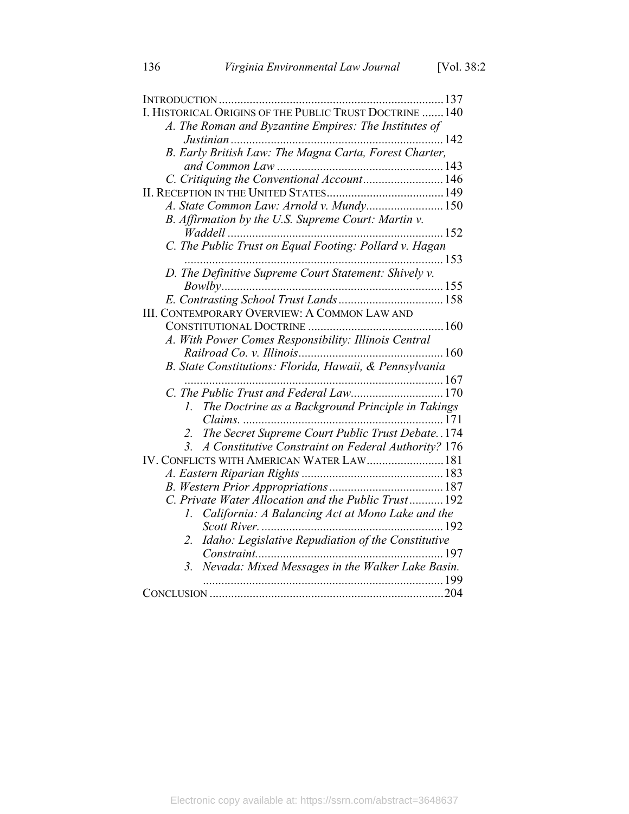| I. HISTORICAL ORIGINS OF THE PUBLIC TRUST DOCTRINE  140              |
|----------------------------------------------------------------------|
| A. The Roman and Byzantine Empires: The Institutes of                |
|                                                                      |
|                                                                      |
|                                                                      |
| C. Critiquing the Conventional Account 146                           |
|                                                                      |
| A. State Common Law: Arnold v. Mundy 150                             |
| B. Affirmation by the U.S. Supreme Court: Martin v.                  |
|                                                                      |
| C. The Public Trust on Equal Footing: Pollard v. Hagan               |
|                                                                      |
| D. The Definitive Supreme Court Statement: Shively v.                |
|                                                                      |
|                                                                      |
| <b>III. CONTEMPORARY OVERVIEW: A COMMON LAW AND</b>                  |
|                                                                      |
| A. With Power Comes Responsibility: Illinois Central                 |
|                                                                      |
| B. State Constitutions: Florida, Hawaii, & Pennsylvania              |
|                                                                      |
|                                                                      |
| The Doctrine as a Background Principle in Takings<br>L               |
|                                                                      |
| The Secret Supreme Court Public Trust Debate174<br>2.                |
| A Constitutive Constraint on Federal Authority? 176<br>$\mathcal{E}$ |
| IV. CONFLICTS WITH AMERICAN WATER LAW 181                            |
|                                                                      |
|                                                                      |
|                                                                      |
| C. Private Water Allocation and the Public Trust 192                 |
| California: A Balancing Act at Mono Lake and the<br>$\mathcal{L}$    |
|                                                                      |
| Idaho: Legislative Repudiation of the Constitutive<br>2.             |
|                                                                      |
| Nevada: Mixed Messages in the Walker Lake Basin.<br>3.               |
|                                                                      |
|                                                                      |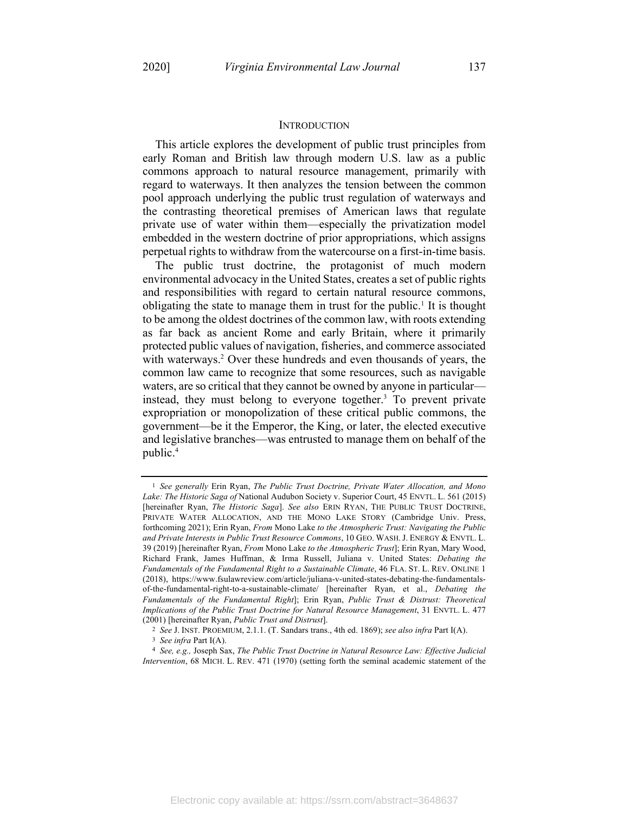#### **INTRODUCTION**

This article explores the development of public trust principles from early Roman and British law through modern U.S. law as a public commons approach to natural resource management, primarily with regard to waterways. It then analyzes the tension between the common pool approach underlying the public trust regulation of waterways and the contrasting theoretical premises of American laws that regulate private use of water within them—especially the privatization model embedded in the western doctrine of prior appropriations, which assigns perpetual rights to withdraw from the watercourse on a first-in-time basis.

The public trust doctrine, the protagonist of much modern environmental advocacy in the United States, creates a set of public rights and responsibilities with regard to certain natural resource commons, obligating the state to manage them in trust for the public. <sup>1</sup> It is thought to be among the oldest doctrines of the common law, with roots extending as far back as ancient Rome and early Britain, where it primarily protected public values of navigation, fisheries, and commerce associated with waterways.<sup>2</sup> Over these hundreds and even thousands of years, the common law came to recognize that some resources, such as navigable waters, are so critical that they cannot be owned by anyone in particular instead, they must belong to everyone together.3 To prevent private expropriation or monopolization of these critical public commons, the government—be it the Emperor, the King, or later, the elected executive and legislative branches—was entrusted to manage them on behalf of the public.4

<sup>1</sup> *See generally* Erin Ryan, *The Public Trust Doctrine, Private Water Allocation, and Mono Lake: The Historic Saga of* National Audubon Society v. Superior Court, 45 ENVTL. L. 561 (2015) [hereinafter Ryan, *The Historic Saga*]. *See also* ERIN RYAN, THE PUBLIC TRUST DOCTRINE, PRIVATE WATER ALLOCATION, AND THE MONO LAKE STORY (Cambridge Univ. Press, forthcoming 2021); Erin Ryan, *From* Mono Lake *to the Atmospheric Trust: Navigating the Public and Private Interests in Public Trust Resource Commons*, 10 GEO. WASH. J. ENERGY & ENVTL. L. 39 (2019) [hereinafter Ryan, *From* Mono Lake *to the Atmospheric Trust*]; Erin Ryan, Mary Wood, Richard Frank, James Huffman, & Irma Russell, Juliana v. United States: *Debating the Fundamentals of the Fundamental Right to a Sustainable Climate*, 46 FLA. ST. L. REV. ONLINE 1 (2018), https://www.fsulawreview.com/article/juliana-v-united-states-debating-the-fundamentalsof-the-fundamental-right-to-a-sustainable-climate/ [hereinafter Ryan, et al., *Debating the Fundamentals of the Fundamental Right*]; Erin Ryan, *Public Trust & Distrust: Theoretical Implications of the Public Trust Doctrine for Natural Resource Management*, 31 ENVTL. L. 477 (2001) [hereinafter Ryan, *Public Trust and Distrust*].

<sup>2</sup> *See* J. INST. PROEMIUM, 2.1.1. (T. Sandars trans., 4th ed. 1869); *see also infra* Part I(A).

<sup>3</sup> *See infra* Part I(A).

<sup>4</sup> *See, e.g.,* Joseph Sax, *The Public Trust Doctrine in Natural Resource Law: Effective Judicial Intervention*, 68 MICH. L. REV. 471 (1970) (setting forth the seminal academic statement of the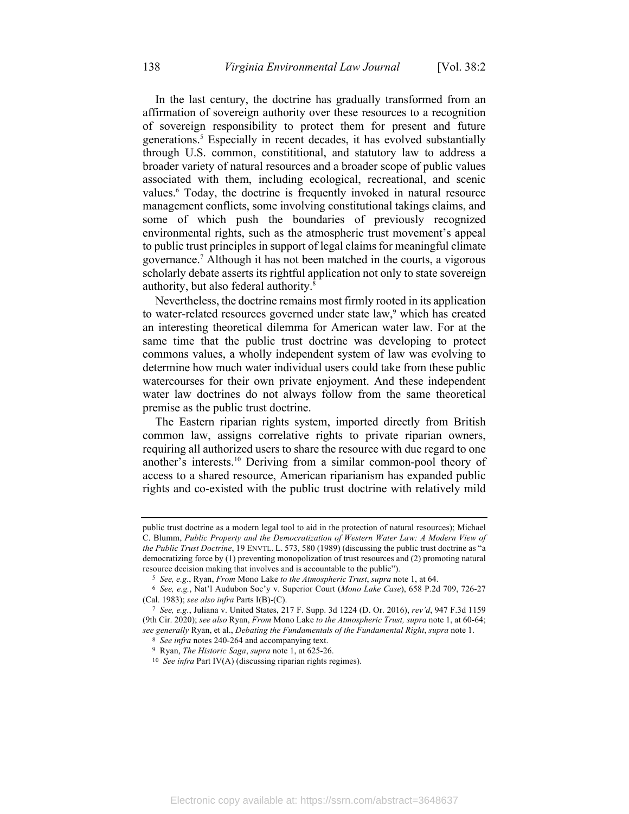In the last century, the doctrine has gradually transformed from an affirmation of sovereign authority over these resources to a recognition of sovereign responsibility to protect them for present and future generations.5 Especially in recent decades, it has evolved substantially through U.S. common, constititional, and statutory law to address a broader variety of natural resources and a broader scope of public values associated with them, including ecological, recreational, and scenic values.6 Today, the doctrine is frequently invoked in natural resource management conflicts, some involving constitutional takings claims, and some of which push the boundaries of previously recognized environmental rights, such as the atmospheric trust movement's appeal to public trust principles in support of legal claims for meaningful climate governance.7 Although it has not been matched in the courts, a vigorous scholarly debate asserts its rightful application not only to state sovereign authority, but also federal authority.8

Nevertheless, the doctrine remains most firmly rooted in its application to water-related resources governed under state law,<sup>9</sup> which has created an interesting theoretical dilemma for American water law. For at the same time that the public trust doctrine was developing to protect commons values, a wholly independent system of law was evolving to determine how much water individual users could take from these public watercourses for their own private enjoyment. And these independent water law doctrines do not always follow from the same theoretical premise as the public trust doctrine.

The Eastern riparian rights system, imported directly from British common law, assigns correlative rights to private riparian owners, requiring all authorized users to share the resource with due regard to one another's interests.10 Deriving from a similar common-pool theory of access to a shared resource, American riparianism has expanded public rights and co-existed with the public trust doctrine with relatively mild

public trust doctrine as a modern legal tool to aid in the protection of natural resources); Michael C. Blumm, *Public Property and the Democratization of Western Water Law: A Modern View of the Public Trust Doctrine*, 19 ENVTL. L. 573, 580 (1989) (discussing the public trust doctrine as "a democratizing force by (1) preventing monopolization of trust resources and (2) promoting natural resource decision making that involves and is accountable to the public").

<sup>5</sup> *See, e.g.*, Ryan, *From* Mono Lake *to the Atmospheric Trust*, *supra* note 1, at 64.

<sup>6</sup> *See, e.g.*, Nat'l Audubon Soc'y v. Superior Court (*Mono Lake Case*), 658 P.2d 709, 726-27 (Cal. 1983); *see also infra* Parts I(B)-(C).

<sup>7</sup> *See, e.g.*, Juliana v. United States, 217 F. Supp. 3d 1224 (D. Or. 2016), *rev'd*, 947 F.3d 1159 (9th Cir. 2020); *see also* Ryan, *From* Mono Lake *to the Atmospheric Trust, supra* note 1, at 60-64; *see generally* Ryan, et al., *Debating the Fundamentals of the Fundamental Right*, *supra* note 1.

<sup>8</sup> *See infra* notes 240-264 and accompanying text.

<sup>9</sup> Ryan, *The Historic Saga*, *supra* note 1, at 625-26.

<sup>10</sup> *See infra* Part IV(A) (discussing riparian rights regimes).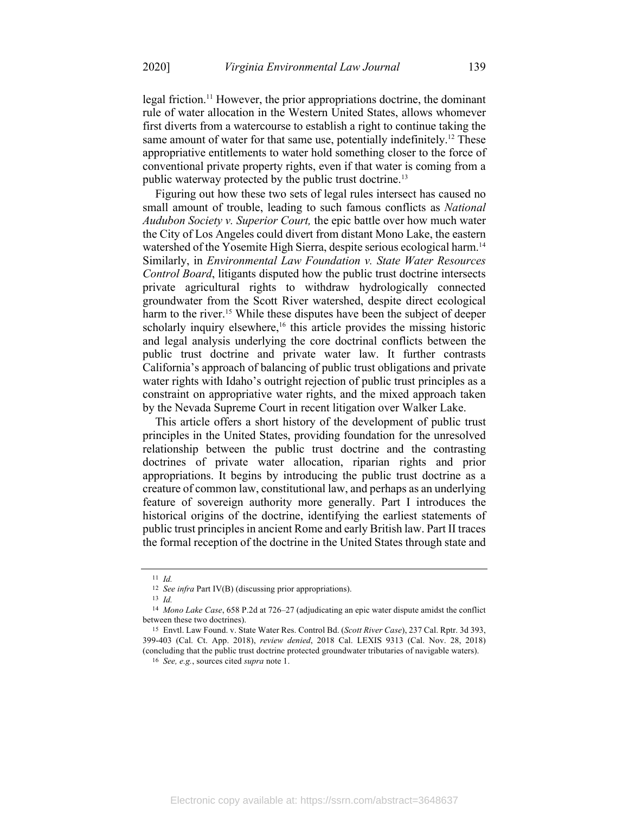legal friction.<sup>11</sup> However, the prior appropriations doctrine, the dominant rule of water allocation in the Western United States, allows whomever first diverts from a watercourse to establish a right to continue taking the same amount of water for that same use, potentially indefinitely.<sup>12</sup> These appropriative entitlements to water hold something closer to the force of conventional private property rights, even if that water is coming from a public waterway protected by the public trust doctrine.<sup>13</sup>

Figuring out how these two sets of legal rules intersect has caused no small amount of trouble, leading to such famous conflicts as *National Audubon Society v. Superior Court,* the epic battle over how much water the City of Los Angeles could divert from distant Mono Lake, the eastern watershed of the Yosemite High Sierra, despite serious ecological harm.<sup>14</sup> Similarly, in *Environmental Law Foundation v. State Water Resources Control Board*, litigants disputed how the public trust doctrine intersects private agricultural rights to withdraw hydrologically connected groundwater from the Scott River watershed, despite direct ecological harm to the river.<sup>15</sup> While these disputes have been the subject of deeper scholarly inquiry elsewhere, $16$  this article provides the missing historic and legal analysis underlying the core doctrinal conflicts between the public trust doctrine and private water law. It further contrasts California's approach of balancing of public trust obligations and private water rights with Idaho's outright rejection of public trust principles as a constraint on appropriative water rights, and the mixed approach taken by the Nevada Supreme Court in recent litigation over Walker Lake.

This article offers a short history of the development of public trust principles in the United States, providing foundation for the unresolved relationship between the public trust doctrine and the contrasting doctrines of private water allocation, riparian rights and prior appropriations. It begins by introducing the public trust doctrine as a creature of common law, constitutional law, and perhaps as an underlying feature of sovereign authority more generally. Part I introduces the historical origins of the doctrine, identifying the earliest statements of public trust principles in ancient Rome and early British law. Part II traces the formal reception of the doctrine in the United States through state and

<sup>11</sup> *Id.*

<sup>12</sup> *See infra* Part IV(B) (discussing prior appropriations).

<sup>13</sup> *Id.*

<sup>14</sup> *Mono Lake Case*, 658 P.2d at 726–27 (adjudicating an epic water dispute amidst the conflict between these two doctrines).

<sup>15</sup> Envtl. Law Found. v. State Water Res. Control Bd. (*Scott River Case*), 237 Cal. Rptr. 3d 393, 399-403 (Cal. Ct. App. 2018), *review denied*, 2018 Cal. LEXIS 9313 (Cal. Nov. 28, 2018) (concluding that the public trust doctrine protected groundwater tributaries of navigable waters).

<sup>16</sup> *See, e.g.*, sources cited *supra* note 1.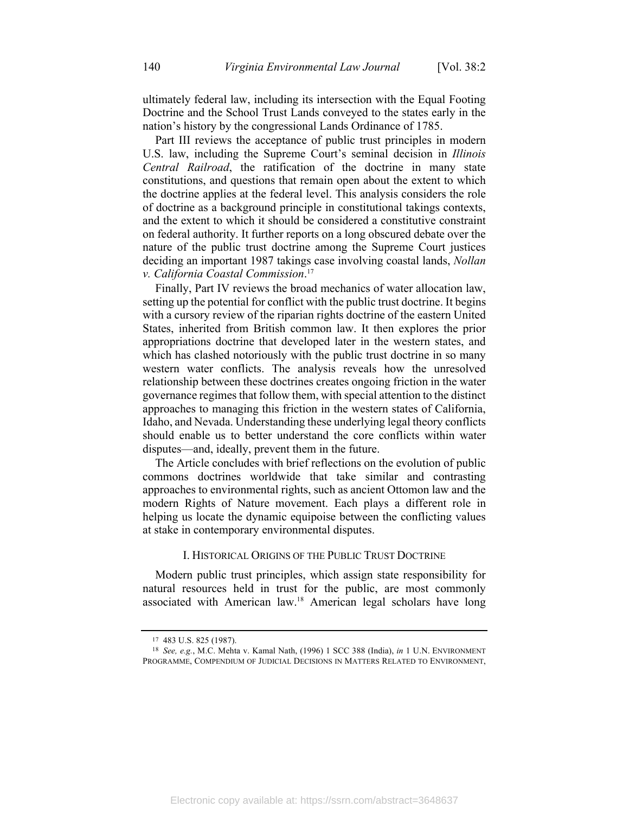ultimately federal law, including its intersection with the Equal Footing Doctrine and the School Trust Lands conveyed to the states early in the nation's history by the congressional Lands Ordinance of 1785.

Part III reviews the acceptance of public trust principles in modern U.S. law, including the Supreme Court's seminal decision in *Illinois Central Railroad*, the ratification of the doctrine in many state constitutions, and questions that remain open about the extent to which the doctrine applies at the federal level. This analysis considers the role of doctrine as a background principle in constitutional takings contexts, and the extent to which it should be considered a constitutive constraint on federal authority. It further reports on a long obscured debate over the nature of the public trust doctrine among the Supreme Court justices deciding an important 1987 takings case involving coastal lands, *Nollan v. California Coastal Commission*. 17

Finally, Part IV reviews the broad mechanics of water allocation law, setting up the potential for conflict with the public trust doctrine. It begins with a cursory review of the riparian rights doctrine of the eastern United States, inherited from British common law. It then explores the prior appropriations doctrine that developed later in the western states, and which has clashed notoriously with the public trust doctrine in so many western water conflicts. The analysis reveals how the unresolved relationship between these doctrines creates ongoing friction in the water governance regimes that follow them, with special attention to the distinct approaches to managing this friction in the western states of California, Idaho, and Nevada. Understanding these underlying legal theory conflicts should enable us to better understand the core conflicts within water disputes—and, ideally, prevent them in the future.

The Article concludes with brief reflections on the evolution of public commons doctrines worldwide that take similar and contrasting approaches to environmental rights, such as ancient Ottomon law and the modern Rights of Nature movement. Each plays a different role in helping us locate the dynamic equipoise between the conflicting values at stake in contemporary environmental disputes.

#### I. HISTORICAL ORIGINS OF THE PUBLIC TRUST DOCTRINE

Modern public trust principles, which assign state responsibility for natural resources held in trust for the public, are most commonly associated with American law.18 American legal scholars have long

<sup>17</sup> 483 U.S. 825 (1987).

<sup>18</sup> *See, e.g.*, M.C. Mehta v. Kamal Nath, (1996) 1 SCC 388 (India), *in* 1 U.N. ENVIRONMENT PROGRAMME, COMPENDIUM OF JUDICIAL DECISIONS IN MATTERS RELATED TO ENVIRONMENT,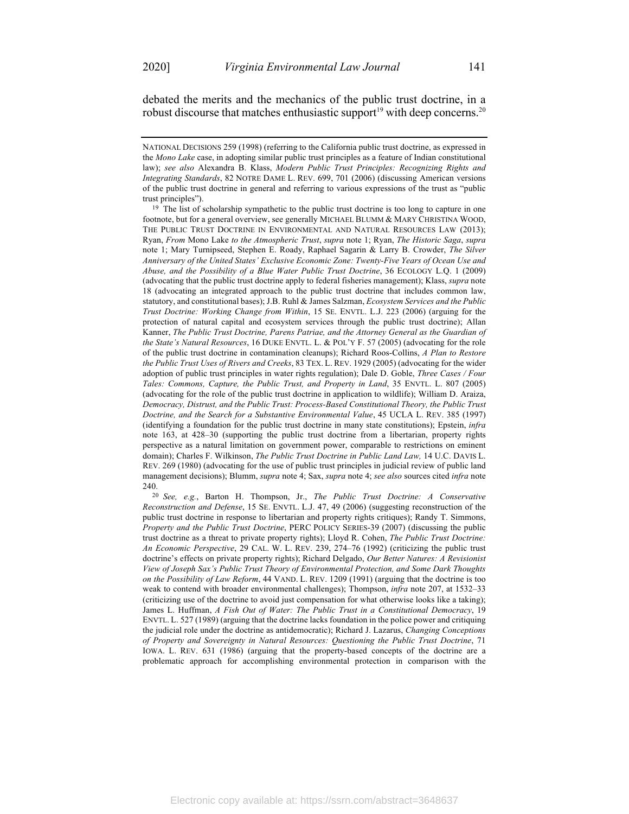debated the merits and the mechanics of the public trust doctrine, in a robust discourse that matches enthusiastic support<sup>19</sup> with deep concerns.<sup>20</sup>

<sup>19</sup> The list of scholarship sympathetic to the public trust doctrine is too long to capture in one footnote, but for a general overview, see generally MICHAEL BLUMM & MARY CHRISTINA WOOD, THE PUBLIC TRUST DOCTRINE IN ENVIRONMENTAL AND NATURAL RESOURCES LAW (2013); Ryan, *From* Mono Lake *to the Atmospheric Trust*, *supra* note 1; Ryan, *The Historic Saga*, *supra*  note 1; Mary Turnipseed, Stephen E. Roady, Raphael Sagarin & Larry B. Crowder, *The Silver Anniversary of the United States' Exclusive Economic Zone: Twenty-Five Years of Ocean Use and Abuse, and the Possibility of a Blue Water Public Trust Doctrine*, 36 ECOLOGY L.Q. 1 (2009) (advocating that the public trust doctrine apply to federal fisheries management); Klass, *supra* note 18 (advocating an integrated approach to the public trust doctrine that includes common law, statutory, and constitutional bases); J.B. Ruhl & James Salzman, *Ecosystem Services and the Public Trust Doctrine: Working Change from Within*, 15 SE. ENVTL. L.J. 223 (2006) (arguing for the protection of natural capital and ecosystem services through the public trust doctrine); Allan Kanner, *The Public Trust Doctrine, Parens Patriae, and the Attorney General as the Guardian of the State's Natural Resources*, 16 DUKE ENVTL. L. & POL'Y F. 57 (2005) (advocating for the role of the public trust doctrine in contamination cleanups); Richard Roos-Collins, *A Plan to Restore the Public Trust Uses of Rivers and Creeks*, 83 TEX. L. REV. 1929 (2005) (advocating for the wider adoption of public trust principles in water rights regulation); Dale D. Goble, *Three Cases / Four Tales: Commons, Capture, the Public Trust, and Property in Land*, 35 ENVTL. L. 807 (2005) (advocating for the role of the public trust doctrine in application to wildlife); William D. Araiza, *Democracy, Distrust, and the Public Trust: Process-Based Constitutional Theory, the Public Trust Doctrine, and the Search for a Substantive Environmental Value*, 45 UCLA L. REV. 385 (1997) (identifying a foundation for the public trust doctrine in many state constitutions); Epstein, *infra* note 163, at 428–30 (supporting the public trust doctrine from a libertarian, property rights perspective as a natural limitation on government power, comparable to restrictions on eminent domain); Charles F. Wilkinson, *The Public Trust Doctrine in Public Land Law,* 14 U.C. DAVIS L. REV. 269 (1980) (advocating for the use of public trust principles in judicial review of public land management decisions); Blumm, *supra* note 4; Sax, *supra* note 4; *see also* sources cited *infra* note 240.

20 *See, e.g.*, Barton H. Thompson, Jr., *The Public Trust Doctrine: A Conservative Reconstruction and Defense*, 15 SE. ENVTL. L.J. 47, 49 (2006) (suggesting reconstruction of the public trust doctrine in response to libertarian and property rights critiques); Randy T. Simmons, *Property and the Public Trust Doctrine*, PERC POLICY SERIES-39 (2007) (discussing the public trust doctrine as a threat to private property rights); Lloyd R. Cohen, *The Public Trust Doctrine: An Economic Perspective*, 29 CAL. W. L. REV. 239, 274–76 (1992) (criticizing the public trust doctrine's effects on private property rights); Richard Delgado, *Our Better Natures: A Revisionist View of Joseph Sax's Public Trust Theory of Environmental Protection, and Some Dark Thoughts on the Possibility of Law Reform*, 44 VAND. L. REV. 1209 (1991) (arguing that the doctrine is too weak to contend with broader environmental challenges); Thompson, *infra* note 207, at 1532–33 (criticizing use of the doctrine to avoid just compensation for what otherwise looks like a taking); James L. Huffman, *A Fish Out of Water: The Public Trust in a Constitutional Democracy*, 19 ENVTL. L. 527 (1989) (arguing that the doctrine lacks foundation in the police power and critiquing the judicial role under the doctrine as antidemocratic); Richard J. Lazarus, *Changing Conceptions of Property and Sovereignty in Natural Resources: Questioning the Public Trust Doctrine*, 71 IOWA. L. REV. 631 (1986) (arguing that the property-based concepts of the doctrine are a problematic approach for accomplishing environmental protection in comparison with the

NATIONAL DECISIONS 259 (1998) (referring to the California public trust doctrine, as expressed in the *Mono Lake* case, in adopting similar public trust principles as a feature of Indian constitutional law); *see also* Alexandra B. Klass, *Modern Public Trust Principles: Recognizing Rights and Integrating Standards*, 82 NOTRE DAME L. REV. 699, 701 (2006) (discussing American versions of the public trust doctrine in general and referring to various expressions of the trust as "public trust principles").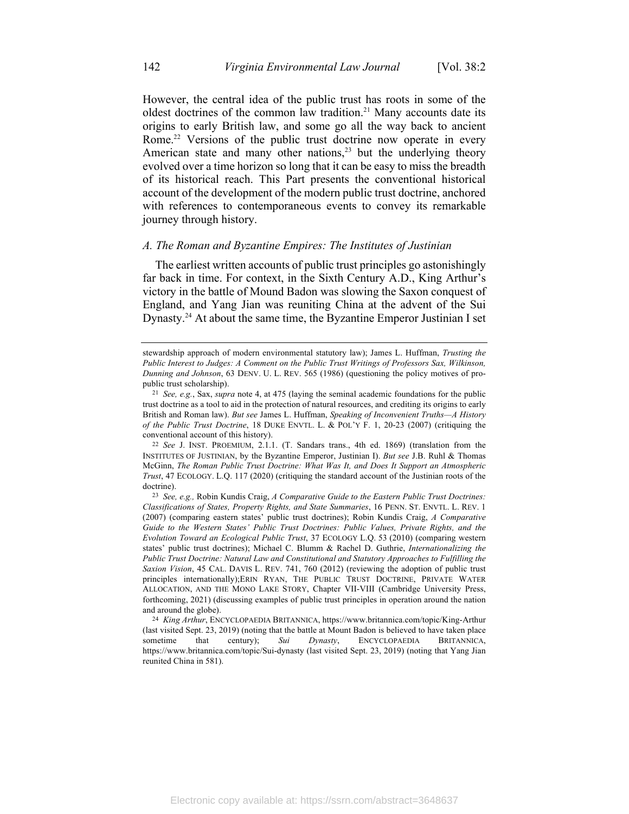However, the central idea of the public trust has roots in some of the oldest doctrines of the common law tradition.<sup>21</sup> Many accounts date its origins to early British law, and some go all the way back to ancient Rome.<sup>22</sup> Versions of the public trust doctrine now operate in every American state and many other nations,<sup>23</sup> but the underlying theory evolved over a time horizon so long that it can be easy to miss the breadth of its historical reach. This Part presents the conventional historical account of the development of the modern public trust doctrine, anchored with references to contemporaneous events to convey its remarkable journey through history.

#### *A. The Roman and Byzantine Empires: The Institutes of Justinian*

The earliest written accounts of public trust principles go astonishingly far back in time. For context, in the Sixth Century A.D., King Arthur's victory in the battle of Mound Badon was slowing the Saxon conquest of England, and Yang Jian was reuniting China at the advent of the Sui Dynasty.24 At about the same time, the Byzantine Emperor Justinian I set

22 *See* J. INST. PROEMIUM, 2.1.1. (T. Sandars trans., 4th ed. 1869) (translation from the INSTITUTES OF JUSTINIAN, by the Byzantine Emperor, Justinian I). *But see* J.B. Ruhl & Thomas McGinn, *The Roman Public Trust Doctrine: What Was It, and Does It Support an Atmospheric Trust*, 47 ECOLOGY. L.Q. 117 (2020) (critiquing the standard account of the Justinian roots of the doctrine).

stewardship approach of modern environmental statutory law); James L. Huffman, *Trusting the Public Interest to Judges: A Comment on the Public Trust Writings of Professors Sax, Wilkinson, Dunning and Johnson*, 63 DENV. U. L. REV. 565 (1986) (questioning the policy motives of propublic trust scholarship).

<sup>21</sup> *See, e.g.*, Sax, *supra* note 4, at 475 (laying the seminal academic foundations for the public trust doctrine as a tool to aid in the protection of natural resources, and crediting its origins to early British and Roman law). *But see* James L. Huffman, *Speaking of Inconvenient Truths—A History of the Public Trust Doctrine*, 18 DUKE ENVTL. L. & POL'Y F. 1, 20-23 (2007) (critiquing the conventional account of this history).

<sup>23</sup> *See, e.g.,* Robin Kundis Craig, *A Comparative Guide to the Eastern Public Trust Doctrines: Classifications of States, Property Rights, and State Summaries*, 16 PENN. ST. ENVTL. L. REV. 1 (2007) (comparing eastern states' public trust doctrines); Robin Kundis Craig, *A Comparative Guide to the Western States' Public Trust Doctrines: Public Values, Private Rights, and the Evolution Toward an Ecological Public Trust*, 37 ECOLOGY L.Q. 53 (2010) (comparing western states' public trust doctrines); Michael C. Blumm & Rachel D. Guthrie, *Internationalizing the Public Trust Doctrine: Natural Law and Constitutional and Statutory Approaches to Fulfilling the Saxion Vision*, 45 CAL. DAVIS L. REV. 741, 760 (2012) (reviewing the adoption of public trust principles internationally);ERIN RYAN, THE PUBLIC TRUST DOCTRINE, PRIVATE WATER ALLOCATION, AND THE MONO LAKE STORY, Chapter VII-VIII (Cambridge University Press, forthcoming, 2021) (discussing examples of public trust principles in operation around the nation and around the globe).

<sup>24</sup> *King Arthur*, ENCYCLOPAEDIA BRITANNICA, https://www.britannica.com/topic/King-Arthur (last visited Sept. 23, 2019) (noting that the battle at Mount Badon is believed to have taken place sometime that century); *Sui Dynasty*, ENCYCLOPAEDIA BRITANNICA, https://www.britannica.com/topic/Sui-dynasty (last visited Sept. 23, 2019) (noting that Yang Jian reunited China in 581).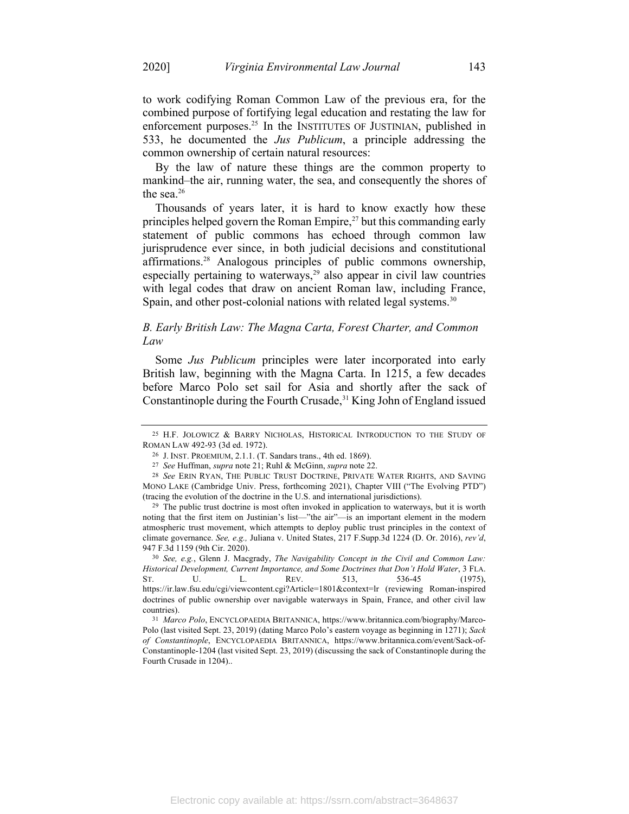to work codifying Roman Common Law of the previous era, for the combined purpose of fortifying legal education and restating the law for enforcement purposes.<sup>25</sup> In the INSTITUTES OF JUSTINIAN, published in 533, he documented the *Jus Publicum*, a principle addressing the common ownership of certain natural resources:

By the law of nature these things are the common property to mankind–the air, running water, the sea, and consequently the shores of the sea. $26$ 

Thousands of years later, it is hard to know exactly how these principles helped govern the Roman Empire, $^{27}$  but this commanding early statement of public commons has echoed through common law jurisprudence ever since, in both judicial decisions and constitutional affirmations.28 Analogous principles of public commons ownership, especially pertaining to waterways, $29$  also appear in civil law countries with legal codes that draw on ancient Roman law, including France, Spain, and other post-colonial nations with related legal systems.<sup>30</sup>

## *B. Early British Law: The Magna Carta, Forest Charter, and Common Law*

Some *Jus Publicum* principles were later incorporated into early British law, beginning with the Magna Carta. In 1215, a few decades before Marco Polo set sail for Asia and shortly after the sack of Constantinople during the Fourth Crusade,  $31$  King John of England issued

<sup>25</sup> H.F. JOLOWICZ & BARRY NICHOLAS, HISTORICAL INTRODUCTION TO THE STUDY OF ROMAN LAW 492-93 (3d ed. 1972).

<sup>26</sup> J. INST. PROEMIUM, 2.1.1. (T. Sandars trans., 4th ed. 1869).

<sup>27</sup> *See* Huffman, *supra* note 21; Ruhl & McGinn, *supra* note 22.

<sup>28</sup> *See* ERIN RYAN, THE PUBLIC TRUST DOCTRINE, PRIVATE WATER RIGHTS, AND SAVING MONO LAKE (Cambridge Univ. Press, forthcoming 2021), Chapter VIII ("The Evolving PTD") (tracing the evolution of the doctrine in the U.S. and international jurisdictions).

<sup>&</sup>lt;sup>29</sup> The public trust doctrine is most often invoked in application to waterways, but it is worth noting that the first item on Justinian's list—"the air"—is an important element in the modern atmospheric trust movement, which attempts to deploy public trust principles in the context of climate governance. *See, e.g.,* Juliana v. United States, 217 F.Supp.3d 1224 (D. Or. 2016), *rev'd*, 947 F.3d 1159 (9th Cir. 2020).

<sup>30</sup> *See, e.g.*, Glenn J. Macgrady, *The Navigability Concept in the Civil and Common Law: Historical Development, Current Importance, and Some Doctrines that Don't Hold Water*, 3 FLA. ST. U. L. REV. 513, 536-45 (1975), https://ir.law.fsu.edu/cgi/viewcontent.cgi?Article=1801&context=lr (reviewing Roman-inspired doctrines of public ownership over navigable waterways in Spain, France, and other civil law countries).

<sup>31</sup> *Marco Polo*, ENCYCLOPAEDIA BRITANNICA, https://www.britannica.com/biography/Marco-Polo (last visited Sept. 23, 2019) (dating Marco Polo's eastern voyage as beginning in 1271); *Sack of Constantinople*, ENCYCLOPAEDIA BRITANNICA, https://www.britannica.com/event/Sack-of-Constantinople-1204 (last visited Sept. 23, 2019) (discussing the sack of Constantinople during the Fourth Crusade in 1204)..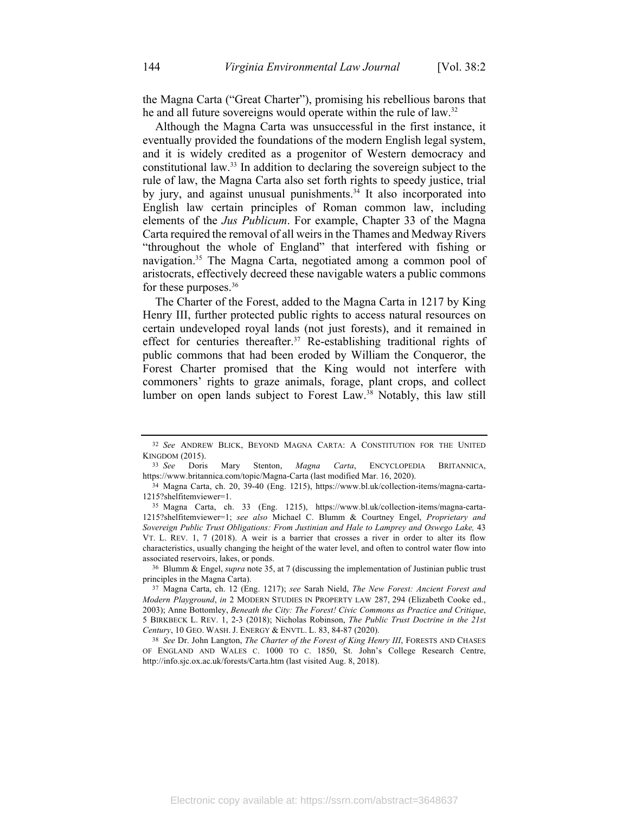the Magna Carta ("Great Charter"), promising his rebellious barons that he and all future sovereigns would operate within the rule of law.<sup>32</sup>

Although the Magna Carta was unsuccessful in the first instance, it eventually provided the foundations of the modern English legal system, and it is widely credited as a progenitor of Western democracy and constitutional law.33 In addition to declaring the sovereign subject to the rule of law, the Magna Carta also set forth rights to speedy justice, trial by jury, and against unusual punishments.<sup>34</sup> It also incorporated into English law certain principles of Roman common law, including elements of the *Jus Publicum*. For example, Chapter 33 of the Magna Carta required the removal of all weirs in the Thames and Medway Rivers "throughout the whole of England" that interfered with fishing or navigation.35 The Magna Carta, negotiated among a common pool of aristocrats, effectively decreed these navigable waters a public commons for these purposes.<sup>36</sup>

The Charter of the Forest, added to the Magna Carta in 1217 by King Henry III, further protected public rights to access natural resources on certain undeveloped royal lands (not just forests), and it remained in effect for centuries thereafter.<sup>37</sup> Re-establishing traditional rights of public commons that had been eroded by William the Conqueror, the Forest Charter promised that the King would not interfere with commoners' rights to graze animals, forage, plant crops, and collect lumber on open lands subject to Forest Law.38 Notably, this law still

36 Blumm & Engel, *supra* note 35, at 7 (discussing the implementation of Justinian public trust principles in the Magna Carta).

38 *See* Dr. John Langton, *The Charter of the Forest of King Henry III*, FORESTS AND CHASES OF ENGLAND AND WALES C. 1000 TO C. 1850, St. John's College Research Centre, http://info.sjc.ox.ac.uk/forests/Carta.htm (last visited Aug. 8, 2018).

<sup>32</sup> *See* ANDREW BLICK, BEYOND MAGNA CARTA: A CONSTITUTION FOR THE UNITED KINGDOM (2015).

<sup>33</sup> *See* Doris Mary Stenton, *Magna Carta*, ENCYCLOPEDIA BRITANNICA, https://www.britannica.com/topic/Magna-Carta (last modified Mar. 16, 2020).

<sup>34</sup> Magna Carta, ch. 20, 39-40 (Eng. 1215), https://www.bl.uk/collection-items/magna-carta-1215?shelfitemviewer=1.

<sup>35</sup> Magna Carta, ch. 33 (Eng. 1215), https://www.bl.uk/collection-items/magna-carta-1215?shelfitemviewer=1; *see also* Michael C. Blumm & Courtney Engel, *Proprietary and Sovereign Public Trust Obligations: From Justinian and Hale to Lamprey and Oswego Lake,* 43 VT. L. REV. 1, 7 (2018). A weir is a barrier that crosses a river in order to alter its flow characteristics, usually changing the height of the water level, and often to control water flow into associated reservoirs, lakes, or ponds.

<sup>37</sup> Magna Carta, ch. 12 (Eng. 1217); *see* Sarah Nield, *The New Forest: Ancient Forest and Modern Playground*, *in* 2 MODERN STUDIES IN PROPERTY LAW 287, 294 (Elizabeth Cooke ed., 2003); Anne Bottomley, *Beneath the City: The Forest! Civic Commons as Practice and Critique*, 5 BIRKBECK L. REV. 1, 2-3 (2018); Nicholas Robinson, *The Public Trust Doctrine in the 21st Century*, 10 GEO. WASH. J. ENERGY & ENVTL. L. 83, 84-87 (2020).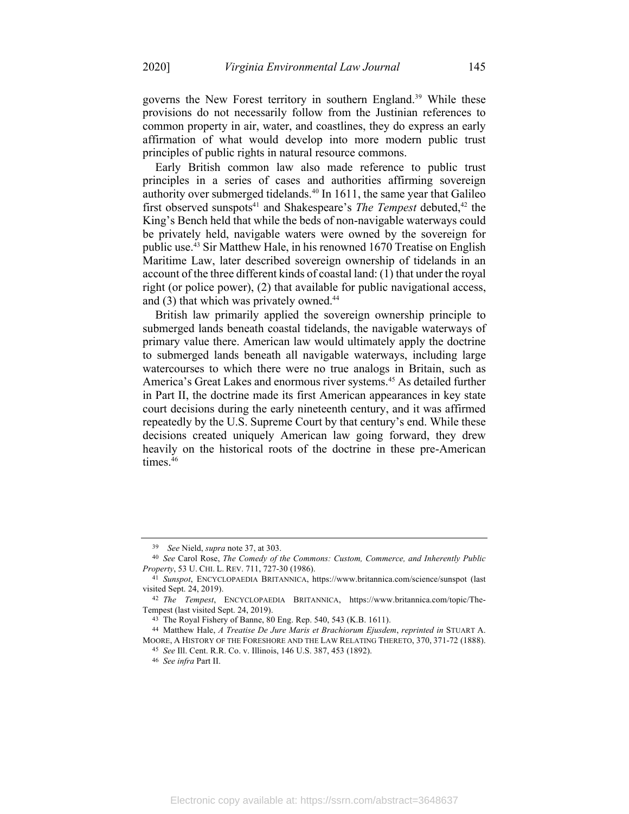governs the New Forest territory in southern England.<sup>39</sup> While these provisions do not necessarily follow from the Justinian references to common property in air, water, and coastlines, they do express an early affirmation of what would develop into more modern public trust principles of public rights in natural resource commons.

Early British common law also made reference to public trust principles in a series of cases and authorities affirming sovereign authority over submerged tidelands.<sup>40</sup> In 1611, the same year that Galileo first observed sunspots<sup>41</sup> and Shakespeare's *The Tempest* debuted,<sup>42</sup> the King's Bench held that while the beds of non-navigable waterways could be privately held, navigable waters were owned by the sovereign for public use.43 Sir Matthew Hale, in his renowned 1670 Treatise on English Maritime Law, later described sovereign ownership of tidelands in an account of the three different kinds of coastal land: (1) that under the royal right (or police power), (2) that available for public navigational access, and  $(3)$  that which was privately owned.<sup>44</sup>

British law primarily applied the sovereign ownership principle to submerged lands beneath coastal tidelands, the navigable waterways of primary value there. American law would ultimately apply the doctrine to submerged lands beneath all navigable waterways, including large watercourses to which there were no true analogs in Britain, such as America's Great Lakes and enormous river systems.45 As detailed further in Part II, the doctrine made its first American appearances in key state court decisions during the early nineteenth century, and it was affirmed repeatedly by the U.S. Supreme Court by that century's end. While these decisions created uniquely American law going forward, they drew heavily on the historical roots of the doctrine in these pre-American times.46

<sup>39</sup> *See* Nield, *supra* note 37, at 303.

<sup>40</sup> *See* Carol Rose, *The Comedy of the Commons: Custom, Commerce, and Inherently Public Property*, 53 U. CHI. L. REV. 711, 727-30 (1986).

<sup>41</sup> *Sunspot*, ENCYCLOPAEDIA BRITANNICA, https://www.britannica.com/science/sunspot (last visited Sept. 24, 2019).

<sup>42</sup> *The Tempest*, ENCYCLOPAEDIA BRITANNICA, https://www.britannica.com/topic/The-Tempest (last visited Sept. 24, 2019).

<sup>43</sup> The Royal Fishery of Banne, 80 Eng. Rep. 540, 543 (K.B. 1611).

<sup>44</sup> Matthew Hale, *A Treatise De Jure Maris et Brachiorum Ejusdem*, *reprinted in* STUART A. MOORE, A HISTORY OF THE FORESHORE AND THE LAW RELATING THERETO, 370, 371-72 (1888).

<sup>45</sup> *See* Ill. Cent. R.R. Co. v. Illinois, 146 U.S. 387, 453 (1892).

<sup>46</sup> *See infra* Part II.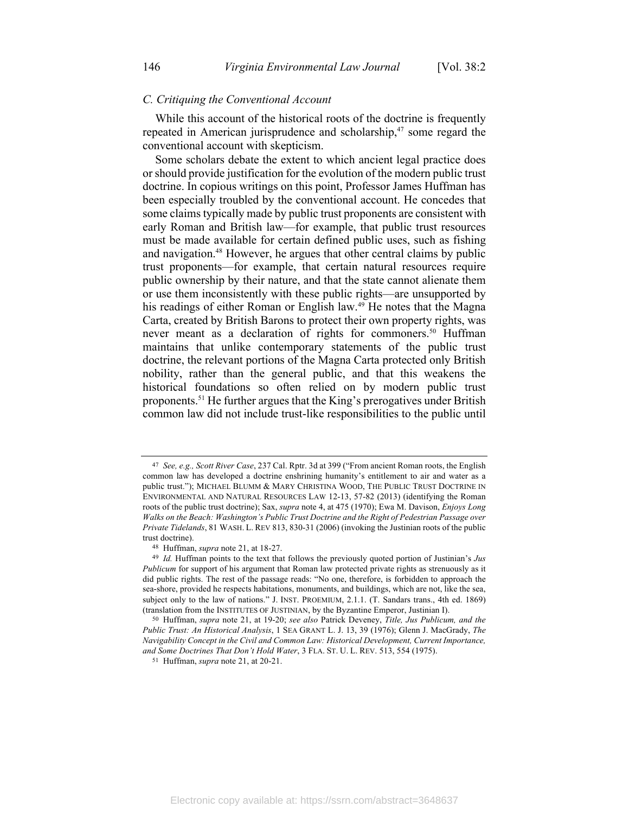#### *C. Critiquing the Conventional Account*

While this account of the historical roots of the doctrine is frequently repeated in American jurisprudence and scholarship, $47$  some regard the conventional account with skepticism.

Some scholars debate the extent to which ancient legal practice does or should provide justification for the evolution of the modern public trust doctrine. In copious writings on this point, Professor James Huffman has been especially troubled by the conventional account. He concedes that some claims typically made by public trust proponents are consistent with early Roman and British law—for example, that public trust resources must be made available for certain defined public uses, such as fishing and navigation.<sup>48</sup> However, he argues that other central claims by public trust proponents—for example, that certain natural resources require public ownership by their nature, and that the state cannot alienate them or use them inconsistently with these public rights—are unsupported by his readings of either Roman or English law.<sup>49</sup> He notes that the Magna Carta, created by British Barons to protect their own property rights, was never meant as a declaration of rights for commoners.<sup>50</sup> Huffman maintains that unlike contemporary statements of the public trust doctrine, the relevant portions of the Magna Carta protected only British nobility, rather than the general public, and that this weakens the historical foundations so often relied on by modern public trust proponents.51 He further argues that the King's prerogatives under British common law did not include trust-like responsibilities to the public until

<sup>47</sup> *See, e.g., Scott River Case*, 237 Cal. Rptr. 3d at 399 ("From ancient Roman roots, the English common law has developed a doctrine enshrining humanity's entitlement to air and water as a public trust."); MICHAEL BLUMM & MARY CHRISTINA WOOD, THE PUBLIC TRUST DOCTRINE IN ENVIRONMENTAL AND NATURAL RESOURCES LAW 12-13, 57-82 (2013) (identifying the Roman roots of the public trust doctrine); Sax, *supra* note 4, at 475 (1970); Ewa M. Davison, *Enjoys Long Walks on the Beach: Washington's Public Trust Doctrine and the Right of Pedestrian Passage over Private Tidelands*, 81 WASH. L. REV 813, 830-31 (2006) (invoking the Justinian roots of the public trust doctrine).

<sup>48</sup> Huffman, *supra* note 21, at 18-27.

<sup>49</sup> *Id.* Huffman points to the text that follows the previously quoted portion of Justinian's *Jus Publicum* for support of his argument that Roman law protected private rights as strenuously as it did public rights. The rest of the passage reads: "No one, therefore, is forbidden to approach the sea-shore, provided he respects habitations, monuments, and buildings, which are not, like the sea, subject only to the law of nations." J. INST. PROEMIUM, 2.1.1. (T. Sandars trans., 4th ed. 1869) (translation from the INSTITUTES OF JUSTINIAN, by the Byzantine Emperor, Justinian I).

<sup>50</sup> Huffman, *supra* note 21, at 19-20; *see also* Patrick Deveney, *Title, Jus Publicum, and the Public Trust: An Historical Analysis*, 1 SEA GRANT L. J. 13, 39 (1976); Glenn J. MacGrady, *The Navigability Concept in the Civil and Common Law: Historical Development, Current Importance, and Some Doctrines That Don't Hold Water*, 3 FLA. ST. U. L. REV. 513, 554 (1975).

<sup>51</sup> Huffman, *supra* note 21, at 20-21.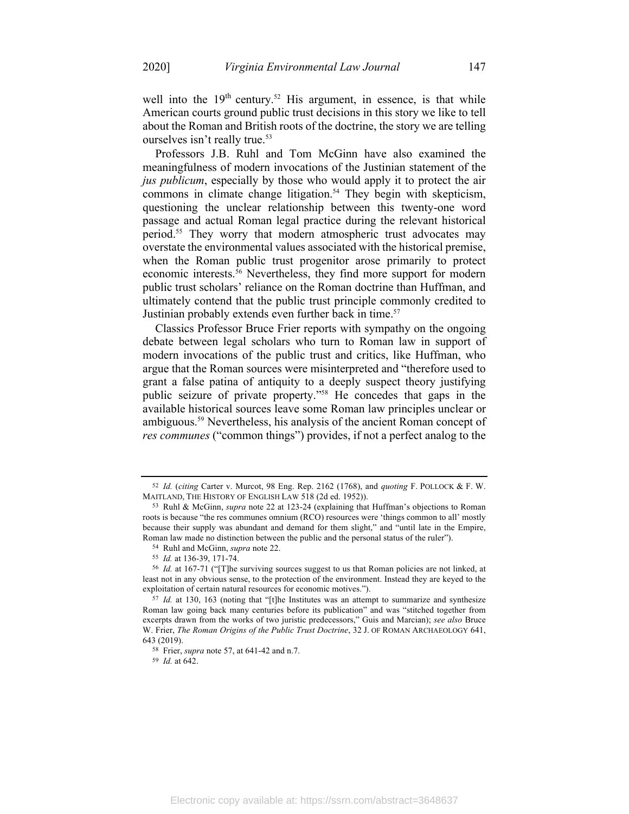well into the  $19<sup>th</sup>$  century.<sup>52</sup> His argument, in essence, is that while American courts ground public trust decisions in this story we like to tell about the Roman and British roots of the doctrine, the story we are telling ourselves isn't really true.<sup>53</sup>

Professors J.B. Ruhl and Tom McGinn have also examined the meaningfulness of modern invocations of the Justinian statement of the *jus publicum*, especially by those who would apply it to protect the air commons in climate change litigation.<sup>54</sup> They begin with skepticism, questioning the unclear relationship between this twenty-one word passage and actual Roman legal practice during the relevant historical period.55 They worry that modern atmospheric trust advocates may overstate the environmental values associated with the historical premise, when the Roman public trust progenitor arose primarily to protect economic interests.<sup>56</sup> Nevertheless, they find more support for modern public trust scholars' reliance on the Roman doctrine than Huffman, and ultimately contend that the public trust principle commonly credited to Justinian probably extends even further back in time.<sup>57</sup>

Classics Professor Bruce Frier reports with sympathy on the ongoing debate between legal scholars who turn to Roman law in support of modern invocations of the public trust and critics, like Huffman, who argue that the Roman sources were misinterpreted and "therefore used to grant a false patina of antiquity to a deeply suspect theory justifying public seizure of private property."58 He concedes that gaps in the available historical sources leave some Roman law principles unclear or ambiguous.59 Nevertheless, his analysis of the ancient Roman concept of *res communes* ("common things") provides, if not a perfect analog to the

59 *Id.* at 642.

<sup>52</sup> *Id.* (*citing* Carter v. Murcot, 98 Eng. Rep. 2162 (1768), and *quoting* F. POLLOCK & F. W. MAITLAND, THE HISTORY OF ENGLISH LAW 518 (2d ed. 1952)).

<sup>53</sup> Ruhl & McGinn, *supra* note 22 at 123-24 (explaining that Huffman's objections to Roman roots is because "the res communes omnium (RCO) resources were 'things common to all' mostly because their supply was abundant and demand for them slight," and "until late in the Empire, Roman law made no distinction between the public and the personal status of the ruler").

<sup>54</sup> Ruhl and McGinn, *supra* note 22.

<sup>55</sup> *Id.* at 136-39, 171-74.

<sup>56</sup> *Id.* at 167-71 ("[T]he surviving sources suggest to us that Roman policies are not linked, at least not in any obvious sense, to the protection of the environment. Instead they are keyed to the exploitation of certain natural resources for economic motives.").

<sup>57</sup> *Id.* at 130, 163 (noting that "[t]he Institutes was an attempt to summarize and synthesize Roman law going back many centuries before its publication" and was "stitched together from excerpts drawn from the works of two juristic predecessors," Guis and Marcian); *see also* Bruce W. Frier, *The Roman Origins of the Public Trust Doctrine*, 32 J. OF ROMAN ARCHAEOLOGY 641, 643 (2019).

<sup>58</sup> Frier, *supra* note 57, at 641-42 and n.7.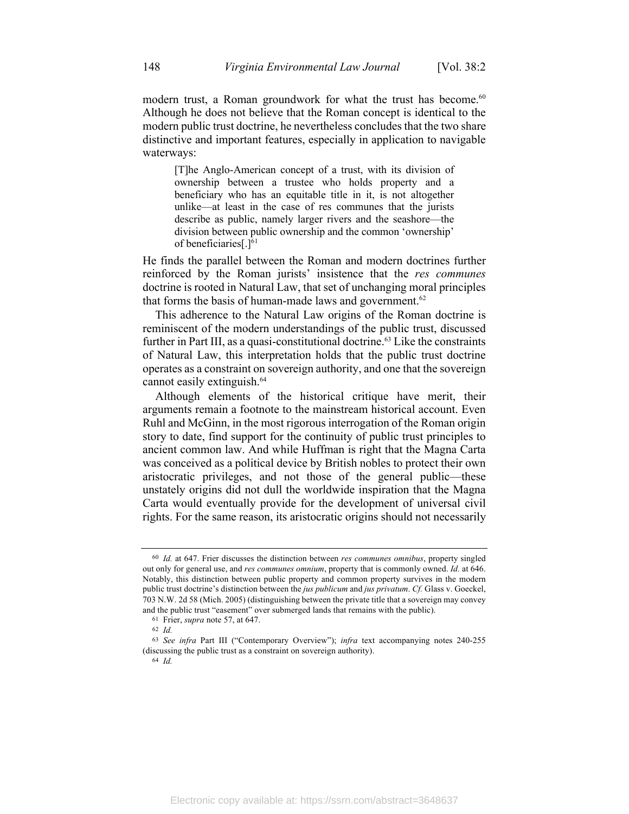modern trust, a Roman groundwork for what the trust has become.<sup>60</sup> Although he does not believe that the Roman concept is identical to the modern public trust doctrine, he nevertheless concludes that the two share distinctive and important features, especially in application to navigable waterways:

[T]he Anglo-American concept of a trust, with its division of ownership between a trustee who holds property and a beneficiary who has an equitable title in it, is not altogether unlike—at least in the case of res communes that the jurists describe as public, namely larger rivers and the seashore—the division between public ownership and the common 'ownership' of beneficiaries[ $.$ ]<sup>61</sup>

He finds the parallel between the Roman and modern doctrines further reinforced by the Roman jurists' insistence that the *res communes* doctrine is rooted in Natural Law, that set of unchanging moral principles that forms the basis of human-made laws and government.<sup>62</sup>

This adherence to the Natural Law origins of the Roman doctrine is reminiscent of the modern understandings of the public trust, discussed further in Part III, as a quasi-constitutional doctrine.<sup>63</sup> Like the constraints of Natural Law, this interpretation holds that the public trust doctrine operates as a constraint on sovereign authority, and one that the sovereign cannot easily extinguish.<sup>64</sup>

Although elements of the historical critique have merit, their arguments remain a footnote to the mainstream historical account. Even Ruhl and McGinn, in the most rigorous interrogation of the Roman origin story to date, find support for the continuity of public trust principles to ancient common law. And while Huffman is right that the Magna Carta was conceived as a political device by British nobles to protect their own aristocratic privileges, and not those of the general public—these unstately origins did not dull the worldwide inspiration that the Magna Carta would eventually provide for the development of universal civil rights. For the same reason, its aristocratic origins should not necessarily

64 *Id.*

<sup>60</sup> *Id.* at 647. Frier discusses the distinction between *res communes omnibus*, property singled out only for general use, and *res communes omnium*, property that is commonly owned. *Id.* at 646. Notably, this distinction between public property and common property survives in the modern public trust doctrine's distinction between the *jus publicum* and *jus privatum*. *Cf.* Glass v. Goeckel, 703 N.W. 2d 58 (Mich. 2005) (distinguishing between the private title that a sovereign may convey and the public trust "easement" over submerged lands that remains with the public).

<sup>61</sup> Frier, *supra* note 57, at 647.

<sup>62</sup> *Id.*

<sup>63</sup> *See infra* Part III ("Contemporary Overview"); *infra* text accompanying notes 240-255 (discussing the public trust as a constraint on sovereign authority).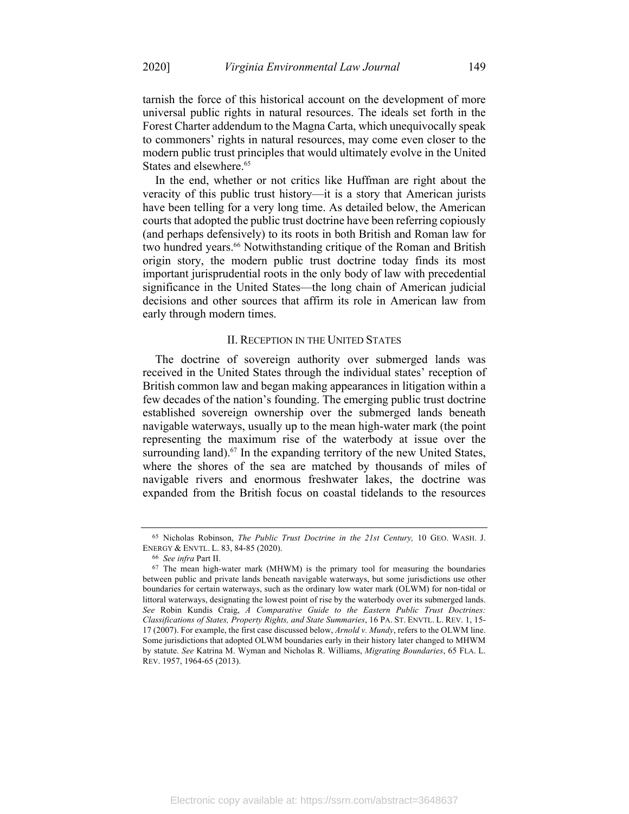tarnish the force of this historical account on the development of more universal public rights in natural resources. The ideals set forth in the Forest Charter addendum to the Magna Carta, which unequivocally speak to commoners' rights in natural resources, may come even closer to the modern public trust principles that would ultimately evolve in the United States and elsewhere.<sup>65</sup>

In the end, whether or not critics like Huffman are right about the veracity of this public trust history—it is a story that American jurists have been telling for a very long time. As detailed below, the American courts that adopted the public trust doctrine have been referring copiously (and perhaps defensively) to its roots in both British and Roman law for two hundred years.<sup>66</sup> Notwithstanding critique of the Roman and British origin story, the modern public trust doctrine today finds its most important jurisprudential roots in the only body of law with precedential significance in the United States—the long chain of American judicial decisions and other sources that affirm its role in American law from early through modern times.

#### II. RECEPTION IN THE UNITED STATES

The doctrine of sovereign authority over submerged lands was received in the United States through the individual states' reception of British common law and began making appearances in litigation within a few decades of the nation's founding. The emerging public trust doctrine established sovereign ownership over the submerged lands beneath navigable waterways, usually up to the mean high-water mark (the point representing the maximum rise of the waterbody at issue over the surrounding land). $67$  In the expanding territory of the new United States, where the shores of the sea are matched by thousands of miles of navigable rivers and enormous freshwater lakes, the doctrine was expanded from the British focus on coastal tidelands to the resources

<sup>65</sup> Nicholas Robinson, *The Public Trust Doctrine in the 21st Century,* 10 GEO. WASH. J. ENERGY & ENVTL. L. 83, 84-85 (2020).

<sup>66</sup> *See infra* Part II.

<sup>67</sup> The mean high-water mark (MHWM) is the primary tool for measuring the boundaries between public and private lands beneath navigable waterways, but some jurisdictions use other boundaries for certain waterways, such as the ordinary low water mark (OLWM) for non-tidal or littoral waterways, designating the lowest point of rise by the waterbody over its submerged lands. *See* Robin Kundis Craig, *A Comparative Guide to the Eastern Public Trust Doctrines: Classifications of States, Property Rights, and State Summaries*, 16 PA. ST. ENVTL. L. REV. 1, 15- 17 (2007). For example, the first case discussed below, *Arnold v. Mundy*, refers to the OLWM line. Some jurisdictions that adopted OLWM boundaries early in their history later changed to MHWM by statute. *See* Katrina M. Wyman and Nicholas R. Williams, *Migrating Boundaries*, 65 FLA. L. REV. 1957, 1964-65 (2013).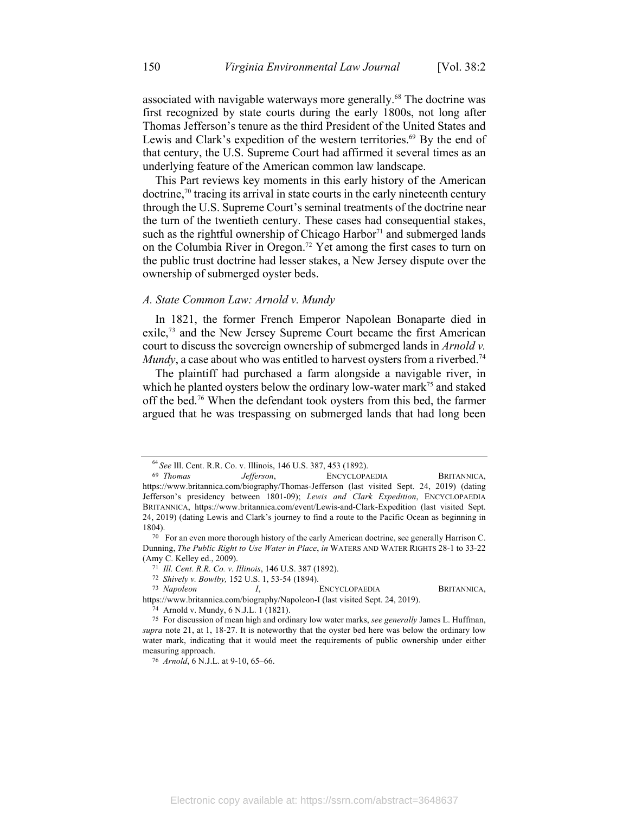associated with navigable waterways more generally.<sup>68</sup> The doctrine was first recognized by state courts during the early 1800s, not long after Thomas Jefferson's tenure as the third President of the United States and Lewis and Clark's expedition of the western territories.<sup>69</sup> By the end of that century, the U.S. Supreme Court had affirmed it several times as an underlying feature of the American common law landscape.

This Part reviews key moments in this early history of the American doctrine,70 tracing its arrival in state courts in the early nineteenth century through the U.S. Supreme Court's seminal treatments of the doctrine near the turn of the twentieth century. These cases had consequential stakes, such as the rightful ownership of Chicago Harbor<sup> $71$ </sup> and submerged lands on the Columbia River in Oregon.<sup>72</sup> Yet among the first cases to turn on the public trust doctrine had lesser stakes, a New Jersey dispute over the ownership of submerged oyster beds.

#### *A. State Common Law: Arnold v. Mundy*

In 1821, the former French Emperor Napolean Bonaparte died in exile,<sup>73</sup> and the New Jersey Supreme Court became the first American court to discuss the sovereign ownership of submerged lands in *Arnold v. Mundy*, a case about who was entitled to harvest oysters from a riverbed.<sup>74</sup>

The plaintiff had purchased a farm alongside a navigable river, in which he planted oysters below the ordinary low-water mark<sup>75</sup> and staked off the bed.76 When the defendant took oysters from this bed, the farmer argued that he was trespassing on submerged lands that had long been

*I*, ENCYCLOPAEDIA BRITANNICA,

https://www.britannica.com/biography/Napoleon-I (last visited Sept. 24, 2019).

<sup>64</sup>*See* Ill. Cent. R.R. Co. v. Illinois, 146 U.S. 387, 453 (1892).

<sup>69</sup> *Thomas Jefferson*, ENCYCLOPAEDIA BRITANNICA, https://www.britannica.com/biography/Thomas-Jefferson (last visited Sept. 24, 2019) (dating Jefferson's presidency between 1801-09); *Lewis and Clark Expedition*, ENCYCLOPAEDIA BRITANNICA, https://www.britannica.com/event/Lewis-and-Clark-Expedition (last visited Sept. 24, 2019) (dating Lewis and Clark's journey to find a route to the Pacific Ocean as beginning in 1804).

<sup>70</sup> For an even more thorough history of the early American doctrine, see generally Harrison C. Dunning, *The Public Right to Use Water in Place*, *in* WATERS AND WATER RIGHTS 28-1 to 33-22 (Amy C. Kelley ed., 2009).

<sup>71</sup> *Ill. Cent. R.R. Co. v. Illinois*, 146 U.S. 387 (1892).

<sup>72</sup> *Shively v. Bowlby,* 152 U.S. 1, 53-54 (1894).

<sup>74</sup> Arnold v. Mundy, 6 N.J.L. 1 (1821).

<sup>75</sup> For discussion of mean high and ordinary low water marks, *see generally* James L. Huffman, *supra* note 21, at 1, 18-27. It is noteworthy that the oyster bed here was below the ordinary low water mark, indicating that it would meet the requirements of public ownership under either measuring approach.

<sup>76</sup> *Arnold*, 6 N.J.L. at 9-10, 65–66.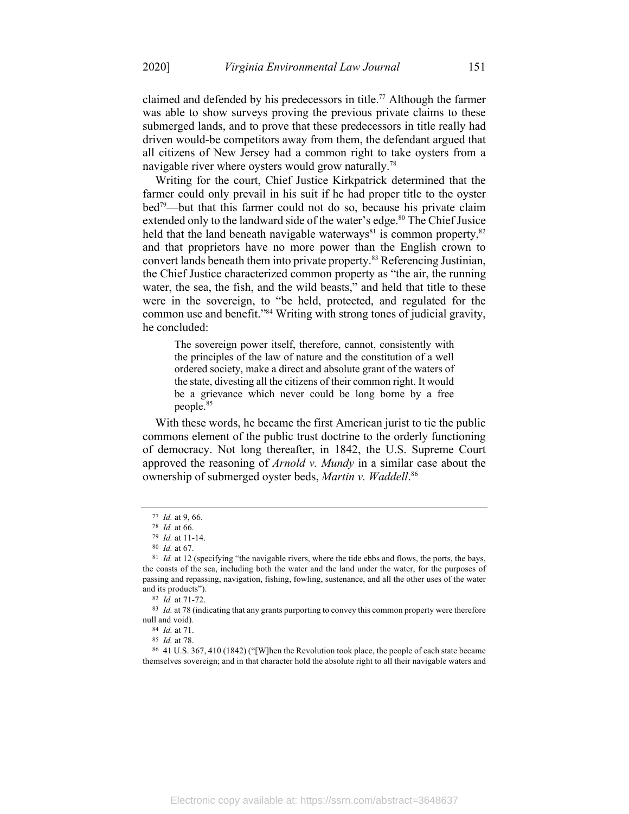claimed and defended by his predecessors in title.<sup>77</sup> Although the farmer was able to show surveys proving the previous private claims to these submerged lands, and to prove that these predecessors in title really had driven would-be competitors away from them, the defendant argued that all citizens of New Jersey had a common right to take oysters from a navigable river where oysters would grow naturally.<sup>78</sup>

Writing for the court, Chief Justice Kirkpatrick determined that the farmer could only prevail in his suit if he had proper title to the oyster bed79—but that this farmer could not do so, because his private claim extended only to the landward side of the water's edge.<sup>80</sup> The Chief Jusice held that the land beneath navigable waterways<sup>81</sup> is common property,  $82$ and that proprietors have no more power than the English crown to convert lands beneath them into private property.<sup>83</sup> Referencing Justinian, the Chief Justice characterized common property as "the air, the running water, the sea, the fish, and the wild beasts," and held that title to these were in the sovereign, to "be held, protected, and regulated for the common use and benefit."84 Writing with strong tones of judicial gravity, he concluded:

The sovereign power itself, therefore, cannot, consistently with the principles of the law of nature and the constitution of a well ordered society, make a direct and absolute grant of the waters of the state, divesting all the citizens of their common right. It would be a grievance which never could be long borne by a free people.<sup>85</sup>

With these words, he became the first American jurist to tie the public commons element of the public trust doctrine to the orderly functioning of democracy. Not long thereafter, in 1842, the U.S. Supreme Court approved the reasoning of *Arnold v. Mundy* in a similar case about the ownership of submerged oyster beds, *Martin v. Waddell*. 86

<sup>77</sup> *Id.* at 9, 66.

<sup>78</sup> *Id.* at 66.

<sup>79</sup> *Id.* at 11-14.

<sup>80</sup> *Id.* at 67.

<sup>&</sup>lt;sup>81</sup> *Id.* at 12 (specifying "the navigable rivers, where the tide ebbs and flows, the ports, the bays, the coasts of the sea, including both the water and the land under the water, for the purposes of passing and repassing, navigation, fishing, fowling, sustenance, and all the other uses of the water and its products").

<sup>82</sup> *Id.* at 71-72.

<sup>83</sup> *Id.* at 78 (indicating that any grants purporting to convey this common property were therefore null and void)*.*

<sup>84</sup> *Id.* at 71.

<sup>85</sup> *Id.* at 78.

<sup>86</sup> 41 U.S. 367, 410 (1842) ("[W]hen the Revolution took place, the people of each state became themselves sovereign; and in that character hold the absolute right to all their navigable waters and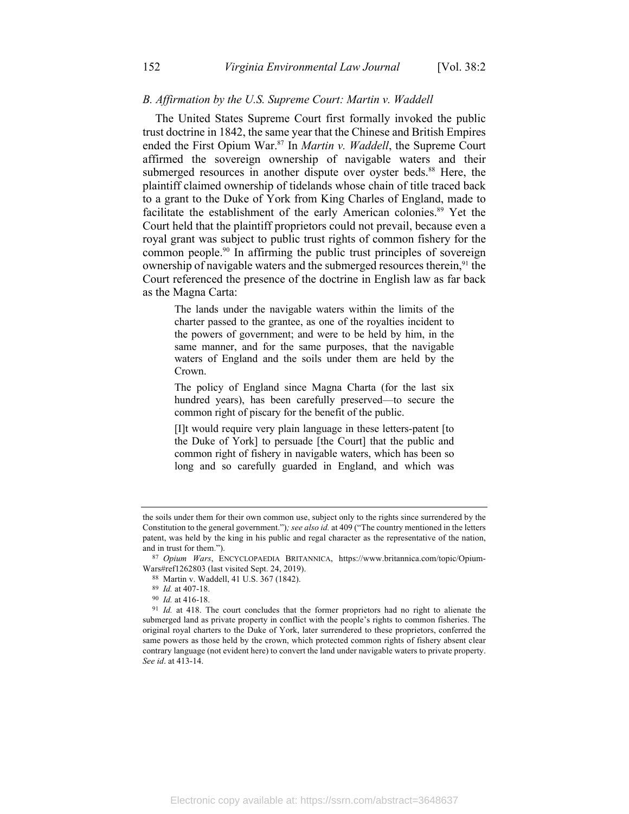## *B. Affirmation by the U.S. Supreme Court: Martin v. Waddell*

The United States Supreme Court first formally invoked the public trust doctrine in 1842, the same year that the Chinese and British Empires ended the First Opium War.87 In *Martin v. Waddell*, the Supreme Court affirmed the sovereign ownership of navigable waters and their submerged resources in another dispute over oyster beds.<sup>88</sup> Here, the plaintiff claimed ownership of tidelands whose chain of title traced back to a grant to the Duke of York from King Charles of England, made to facilitate the establishment of the early American colonies.<sup>89</sup> Yet the Court held that the plaintiff proprietors could not prevail, because even a royal grant was subject to public trust rights of common fishery for the common people. $90$  In affirming the public trust principles of sovereign ownership of navigable waters and the submerged resources therein,<sup>91</sup> the Court referenced the presence of the doctrine in English law as far back as the Magna Carta:

The lands under the navigable waters within the limits of the charter passed to the grantee, as one of the royalties incident to the powers of government; and were to be held by him, in the same manner, and for the same purposes, that the navigable waters of England and the soils under them are held by the Crown.

The policy of England since Magna Charta (for the last six hundred years), has been carefully preserved—to secure the common right of piscary for the benefit of the public.

[I]t would require very plain language in these letters-patent [to the Duke of York] to persuade [the Court] that the public and common right of fishery in navigable waters, which has been so long and so carefully guarded in England, and which was

the soils under them for their own common use, subject only to the rights since surrendered by the Constitution to the general government.")*; see also id.* at 409 ("The country mentioned in the letters patent, was held by the king in his public and regal character as the representative of the nation, and in trust for them.").

<sup>87</sup> *Opium Wars*, ENCYCLOPAEDIA BRITANNICA, https://www.britannica.com/topic/Opium-Wars#ref1262803 (last visited Sept. 24, 2019).

<sup>88</sup> Martin v. Waddell, 41 U.S. 367 (1842).

<sup>89</sup> *Id.* at 407-18.

<sup>90</sup> *Id.* at 416-18.

<sup>91</sup> *Id.* at 418. The court concludes that the former proprietors had no right to alienate the submerged land as private property in conflict with the people's rights to common fisheries. The original royal charters to the Duke of York, later surrendered to these proprietors, conferred the same powers as those held by the crown, which protected common rights of fishery absent clear contrary language (not evident here) to convert the land under navigable waters to private property. *See id*. at 413-14.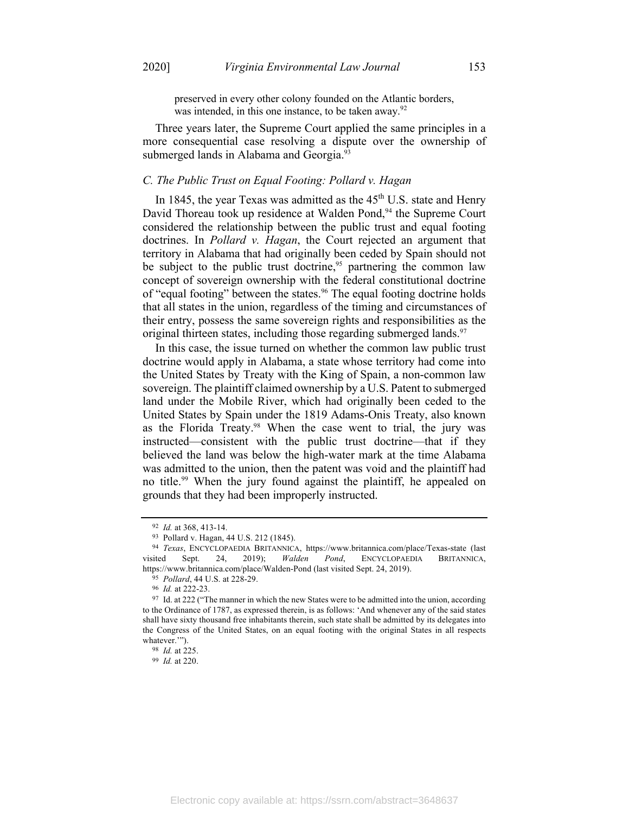preserved in every other colony founded on the Atlantic borders, was intended, in this one instance, to be taken away. $92$ 

Three years later, the Supreme Court applied the same principles in a more consequential case resolving a dispute over the ownership of submerged lands in Alabama and Georgia.<sup>93</sup>

#### *C. The Public Trust on Equal Footing: Pollard v. Hagan*

In 1845, the year Texas was admitted as the  $45<sup>th</sup>$  U.S. state and Henry David Thoreau took up residence at Walden Pond,<sup>94</sup> the Supreme Court considered the relationship between the public trust and equal footing doctrines. In *Pollard v. Hagan*, the Court rejected an argument that territory in Alabama that had originally been ceded by Spain should not be subject to the public trust doctrine,<sup>95</sup> partnering the common law concept of sovereign ownership with the federal constitutional doctrine of "equal footing" between the states.<sup>96</sup> The equal footing doctrine holds that all states in the union, regardless of the timing and circumstances of their entry, possess the same sovereign rights and responsibilities as the original thirteen states, including those regarding submerged lands.<sup>97</sup>

In this case, the issue turned on whether the common law public trust doctrine would apply in Alabama, a state whose territory had come into the United States by Treaty with the King of Spain, a non-common law sovereign. The plaintiff claimed ownership by a U.S. Patent to submerged land under the Mobile River, which had originally been ceded to the United States by Spain under the 1819 Adams-Onis Treaty, also known as the Florida Treaty.<sup>98</sup> When the case went to trial, the jury was instructed—consistent with the public trust doctrine—that if they believed the land was below the high-water mark at the time Alabama was admitted to the union, then the patent was void and the plaintiff had no title.<sup>99</sup> When the jury found against the plaintiff, he appealed on grounds that they had been improperly instructed.

<sup>92</sup> *Id.* at 368, 413-14.

<sup>93</sup> Pollard v. Hagan, 44 U.S. 212 (1845).

<sup>94</sup> *Texas*, ENCYCLOPAEDIA BRITANNICA, https://www.britannica.com/place/Texas-state (last visited Sept. 24, 2019); *Walden Pond*, ENCYCLOPAEDIA BRITANNICA, https://www.britannica.com/place/Walden-Pond (last visited Sept. 24, 2019).

<sup>95</sup> *Pollard*, 44 U.S. at 228-29.

<sup>96</sup> *Id.* at 222-23.

<sup>97</sup> Id. at 222 ("The manner in which the new States were to be admitted into the union, according to the Ordinance of 1787, as expressed therein, is as follows: 'And whenever any of the said states shall have sixty thousand free inhabitants therein, such state shall be admitted by its delegates into the Congress of the United States, on an equal footing with the original States in all respects whatever."").

<sup>98</sup> *Id.* at 225.

<sup>99</sup> *Id.* at 220.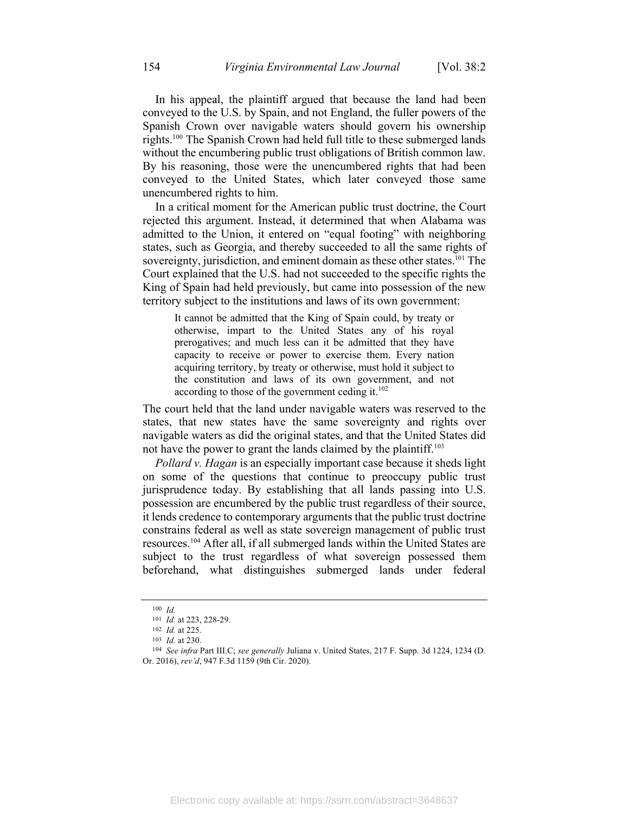In his appeal, the plaintiff argued that because the land had been conveyed to the U.S. by Spain, and not England, the fuller powers of the Spanish Crown over navigable waters should govern his ownership rights.100 The Spanish Crown had held full title to these submerged lands without the encumbering public trust obligations of British common law. By his reasoning, those were the unencumbered rights that had been conveyed to the United States, which later conveyed those same unencumbered rights to him.

In a critical moment for the American public trust doctrine, the Court rejected this argument. Instead, it determined that when Alabama was admitted to the Union, it entered on "equal footing" with neighboring states, such as Georgia, and thereby succeeded to all the same rights of sovereignty, jurisdiction, and eminent domain as these other states.<sup>101</sup> The Court explained that the U.S. had not succeeded to the specific rights the King of Spain had held previously, but came into possession of the new territory subject to the institutions and laws of its own government:

It cannot be admitted that the King of Spain could, by treaty or otherwise, impart to the United States any of his royal prerogatives; and much less can it be admitted that they have capacity to receive or power to exercise them. Every nation acquiring territory, by treaty or otherwise, must hold it subject to the constitution and laws of its own government, and not according to those of the government ceding it. $102$ 

The court held that the land under navigable waters was reserved to the states, that new states have the same sovereignty and rights over navigable waters as did the original states, and that the United States did not have the power to grant the lands claimed by the plaintiff.<sup>103</sup>

*Pollard v. Hagan* is an especially important case because it sheds light on some of the questions that continue to preoccupy public trust jurisprudence today. By establishing that all lands passing into U.S. possession are encumbered by the public trust regardless of their source, it lends credence to contemporary arguments that the public trust doctrine constrains federal as well as state sovereign management of public trust resources.104 After all, if all submerged lands within the United States are subject to the trust regardless of what sovereign possessed them beforehand, what distinguishes submerged lands under federal

<sup>100</sup> *Id.*

<sup>101</sup> *Id.* at 223, 228-29.

<sup>102</sup> *Id.* at 225.

<sup>103</sup> *Id.* at 230.

<sup>104</sup> *See infra* Part III.C; *see generally* Juliana v. United States, 217 F. Supp. 3d 1224, 1234 (D. Or. 2016), *rev'd*, 947 F.3d 1159 (9th Cir. 2020).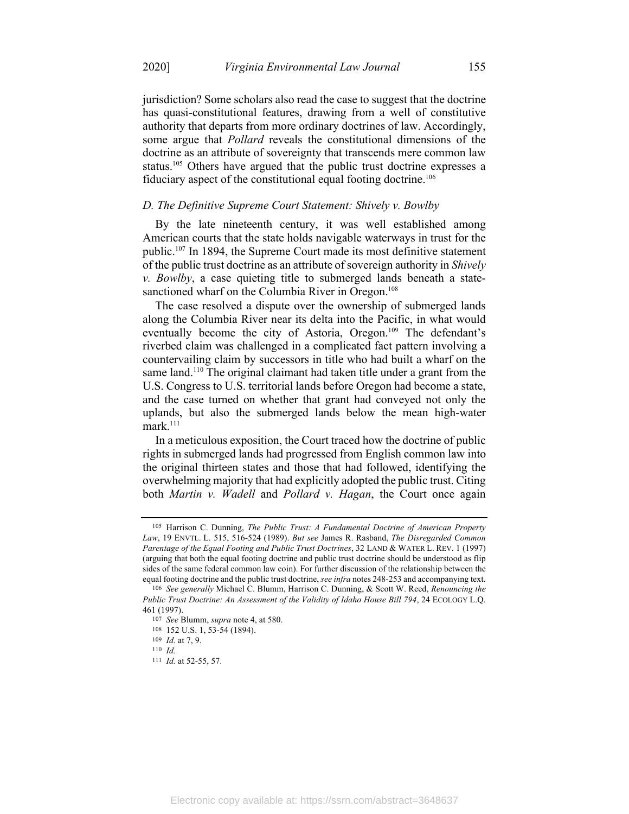jurisdiction? Some scholars also read the case to suggest that the doctrine has quasi-constitutional features, drawing from a well of constitutive authority that departs from more ordinary doctrines of law. Accordingly, some argue that *Pollard* reveals the constitutional dimensions of the doctrine as an attribute of sovereignty that transcends mere common law status.<sup>105</sup> Others have argued that the public trust doctrine expresses a fiduciary aspect of the constitutional equal footing doctrine.<sup>106</sup>

#### *D. The Definitive Supreme Court Statement: Shively v. Bowlby*

By the late nineteenth century, it was well established among American courts that the state holds navigable waterways in trust for the public.107 In 1894, the Supreme Court made its most definitive statement of the public trust doctrine as an attribute of sovereign authority in *Shively v. Bowlby*, a case quieting title to submerged lands beneath a statesanctioned wharf on the Columbia River in Oregon.<sup>108</sup>

The case resolved a dispute over the ownership of submerged lands along the Columbia River near its delta into the Pacific, in what would eventually become the city of Astoria, Oregon.<sup>109</sup> The defendant's riverbed claim was challenged in a complicated fact pattern involving a countervailing claim by successors in title who had built a wharf on the same land.<sup>110</sup> The original claimant had taken title under a grant from the U.S. Congress to U.S. territorial lands before Oregon had become a state, and the case turned on whether that grant had conveyed not only the uplands, but also the submerged lands below the mean high-water mark.<sup>111</sup>

In a meticulous exposition, the Court traced how the doctrine of public rights in submerged lands had progressed from English common law into the original thirteen states and those that had followed, identifying the overwhelming majority that had explicitly adopted the public trust. Citing both *Martin v. Wadell* and *Pollard v. Hagan*, the Court once again

<sup>105</sup> Harrison C. Dunning, *The Public Trust: A Fundamental Doctrine of American Property Law*, 19 ENVTL. L. 515, 516-524 (1989). *But see* James R. Rasband, *The Disregarded Common Parentage of the Equal Footing and Public Trust Doctrines*, 32 LAND & WATER L. REV. 1 (1997) (arguing that both the equal footing doctrine and public trust doctrine should be understood as flip sides of the same federal common law coin). For further discussion of the relationship between the equal footing doctrine and the public trust doctrine, *see infra* notes 248-253 and accompanying text.

<sup>106</sup> *See generally* Michael C. Blumm, Harrison C. Dunning, & Scott W. Reed, *Renouncing the Public Trust Doctrine: An Assessment of the Validity of Idaho House Bill 794*, 24 ECOLOGY L.Q. 461 (1997).

<sup>107</sup> *See* Blumm, *supra* note 4, at 580.

<sup>108</sup> 152 U.S. 1, 53-54 (1894).

<sup>109</sup> *Id.* at 7, 9.

<sup>110</sup> *Id.*

<sup>111</sup> *Id.* at 52-55, 57.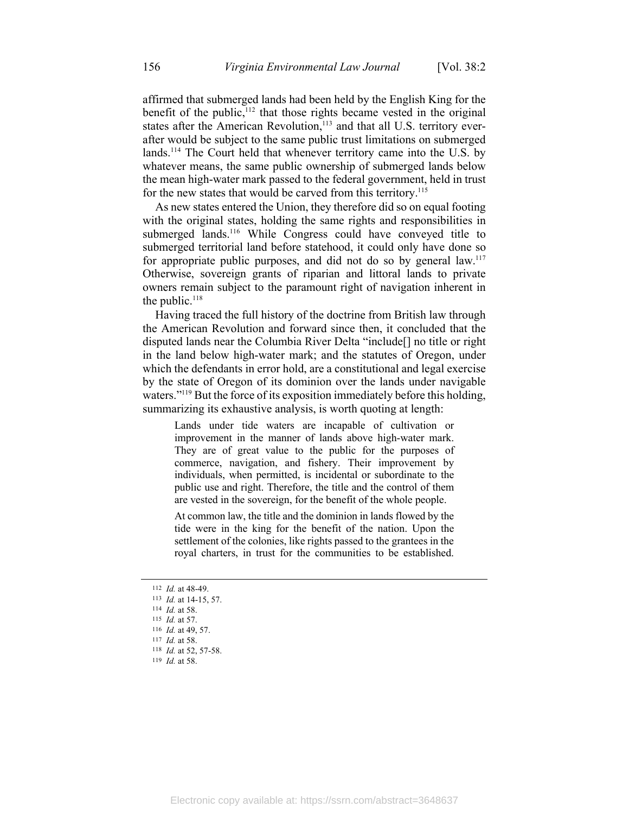affirmed that submerged lands had been held by the English King for the benefit of the public, $112$  that those rights became vested in the original states after the American Revolution,<sup>113</sup> and that all U.S. territory everafter would be subject to the same public trust limitations on submerged lands.<sup>114</sup> The Court held that whenever territory came into the U.S. by whatever means, the same public ownership of submerged lands below the mean high-water mark passed to the federal government, held in trust for the new states that would be carved from this territory.<sup>115</sup>

As new states entered the Union, they therefore did so on equal footing with the original states, holding the same rights and responsibilities in submerged lands.<sup>116</sup> While Congress could have conveyed title to submerged territorial land before statehood, it could only have done so for appropriate public purposes, and did not do so by general  $law$ .<sup>117</sup> Otherwise, sovereign grants of riparian and littoral lands to private owners remain subject to the paramount right of navigation inherent in the public.<sup>118</sup>

Having traced the full history of the doctrine from British law through the American Revolution and forward since then, it concluded that the disputed lands near the Columbia River Delta "include[] no title or right in the land below high-water mark; and the statutes of Oregon, under which the defendants in error hold, are a constitutional and legal exercise by the state of Oregon of its dominion over the lands under navigable waters."<sup>119</sup> But the force of its exposition immediately before this holding, summarizing its exhaustive analysis, is worth quoting at length:

Lands under tide waters are incapable of cultivation or improvement in the manner of lands above high-water mark. They are of great value to the public for the purposes of commerce, navigation, and fishery. Their improvement by individuals, when permitted, is incidental or subordinate to the public use and right. Therefore, the title and the control of them are vested in the sovereign, for the benefit of the whole people.

At common law, the title and the dominion in lands flowed by the tide were in the king for the benefit of the nation. Upon the settlement of the colonies, like rights passed to the grantees in the royal charters, in trust for the communities to be established.

<sup>112</sup> *Id.* at 48-49.

<sup>113</sup> *Id.* at 14-15, 57.

<sup>114</sup> *Id.* at 58.

<sup>115</sup> *Id.* at 57.

<sup>116</sup> *Id.* at 49, 57.

<sup>117</sup> *Id.* at 58.

<sup>118</sup> *Id.* at 52, 57-58.

<sup>119</sup> *Id.* at 58.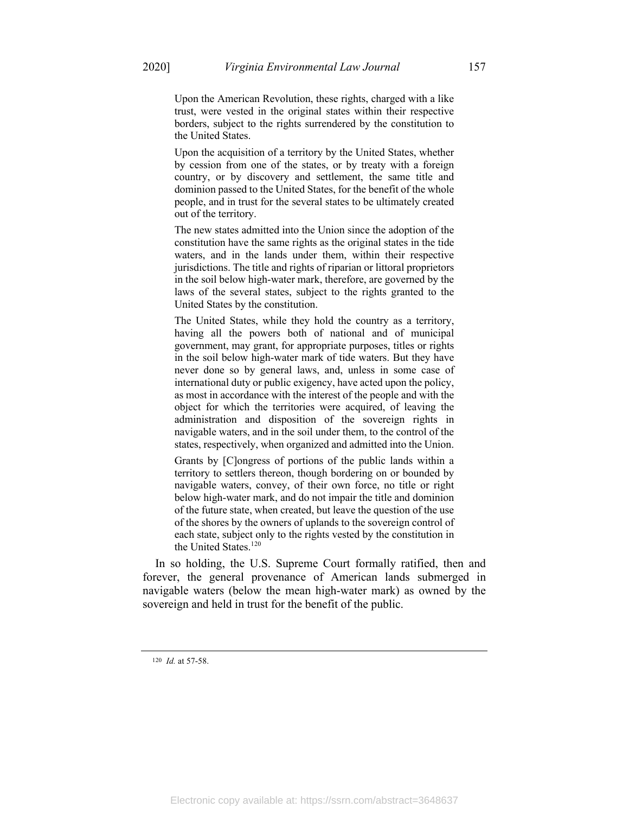Upon the American Revolution, these rights, charged with a like trust, were vested in the original states within their respective borders, subject to the rights surrendered by the constitution to the United States.

Upon the acquisition of a territory by the United States, whether by cession from one of the states, or by treaty with a foreign country, or by discovery and settlement, the same title and dominion passed to the United States, for the benefit of the whole people, and in trust for the several states to be ultimately created out of the territory.

The new states admitted into the Union since the adoption of the constitution have the same rights as the original states in the tide waters, and in the lands under them, within their respective jurisdictions. The title and rights of riparian or littoral proprietors in the soil below high-water mark, therefore, are governed by the laws of the several states, subject to the rights granted to the United States by the constitution.

The United States, while they hold the country as a territory, having all the powers both of national and of municipal government, may grant, for appropriate purposes, titles or rights in the soil below high-water mark of tide waters. But they have never done so by general laws, and, unless in some case of international duty or public exigency, have acted upon the policy, as most in accordance with the interest of the people and with the object for which the territories were acquired, of leaving the administration and disposition of the sovereign rights in navigable waters, and in the soil under them, to the control of the states, respectively, when organized and admitted into the Union.

Grants by [C]ongress of portions of the public lands within a territory to settlers thereon, though bordering on or bounded by navigable waters, convey, of their own force, no title or right below high-water mark, and do not impair the title and dominion of the future state, when created, but leave the question of the use of the shores by the owners of uplands to the sovereign control of each state, subject only to the rights vested by the constitution in the United States. 120

In so holding, the U.S. Supreme Court formally ratified, then and forever, the general provenance of American lands submerged in navigable waters (below the mean high-water mark) as owned by the sovereign and held in trust for the benefit of the public.

120 *Id.* at 57-58.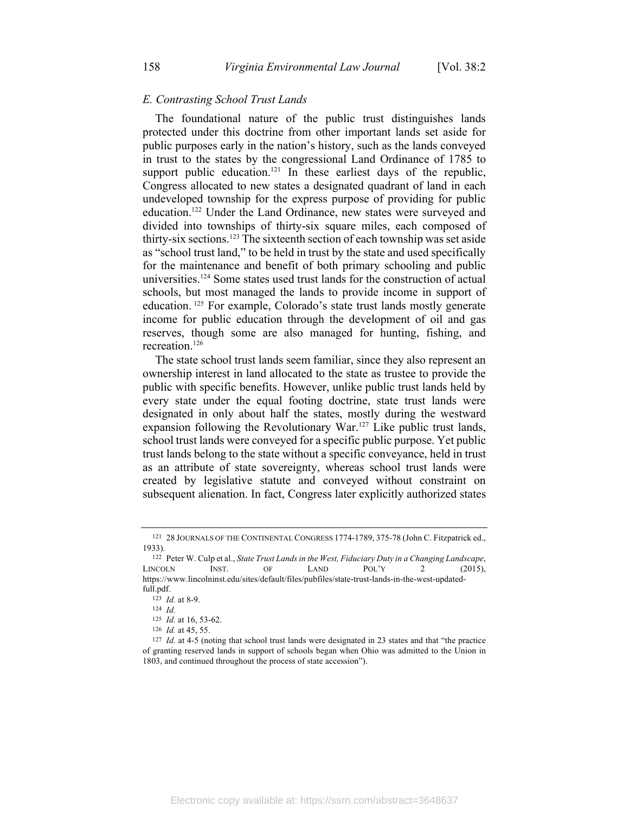#### *E. Contrasting School Trust Lands*

The foundational nature of the public trust distinguishes lands protected under this doctrine from other important lands set aside for public purposes early in the nation's history, such as the lands conveyed in trust to the states by the congressional Land Ordinance of 1785 to support public education.<sup>121</sup> In these earliest days of the republic, Congress allocated to new states a designated quadrant of land in each undeveloped township for the express purpose of providing for public education.122 Under the Land Ordinance, new states were surveyed and divided into townships of thirty-six square miles, each composed of thirty-six sections.123 The sixteenth section of each township was set aside as "school trust land," to be held in trust by the state and used specifically for the maintenance and benefit of both primary schooling and public universities.124 Some states used trust lands for the construction of actual schools, but most managed the lands to provide income in support of education. <sup>125</sup> For example, Colorado's state trust lands mostly generate income for public education through the development of oil and gas reserves, though some are also managed for hunting, fishing, and recreation.126

The state school trust lands seem familiar, since they also represent an ownership interest in land allocated to the state as trustee to provide the public with specific benefits. However, unlike public trust lands held by every state under the equal footing doctrine, state trust lands were designated in only about half the states, mostly during the westward expansion following the Revolutionary War.<sup>127</sup> Like public trust lands, school trust lands were conveyed for a specific public purpose. Yet public trust lands belong to the state without a specific conveyance, held in trust as an attribute of state sovereignty, whereas school trust lands were created by legislative statute and conveyed without constraint on subsequent alienation. In fact, Congress later explicitly authorized states

<sup>121</sup> 28 JOURNALS OF THE CONTINENTAL CONGRESS 1774-1789, 375-78 (John C. Fitzpatrick ed., 1933).

<sup>122</sup> Peter W. Culp et al., *State Trust Lands in the West, Fiduciary Duty in a Changing Landscape*, LINCOLN INST. OF LAND POL'Y 2 (2015), https://www.lincolninst.edu/sites/default/files/pubfiles/state-trust-lands-in-the-west-updatedfull.pdf.

<sup>123</sup> *Id.* at 8-9.

<sup>124</sup> *Id.*

<sup>125</sup> *Id.* at 16, 53-62.

<sup>126</sup> *Id.* at 45, 55.

<sup>127</sup> *Id.* at 4-5 (noting that school trust lands were designated in 23 states and that "the practice of granting reserved lands in support of schools began when Ohio was admitted to the Union in 1803, and continued throughout the process of state accession").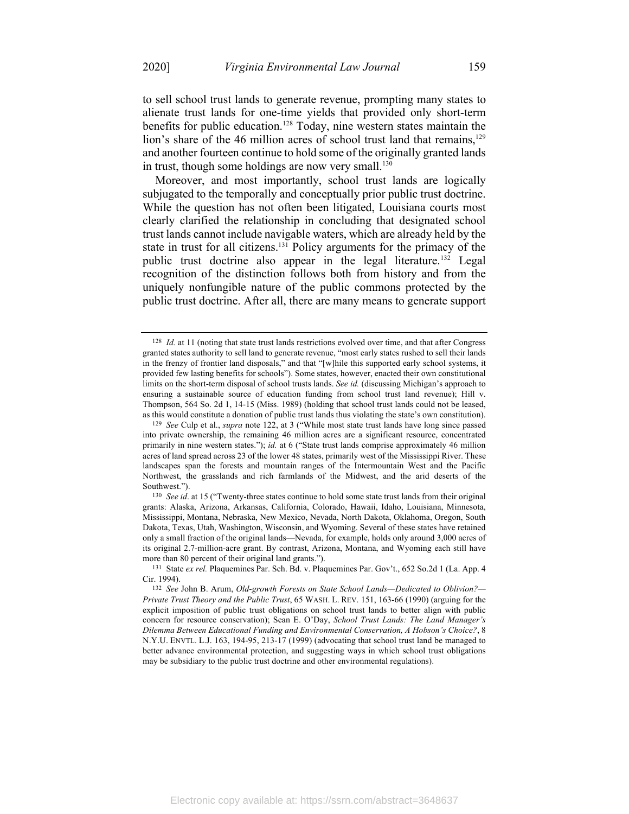to sell school trust lands to generate revenue, prompting many states to alienate trust lands for one-time yields that provided only short-term benefits for public education.<sup>128</sup> Today, nine western states maintain the lion's share of the 46 million acres of school trust land that remains, $129$ and another fourteen continue to hold some of the originally granted lands in trust, though some holdings are now very small.<sup>130</sup>

Moreover, and most importantly, school trust lands are logically subjugated to the temporally and conceptually prior public trust doctrine. While the question has not often been litigated, Louisiana courts most clearly clarified the relationship in concluding that designated school trust lands cannot include navigable waters, which are already held by the state in trust for all citizens.<sup>131</sup> Policy arguments for the primacy of the public trust doctrine also appear in the legal literature.<sup>132</sup> Legal recognition of the distinction follows both from history and from the uniquely nonfungible nature of the public commons protected by the public trust doctrine. After all, there are many means to generate support

<sup>128</sup> *Id.* at 11 (noting that state trust lands restrictions evolved over time, and that after Congress granted states authority to sell land to generate revenue, "most early states rushed to sell their lands in the frenzy of frontier land disposals," and that "[w]hile this supported early school systems, it provided few lasting benefits for schools"). Some states, however, enacted their own constitutional limits on the short-term disposal of school trusts lands. *See id.* (discussing Michigan's approach to ensuring a sustainable source of education funding from school trust land revenue); Hill v. Thompson, 564 So. 2d 1, 14-15 (Miss. 1989) (holding that school trust lands could not be leased, as this would constitute a donation of public trust lands thus violating the state's own constitution).

<sup>129</sup> *See* Culp et al., *supra* note 122, at 3 ("While most state trust lands have long since passed into private ownership, the remaining 46 million acres are a significant resource, concentrated primarily in nine western states."); *id.* at 6 ("State trust lands comprise approximately 46 million acres of land spread across 23 of the lower 48 states, primarily west of the Mississippi River. These landscapes span the forests and mountain ranges of the Intermountain West and the Pacific Northwest, the grasslands and rich farmlands of the Midwest, and the arid deserts of the Southwest.").

<sup>130</sup> *See id*. at 15 ("Twenty-three states continue to hold some state trust lands from their original grants: Alaska, Arizona, Arkansas, California, Colorado, Hawaii, Idaho, Louisiana, Minnesota, Mississippi, Montana, Nebraska, New Mexico, Nevada, North Dakota, Oklahoma, Oregon, South Dakota, Texas, Utah, Washington, Wisconsin, and Wyoming. Several of these states have retained only a small fraction of the original lands—Nevada, for example, holds only around 3,000 acres of its original 2.7-million-acre grant. By contrast, Arizona, Montana, and Wyoming each still have more than 80 percent of their original land grants.").

<sup>131</sup> State *ex rel.* Plaquemines Par. Sch. Bd. v. Plaquemines Par. Gov't., 652 So.2d 1 (La. App. 4 Cir. 1994).

<sup>132</sup> *See* John B. Arum, *Old-growth Forests on State School Lands—Dedicated to Oblivion?— Private Trust Theory and the Public Trust*, 65 WASH. L. REV. 151, 163-66 (1990) (arguing for the explicit imposition of public trust obligations on school trust lands to better align with public concern for resource conservation); Sean E. O'Day, *School Trust Lands: The Land Manager's Dilemma Between Educational Funding and Environmental Conservation, A Hobson's Choice?*, 8 N.Y.U. ENVTL. L.J. 163, 194-95, 213-17 (1999) (advocating that school trust land be managed to better advance environmental protection, and suggesting ways in which school trust obligations may be subsidiary to the public trust doctrine and other environmental regulations).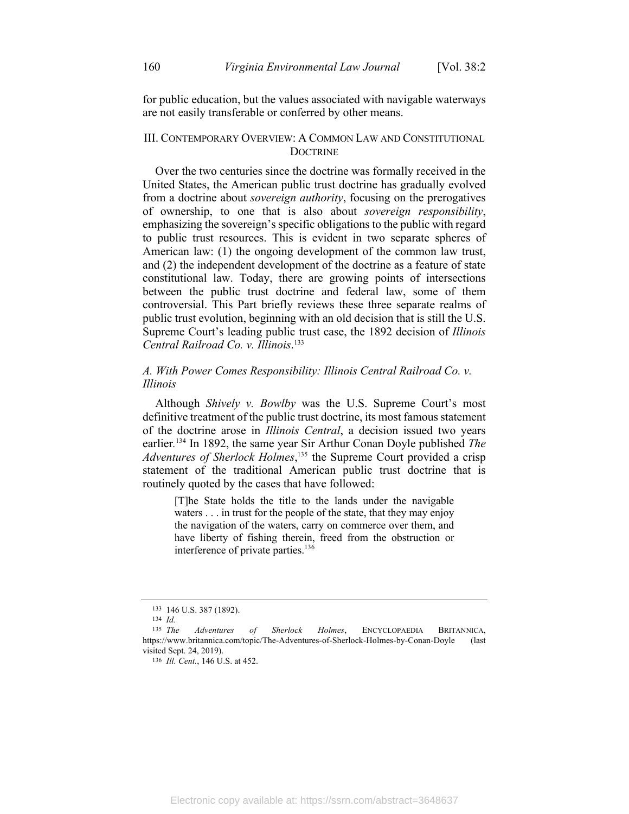for public education, but the values associated with navigable waterways are not easily transferable or conferred by other means.

## III. CONTEMPORARY OVERVIEW: A COMMON LAW AND CONSTITUTIONAL **DOCTRINE**

Over the two centuries since the doctrine was formally received in the United States, the American public trust doctrine has gradually evolved from a doctrine about *sovereign authority*, focusing on the prerogatives of ownership, to one that is also about *sovereign responsibility*, emphasizing the sovereign's specific obligations to the public with regard to public trust resources. This is evident in two separate spheres of American law: (1) the ongoing development of the common law trust, and (2) the independent development of the doctrine as a feature of state constitutional law. Today, there are growing points of intersections between the public trust doctrine and federal law, some of them controversial. This Part briefly reviews these three separate realms of public trust evolution, beginning with an old decision that is still the U.S. Supreme Court's leading public trust case, the 1892 decision of *Illinois Central Railroad Co. v. Illinois*. 133

## *A. With Power Comes Responsibility: Illinois Central Railroad Co. v. Illinois*

Although *Shively v. Bowlby* was the U.S. Supreme Court's most definitive treatment of the public trust doctrine, its most famous statement of the doctrine arose in *Illinois Central*, a decision issued two years earlier*.* <sup>134</sup> In 1892, the same year Sir Arthur Conan Doyle published *The Adventures of Sherlock Holmes*, <sup>135</sup> the Supreme Court provided a crisp statement of the traditional American public trust doctrine that is routinely quoted by the cases that have followed:

[T]he State holds the title to the lands under the navigable waters . . . in trust for the people of the state, that they may enjoy the navigation of the waters, carry on commerce over them, and have liberty of fishing therein, freed from the obstruction or interference of private parties.<sup>136</sup>

<sup>133</sup> 146 U.S. 387 (1892).

<sup>134</sup> *Id.*

<sup>135</sup> *The Adventures of Sherlock Holmes*, ENCYCLOPAEDIA BRITANNICA, https://www.britannica.com/topic/The-Adventures-of-Sherlock-Holmes-by-Conan-Doyle (last visited Sept. 24, 2019).

<sup>136</sup> *Ill. Cent.*, 146 U.S. at 452.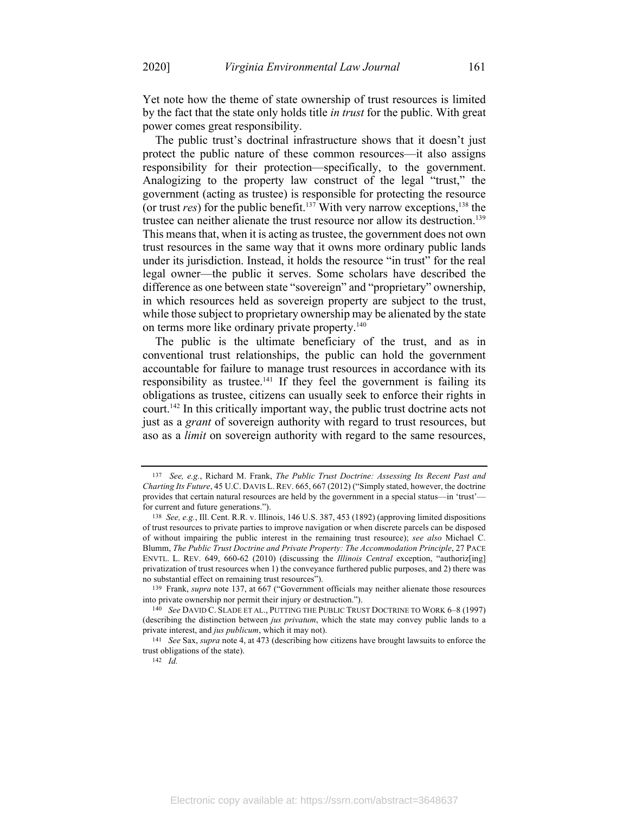Yet note how the theme of state ownership of trust resources is limited by the fact that the state only holds title *in trust* for the public. With great power comes great responsibility.

The public trust's doctrinal infrastructure shows that it doesn't just protect the public nature of these common resources—it also assigns responsibility for their protection—specifically, to the government. Analogizing to the property law construct of the legal "trust," the government (acting as trustee) is responsible for protecting the resource (or trust *res*) for the public benefit.<sup>137</sup> With very narrow exceptions,<sup>138</sup> the trustee can neither alienate the trust resource nor allow its destruction.<sup>139</sup> This means that, when it is acting as trustee, the government does not own trust resources in the same way that it owns more ordinary public lands under its jurisdiction. Instead, it holds the resource "in trust" for the real legal owner—the public it serves. Some scholars have described the difference as one between state "sovereign" and "proprietary" ownership, in which resources held as sovereign property are subject to the trust, while those subject to proprietary ownership may be alienated by the state on terms more like ordinary private property.<sup>140</sup>

The public is the ultimate beneficiary of the trust, and as in conventional trust relationships, the public can hold the government accountable for failure to manage trust resources in accordance with its responsibility as trustee.<sup>141</sup> If they feel the government is failing its obligations as trustee, citizens can usually seek to enforce their rights in court.142 In this critically important way, the public trust doctrine acts not just as a *grant* of sovereign authority with regard to trust resources, but aso as a *limit* on sovereign authority with regard to the same resources,

<sup>137</sup> *See, e.g.*, Richard M. Frank, *The Public Trust Doctrine: Assessing Its Recent Past and Charting Its Future*, 45 U.C. DAVIS L. REV. 665, 667 (2012) ("Simply stated, however, the doctrine provides that certain natural resources are held by the government in a special status—in 'trust'for current and future generations.").

<sup>138</sup> *See, e.g.*, Ill. Cent. R.R. v. Illinois, 146 U.S. 387, 453 (1892) (approving limited dispositions of trust resources to private parties to improve navigation or when discrete parcels can be disposed of without impairing the public interest in the remaining trust resource); *see also* Michael C. Blumm, *The Public Trust Doctrine and Private Property: The Accommodation Principle*, 27 PACE ENVTL. L. REV. 649, 660-62 (2010) (discussing the *Illinois Central* exception, "authoriz[ing] privatization of trust resources when 1) the conveyance furthered public purposes, and 2) there was no substantial effect on remaining trust resources").

<sup>139</sup> Frank, *supra* note 137, at 667 ("Government officials may neither alienate those resources into private ownership nor permit their injury or destruction.").

<sup>140</sup> *See* DAVID C. SLADE ET AL., PUTTING THE PUBLIC TRUST DOCTRINE TO WORK 6–8 (1997) (describing the distinction between *jus privatum*, which the state may convey public lands to a private interest, and *jus publicum*, which it may not).

<sup>141</sup> *See* Sax, *supra* note 4, at 473 (describing how citizens have brought lawsuits to enforce the trust obligations of the state).

<sup>142</sup> *Id.*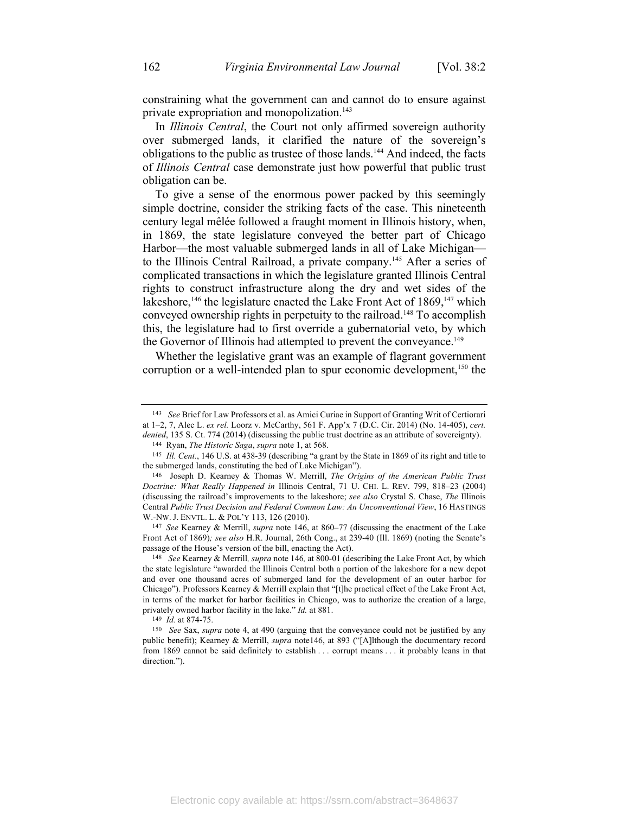constraining what the government can and cannot do to ensure against private expropriation and monopolization.<sup>143</sup>

In *Illinois Central*, the Court not only affirmed sovereign authority over submerged lands, it clarified the nature of the sovereign's obligations to the public as trustee of those lands.144 And indeed, the facts of *Illinois Central* case demonstrate just how powerful that public trust obligation can be.

To give a sense of the enormous power packed by this seemingly simple doctrine, consider the striking facts of the case. This nineteenth century legal mêlée followed a fraught moment in Illinois history, when, in 1869, the state legislature conveyed the better part of Chicago Harbor—the most valuable submerged lands in all of Lake Michigan to the Illinois Central Railroad, a private company.<sup>145</sup> After a series of complicated transactions in which the legislature granted Illinois Central rights to construct infrastructure along the dry and wet sides of the lakeshore,<sup>146</sup> the legislature enacted the Lake Front Act of  $1869$ ,<sup>147</sup> which conveyed ownership rights in perpetuity to the railroad.<sup>148</sup> To accomplish this, the legislature had to first override a gubernatorial veto, by which the Governor of Illinois had attempted to prevent the conveyance.<sup>149</sup>

Whether the legislative grant was an example of flagrant government corruption or a well-intended plan to spur economic development, $150$  the

<sup>143</sup> *See* Brief for Law Professors et al. as Amici Curiae in Support of Granting Writ of Certiorari at 1–2, 7, Alec L. *ex rel.* Loorz v. McCarthy, 561 F. App'x 7 (D.C. Cir. 2014) (No. 14-405), *cert. denied*, 135 S. Ct. 774 (2014) (discussing the public trust doctrine as an attribute of sovereignty).

<sup>144</sup> Ryan, *The Historic Saga*, *supra* note 1, at 568.

<sup>145</sup> *Ill. Cent.*, 146 U.S. at 438-39 (describing "a grant by the State in 1869 of its right and title to the submerged lands, constituting the bed of Lake Michigan").

<sup>146</sup> Joseph D. Kearney & Thomas W. Merrill, *The Origins of the American Public Trust Doctrine: What Really Happened in* Illinois Central, 71 U. CHI. L. REV. 799, 818–23 (2004) (discussing the railroad's improvements to the lakeshore; *see also* Crystal S. Chase, *The* Illinois Central *Public Trust Decision and Federal Common Law: An Unconventional View*, 16 HASTINGS W.-NW. J. ENVTL. L. & POL'Y 113, 126 (2010).

<sup>147</sup> *See* Kearney & Merrill, *supra* note 146, at 860–77 (discussing the enactment of the Lake Front Act of 1869)*; see also* H.R. Journal, 26th Cong., at 239-40 (Ill. 1869) (noting the Senate's passage of the House's version of the bill, enacting the Act).

<sup>148</sup> *See* Kearney & Merrill*, supra* note 146*,* at 800-01 (describing the Lake Front Act, by which the state legislature "awarded the Illinois Central both a portion of the lakeshore for a new depot and over one thousand acres of submerged land for the development of an outer harbor for Chicago"). Professors Kearney & Merrill explain that "[t]he practical effect of the Lake Front Act, in terms of the market for harbor facilities in Chicago, was to authorize the creation of a large, privately owned harbor facility in the lake." *Id.* at 881.

<sup>149</sup> *Id.* at 874-75.

<sup>150</sup> *See* Sax, *supra* note 4, at 490 (arguing that the conveyance could not be justified by any public benefit); Kearney & Merrill, *supra* note146, at 893 ("[A]lthough the documentary record from 1869 cannot be said definitely to establish . . . corrupt means . . . it probably leans in that direction.").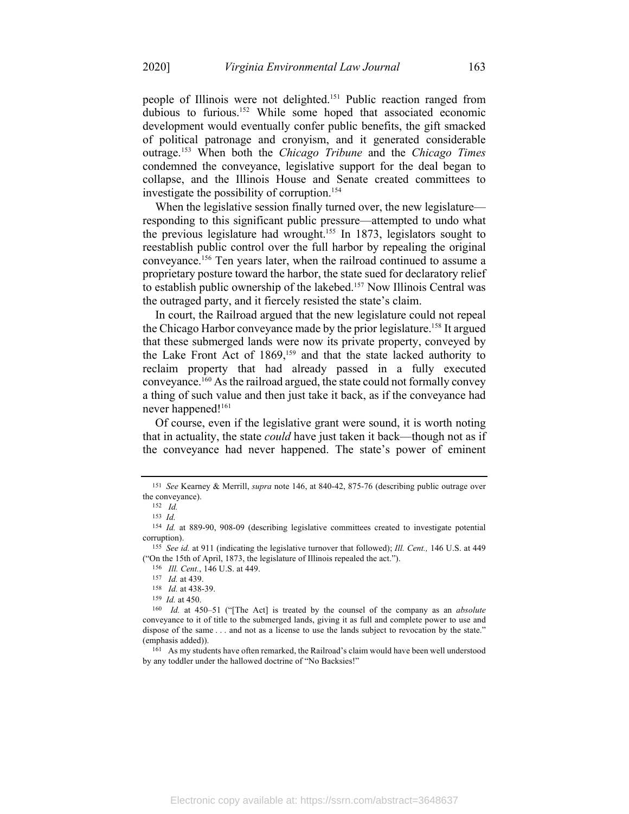people of Illinois were not delighted.151 Public reaction ranged from dubious to furious.152 While some hoped that associated economic development would eventually confer public benefits, the gift smacked of political patronage and cronyism, and it generated considerable outrage.153 When both the *Chicago Tribune* and the *Chicago Times* condemned the conveyance, legislative support for the deal began to collapse, and the Illinois House and Senate created committees to investigate the possibility of corruption.154

When the legislative session finally turned over, the new legislature responding to this significant public pressure—attempted to undo what the previous legislature had wrought.155 In 1873, legislators sought to reestablish public control over the full harbor by repealing the original conveyance.156 Ten years later, when the railroad continued to assume a proprietary posture toward the harbor, the state sued for declaratory relief to establish public ownership of the lakebed.<sup>157</sup> Now Illinois Central was the outraged party, and it fiercely resisted the state's claim.

In court, the Railroad argued that the new legislature could not repeal the Chicago Harbor conveyance made by the prior legislature.158 It argued that these submerged lands were now its private property, conveyed by the Lake Front Act of 1869,<sup>159</sup> and that the state lacked authority to reclaim property that had already passed in a fully executed conveyance.160 As the railroad argued, the state could not formally convey a thing of such value and then just take it back, as if the conveyance had never happened!<sup>161</sup>

Of course, even if the legislative grant were sound, it is worth noting that in actuality, the state *could* have just taken it back—though not as if the conveyance had never happened. The state's power of eminent

<sup>151</sup> *See* Kearney & Merrill, *supra* note 146, at 840-42, 875-76 (describing public outrage over the conveyance).

<sup>152</sup> *Id.*

<sup>153</sup> *Id.*

<sup>154</sup> *Id.* at 889-90, 908-09 (describing legislative committees created to investigate potential corruption).

<sup>155</sup> *See id.* at 911 (indicating the legislative turnover that followed); *Ill. Cent.,* 146 U.S. at 449 ("On the 15th of April, 1873, the legislature of Illinois repealed the act.").

<sup>156</sup> *Ill. Cent.*, 146 U.S. at 449.

<sup>157</sup> *Id.* at 439.

<sup>158</sup> *Id.* at 438-39.

<sup>159</sup> *Id.* at 450.

<sup>160</sup> *Id.* at 450–51 ("[The Act] is treated by the counsel of the company as an *absolute* conveyance to it of title to the submerged lands, giving it as full and complete power to use and dispose of the same . . . and not as a license to use the lands subject to revocation by the state." (emphasis added)).

<sup>161</sup> As my students have often remarked, the Railroad's claim would have been well understood by any toddler under the hallowed doctrine of "No Backsies!"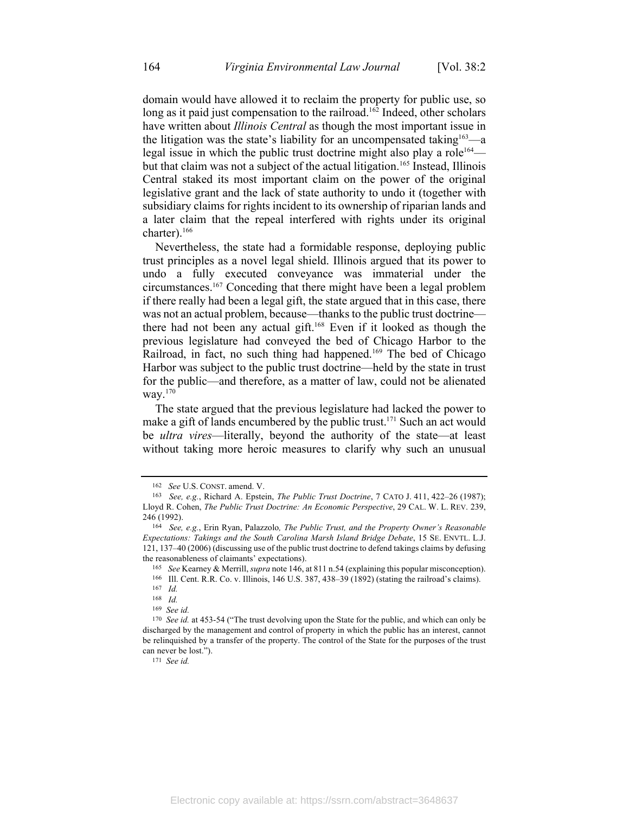domain would have allowed it to reclaim the property for public use, so long as it paid just compensation to the railroad.<sup>162</sup> Indeed, other scholars have written about *Illinois Central* as though the most important issue in the litigation was the state's liability for an uncompensated taking  $163$ —a legal issue in which the public trust doctrine might also play a role<sup>164</sup> but that claim was not a subject of the actual litigation.<sup>165</sup> Instead, Illinois Central staked its most important claim on the power of the original legislative grant and the lack of state authority to undo it (together with subsidiary claims for rights incident to its ownership of riparian lands and a later claim that the repeal interfered with rights under its original charter).<sup>166</sup>

Nevertheless, the state had a formidable response, deploying public trust principles as a novel legal shield. Illinois argued that its power to undo a fully executed conveyance was immaterial under the circumstances.167 Conceding that there might have been a legal problem if there really had been a legal gift, the state argued that in this case, there was not an actual problem, because—thanks to the public trust doctrine there had not been any actual gift. <sup>168</sup> Even if it looked as though the previous legislature had conveyed the bed of Chicago Harbor to the Railroad, in fact, no such thing had happened.<sup>169</sup> The bed of Chicago Harbor was subject to the public trust doctrine—held by the state in trust for the public—and therefore, as a matter of law, could not be alienated way. $170$ 

The state argued that the previous legislature had lacked the power to make a gift of lands encumbered by the public trust.<sup>171</sup> Such an act would be *ultra vires*—literally, beyond the authority of the state—at least without taking more heroic measures to clarify why such an unusual

<sup>162</sup> *See* U.S. CONST. amend. V.

<sup>163</sup> *See, e.g.*, Richard A. Epstein, *The Public Trust Doctrine*, 7 CATO J. 411, 422–26 (1987); Lloyd R. Cohen, *The Public Trust Doctrine: An Economic Perspective*, 29 CAL. W. L. REV. 239, 246 (1992).

<sup>164</sup> *See, e.g.*, Erin Ryan, Palazzolo*, The Public Trust, and the Property Owner's Reasonable Expectations: Takings and the South Carolina Marsh Island Bridge Debate*, 15 SE. ENVTL. L.J. 121, 137–40 (2006) (discussing use of the public trust doctrine to defend takings claims by defusing the reasonableness of claimants' expectations).

<sup>165</sup> *See* Kearney & Merrill, *supra* note 146, at 811 n.54 (explaining this popular misconception). 166 Ill. Cent. R.R. Co. v. Illinois, 146 U.S. 387, 438–39 (1892) (stating the railroad's claims).

<sup>167</sup> *Id.*

<sup>168</sup> *Id.*

<sup>169</sup> *See id.*

<sup>170</sup> *See id.* at 453-54 ("The trust devolving upon the State for the public, and which can only be discharged by the management and control of property in which the public has an interest, cannot be relinquished by a transfer of the property. The control of the State for the purposes of the trust can never be lost.").

<sup>171</sup> *See id.*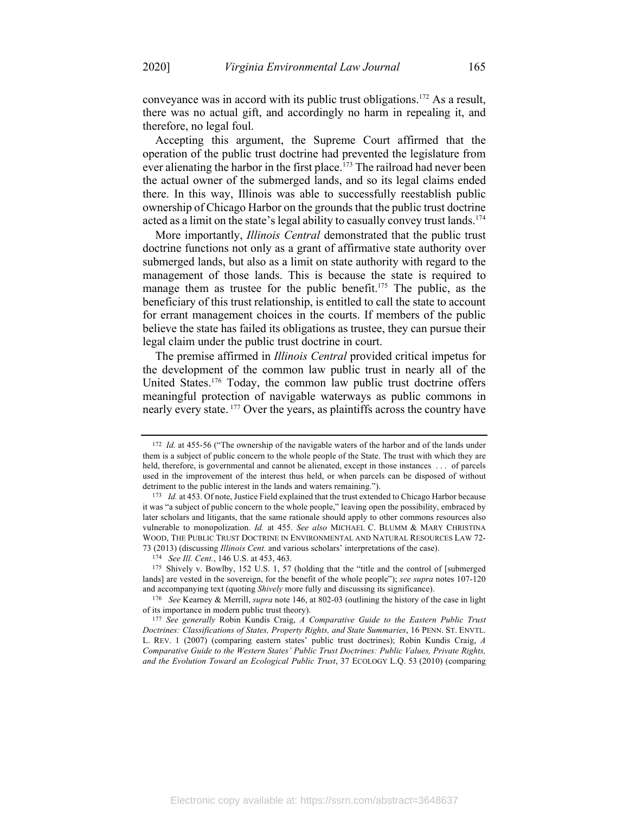conveyance was in accord with its public trust obligations.<sup>172</sup> As a result, there was no actual gift, and accordingly no harm in repealing it, and therefore, no legal foul.

Accepting this argument, the Supreme Court affirmed that the operation of the public trust doctrine had prevented the legislature from ever alienating the harbor in the first place.<sup>173</sup> The railroad had never been the actual owner of the submerged lands, and so its legal claims ended there. In this way, Illinois was able to successfully reestablish public ownership of Chicago Harbor on the grounds that the public trust doctrine acted as a limit on the state's legal ability to casually convey trust lands.<sup>174</sup>

More importantly, *Illinois Central* demonstrated that the public trust doctrine functions not only as a grant of affirmative state authority over submerged lands, but also as a limit on state authority with regard to the management of those lands. This is because the state is required to manage them as trustee for the public benefit.<sup>175</sup> The public, as the beneficiary of this trust relationship, is entitled to call the state to account for errant management choices in the courts. If members of the public believe the state has failed its obligations as trustee, they can pursue their legal claim under the public trust doctrine in court.

The premise affirmed in *Illinois Central* provided critical impetus for the development of the common law public trust in nearly all of the United States.<sup>176</sup> Today, the common law public trust doctrine offers meaningful protection of navigable waterways as public commons in nearly every state. <sup>177</sup> Over the years, as plaintiffs across the country have

<sup>172</sup> *Id.* at 455-56 ("The ownership of the navigable waters of the harbor and of the lands under them is a subject of public concern to the whole people of the State. The trust with which they are held, therefore, is governmental and cannot be alienated, except in those instances ... of parcels used in the improvement of the interest thus held, or when parcels can be disposed of without detriment to the public interest in the lands and waters remaining.").

<sup>173</sup> *Id.* at 453. Of note, Justice Field explained that the trust extended to Chicago Harbor because it was "a subject of public concern to the whole people," leaving open the possibility, embraced by later scholars and litigants, that the same rationale should apply to other commons resources also vulnerable to monopolization. *Id.* at 455. *See also* MICHAEL C. BLUMM & MARY CHRISTINA WOOD, THE PUBLIC TRUST DOCTRINE IN ENVIRONMENTAL AND NATURAL RESOURCES LAW 72- 73 (2013) (discussing *Illinois Cent.* and various scholars' interpretations of the case).

<sup>174</sup> *See Ill. Cent.*, 146 U.S. at 453, 463.

<sup>175</sup> Shively v. Bowlby, 152 U.S. 1, 57 (holding that the "title and the control of [submerged lands] are vested in the sovereign, for the benefit of the whole people"); *see supra* notes 107-120 and accompanying text (quoting *Shively* more fully and discussing its significance).

<sup>176</sup> *See* Kearney & Merrill, *supra* note 146, at 802-03 (outlining the history of the case in light of its importance in modern public trust theory).

<sup>177</sup> *See generally* Robin Kundis Craig, *A Comparative Guide to the Eastern Public Trust Doctrines: Classifications of States, Property Rights, and State Summaries*, 16 PENN. ST. ENVTL. L. REV. 1 (2007) (comparing eastern states' public trust doctrines); Robin Kundis Craig, *A Comparative Guide to the Western States' Public Trust Doctrines: Public Values, Private Rights, and the Evolution Toward an Ecological Public Trust*, 37 ECOLOGY L.Q. 53 (2010) (comparing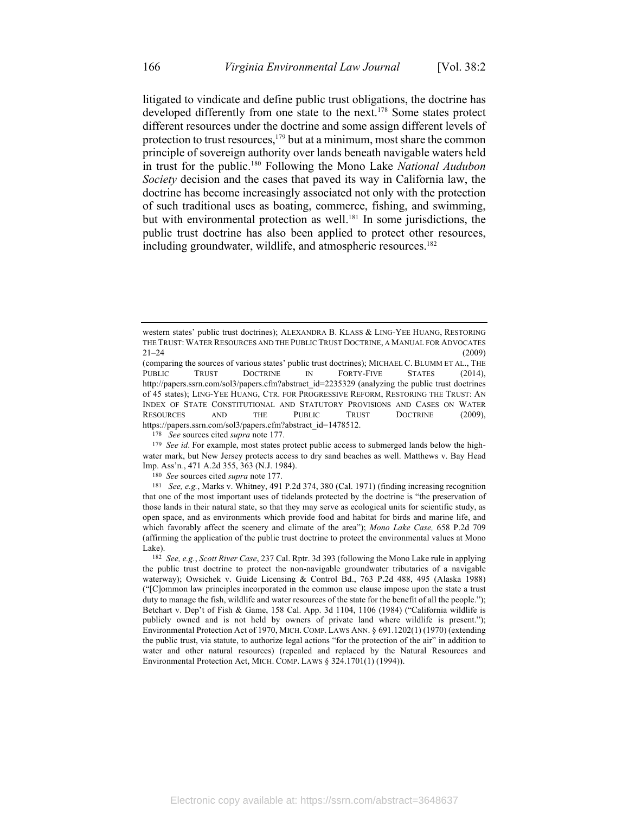litigated to vindicate and define public trust obligations, the doctrine has developed differently from one state to the next.<sup>178</sup> Some states protect different resources under the doctrine and some assign different levels of protection to trust resources,<sup>179</sup> but at a minimum, most share the common principle of sovereign authority over lands beneath navigable waters held in trust for the public.180 Following the Mono Lake *National Audubon Society* decision and the cases that paved its way in California law, the doctrine has become increasingly associated not only with the protection of such traditional uses as boating, commerce, fishing, and swimming, but with environmental protection as well.<sup>181</sup> In some jurisdictions, the public trust doctrine has also been applied to protect other resources, including groundwater, wildlife, and atmospheric resources.<sup>182</sup>

western states' public trust doctrines); ALEXANDRA B. KLASS & LING-YEE HUANG, RESTORING THE TRUST: WATER RESOURCES AND THE PUBLIC TRUST DOCTRINE, A MANUAL FOR ADVOCATES  $21-24$  (2009)

<sup>(</sup>comparing the sources of various states' public trust doctrines); MICHAEL C. BLUMM ET AL., THE PUBLIC TRUST DOCTRINE IN FORTY-FIVE STATES (2014), http://papers.ssrn.com/sol3/papers.cfm?abstract\_id=2235329 (analyzing the public trust doctrines of 45 states); LING-YEE HUANG, CTR. FOR PROGRESSIVE REFORM, RESTORING THE TRUST: AN INDEX OF STATE CONSTITUTIONAL AND STATUTORY PROVISIONS AND CASES ON WATER RESOURCES AND THE PUBLIC TRUST DOCTRINE (2009), https://papers.ssrn.com/sol3/papers.cfm?abstract\_id=1478512.

<sup>178</sup> *See* sources cited *supra* note 177.

<sup>179</sup> *See id*. For example, most states protect public access to submerged lands below the highwater mark, but New Jersey protects access to dry sand beaches as well. Matthews v. Bay Head Imp. Ass'n*.*, 471 A.2d 355, 363 (N.J. 1984).

<sup>180</sup> *See* sources cited *supra* note 177.

<sup>181</sup> *See, e.g.*, Marks v. Whitney, 491 P.2d 374, 380 (Cal. 1971) (finding increasing recognition that one of the most important uses of tidelands protected by the doctrine is "the preservation of those lands in their natural state, so that they may serve as ecological units for scientific study, as open space, and as environments which provide food and habitat for birds and marine life, and which favorably affect the scenery and climate of the area"); *Mono Lake Case,* 658 P.2d 709 (affirming the application of the public trust doctrine to protect the environmental values at Mono Lake).

<sup>182</sup> *See, e.g.*, *Scott River Case*, 237 Cal. Rptr. 3d 393 (following the Mono Lake rule in applying the public trust doctrine to protect the non-navigable groundwater tributaries of a navigable waterway); Owsichek v. Guide Licensing & Control Bd., 763 P.2d 488, 495 (Alaska 1988) ("[C]ommon law principles incorporated in the common use clause impose upon the state a trust duty to manage the fish, wildlife and water resources of the state for the benefit of all the people."); Betchart v. Dep't of Fish & Game, 158 Cal. App. 3d 1104, 1106 (1984) ("California wildlife is publicly owned and is not held by owners of private land where wildlife is present."); Environmental Protection Act of 1970, MICH. COMP. LAWS ANN. § 691.1202(1) (1970) (extending the public trust, via statute, to authorize legal actions "for the protection of the air" in addition to water and other natural resources) (repealed and replaced by the Natural Resources and Environmental Protection Act, MICH. COMP. LAWS § 324.1701(1) (1994)).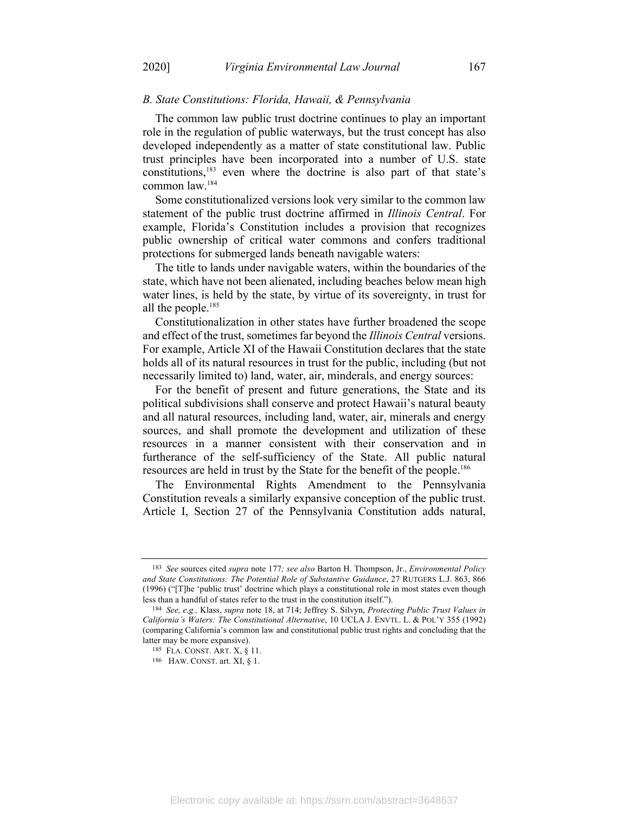## *B. State Constitutions: Florida, Hawaii, & Pennsylvania*

The common law public trust doctrine continues to play an important role in the regulation of public waterways, but the trust concept has also developed independently as a matter of state constitutional law. Public trust principles have been incorporated into a number of U.S. state constitutions, $183$  even where the doctrine is also part of that state's common law.184

Some constitutionalized versions look very similar to the common law statement of the public trust doctrine affirmed in *Illinois Central*. For example, Florida's Constitution includes a provision that recognizes public ownership of critical water commons and confers traditional protections for submerged lands beneath navigable waters:

The title to lands under navigable waters, within the boundaries of the state, which have not been alienated, including beaches below mean high water lines, is held by the state, by virtue of its sovereignty, in trust for all the people.185

Constitutionalization in other states have further broadened the scope and effect of the trust, sometimes far beyond the *Illinois Central* versions. For example, Article XI of the Hawaii Constitution declares that the state holds all of its natural resources in trust for the public, including (but not necessarily limited to) land, water, air, minderals, and energy sources:

For the benefit of present and future generations, the State and its political subdivisions shall conserve and protect Hawaii's natural beauty and all natural resources, including land, water, air, minerals and energy sources, and shall promote the development and utilization of these resources in a manner consistent with their conservation and in furtherance of the self-sufficiency of the State. All public natural resources are held in trust by the State for the benefit of the people.186

The Environmental Rights Amendment to the Pennsylvania Constitution reveals a similarly expansive conception of the public trust. Article I, Section 27 of the Pennsylvania Constitution adds natural,

<sup>183</sup> *See* sources cited *supra* note 177*; see also* Barton H. Thompson, Jr., *Environmental Policy and State Constitutions: The Potential Role of Substantive Guidance*, 27 RUTGERS L.J. 863, 866 (1996) ("[T]he 'public trust' doctrine which plays a constitutional role in most states even though less than a handful of states refer to the trust in the constitution itself.").

<sup>184</sup> *See, e.g.,* Klass, *supra* note 18, at 714; Jeffrey S. Silvyn, *Protecting Public Trust Values in California's Waters: The Constitutional Alternative*, 10 UCLA J. ENVTL. L. & POL'Y 355 (1992) (comparing California's common law and constitutional public trust rights and concluding that the latter may be more expansive).

<sup>185</sup> FLA. CONST. ART. X, § 11.

<sup>186</sup> HAW. CONST. art. XI, § 1.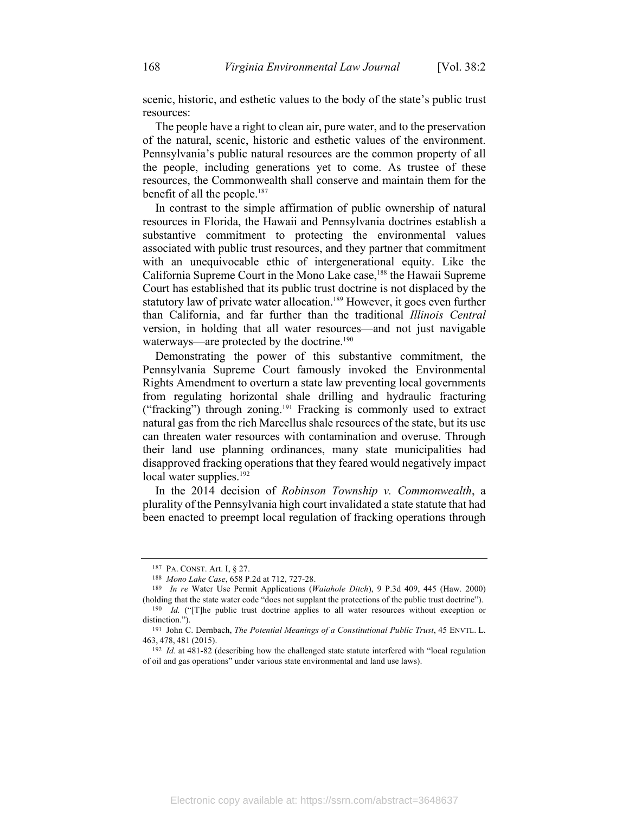scenic, historic, and esthetic values to the body of the state's public trust resources:

The people have a right to clean air, pure water, and to the preservation of the natural, scenic, historic and esthetic values of the environment. Pennsylvania's public natural resources are the common property of all the people, including generations yet to come. As trustee of these resources, the Commonwealth shall conserve and maintain them for the benefit of all the people.<sup>187</sup>

In contrast to the simple affirmation of public ownership of natural resources in Florida, the Hawaii and Pennsylvania doctrines establish a substantive commitment to protecting the environmental values associated with public trust resources, and they partner that commitment with an unequivocable ethic of intergenerational equity. Like the California Supreme Court in the Mono Lake case,<sup>188</sup> the Hawaii Supreme Court has established that its public trust doctrine is not displaced by the statutory law of private water allocation.<sup>189</sup> However, it goes even further than California, and far further than the traditional *Illinois Central* version, in holding that all water resources—and not just navigable waterways—are protected by the doctrine.<sup>190</sup>

Demonstrating the power of this substantive commitment, the Pennsylvania Supreme Court famously invoked the Environmental Rights Amendment to overturn a state law preventing local governments from regulating horizontal shale drilling and hydraulic fracturing ("fracking") through zoning.<sup>191</sup> Fracking is commonly used to extract natural gas from the rich Marcellus shale resources of the state, but its use can threaten water resources with contamination and overuse. Through their land use planning ordinances, many state municipalities had disapproved fracking operations that they feared would negatively impact local water supplies.<sup>192</sup>

In the 2014 decision of *Robinson Township v. Commonwealth*, a plurality of the Pennsylvania high court invalidated a state statute that had been enacted to preempt local regulation of fracking operations through

<sup>187</sup> PA. CONST. Art. I, § 27.

<sup>188</sup> *Mono Lake Case*, 658 P.2d at 712, 727-28.

<sup>189</sup> *In re* Water Use Permit Applications (*Waiahole Ditch*), 9 P.3d 409, 445 (Haw. 2000) (holding that the state water code "does not supplant the protections of the public trust doctrine").

<sup>190</sup> *Id.* ("[T]he public trust doctrine applies to all water resources without exception or distinction.").

<sup>191</sup> John C. Dernbach, *The Potential Meanings of a Constitutional Public Trust*, 45 ENVTL. L. 463, 478, 481 (2015).

<sup>192</sup> *Id.* at 481-82 (describing how the challenged state statute interfered with "local regulation of oil and gas operations" under various state environmental and land use laws).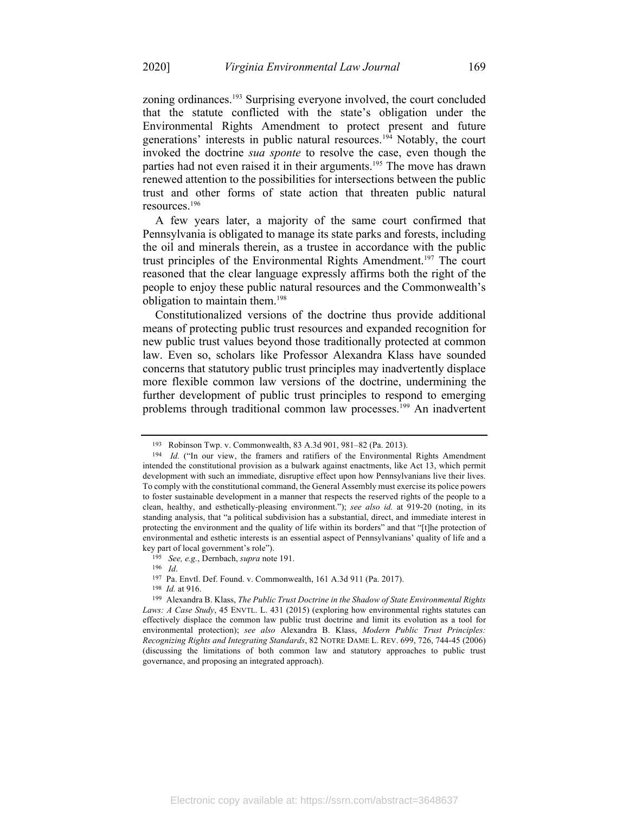zoning ordinances.<sup>193</sup> Surprising everyone involved, the court concluded that the statute conflicted with the state's obligation under the Environmental Rights Amendment to protect present and future generations' interests in public natural resources.194 Notably, the court invoked the doctrine *sua sponte* to resolve the case, even though the parties had not even raised it in their arguments.<sup>195</sup> The move has drawn renewed attention to the possibilities for intersections between the public trust and other forms of state action that threaten public natural resources.196

A few years later, a majority of the same court confirmed that Pennsylvania is obligated to manage its state parks and forests, including the oil and minerals therein, as a trustee in accordance with the public trust principles of the Environmental Rights Amendment.197 The court reasoned that the clear language expressly affirms both the right of the people to enjoy these public natural resources and the Commonwealth's obligation to maintain them.198

Constitutionalized versions of the doctrine thus provide additional means of protecting public trust resources and expanded recognition for new public trust values beyond those traditionally protected at common law. Even so, scholars like Professor Alexandra Klass have sounded concerns that statutory public trust principles may inadvertently displace more flexible common law versions of the doctrine, undermining the further development of public trust principles to respond to emerging problems through traditional common law processes.<sup>199</sup> An inadvertent

<sup>193</sup> Robinson Twp. v. Commonwealth, 83 A.3d 901, 981–82 (Pa. 2013).

<sup>194</sup> *Id.* ("In our view, the framers and ratifiers of the Environmental Rights Amendment intended the constitutional provision as a bulwark against enactments, like Act 13, which permit development with such an immediate, disruptive effect upon how Pennsylvanians live their lives. To comply with the constitutional command, the General Assembly must exercise its police powers to foster sustainable development in a manner that respects the reserved rights of the people to a clean, healthy, and esthetically-pleasing environment."); *see also id.* at 919-20 (noting, in its standing analysis, that "a political subdivision has a substantial, direct, and immediate interest in protecting the environment and the quality of life within its borders" and that "[t]he protection of environmental and esthetic interests is an essential aspect of Pennsylvanians' quality of life and a key part of local government's role").

<sup>195</sup> *See, e.g.*, Dernbach, *supra* note 191.

<sup>196</sup> *Id*.

<sup>197</sup> Pa. Envtl. Def. Found. v. Commonwealth, 161 A.3d 911 (Pa. 2017).

<sup>198</sup> *Id.* at 916.

<sup>199</sup> Alexandra B. Klass, *The Public Trust Doctrine in the Shadow of State Environmental Rights*  Laws: A Case Study, 45 ENVTL. L. 431 (2015) (exploring how environmental rights statutes can effectively displace the common law public trust doctrine and limit its evolution as a tool for environmental protection); *see also* Alexandra B. Klass, *Modern Public Trust Principles: Recognizing Rights and Integrating Standards*, 82 NOTRE DAME L. REV. 699, 726, 744-45 (2006) (discussing the limitations of both common law and statutory approaches to public trust governance, and proposing an integrated approach).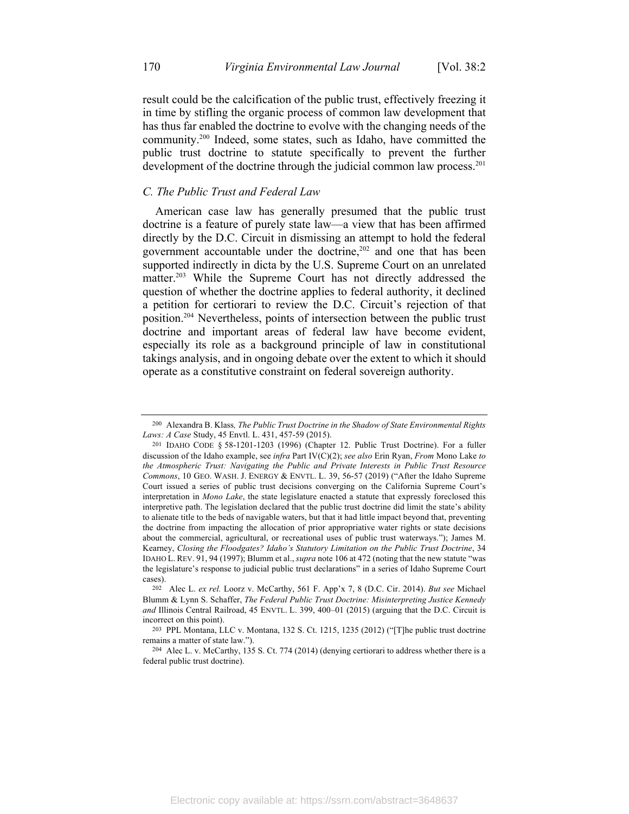result could be the calcification of the public trust, effectively freezing it in time by stifling the organic process of common law development that has thus far enabled the doctrine to evolve with the changing needs of the community.200 Indeed, some states, such as Idaho, have committed the public trust doctrine to statute specifically to prevent the further development of the doctrine through the judicial common law process.<sup>201</sup>

# *C. The Public Trust and Federal Law*

American case law has generally presumed that the public trust doctrine is a feature of purely state law—a view that has been affirmed directly by the D.C. Circuit in dismissing an attempt to hold the federal government accountable under the doctrine,<sup>202</sup> and one that has been supported indirectly in dicta by the U.S. Supreme Court on an unrelated matter.<sup>203</sup> While the Supreme Court has not directly addressed the question of whether the doctrine applies to federal authority, it declined a petition for certiorari to review the D.C. Circuit's rejection of that position.204 Nevertheless, points of intersection between the public trust doctrine and important areas of federal law have become evident, especially its role as a background principle of law in constitutional takings analysis, and in ongoing debate over the extent to which it should operate as a constitutive constraint on federal sovereign authority.

<sup>200</sup> Alexandra B. Klass*, The Public Trust Doctrine in the Shadow of State Environmental Rights Laws: A Case* Study, 45 Envtl. L. 431, 457-59 (2015).

<sup>201</sup> IDAHO CODE § 58-1201-1203 (1996) (Chapter 12. Public Trust Doctrine). For a fuller discussion of the Idaho example, see *infra* Part IV(C)(2); *see also* Erin Ryan, *From* Mono Lake *to the Atmospheric Trust: Navigating the Public and Private Interests in Public Trust Resource Commons*, 10 GEO. WASH. J. ENERGY & ENVTL. L. 39, 56-57 (2019) ("After the Idaho Supreme Court issued a series of public trust decisions converging on the California Supreme Court's interpretation in *Mono Lake*, the state legislature enacted a statute that expressly foreclosed this interpretive path. The legislation declared that the public trust doctrine did limit the state's ability to alienate title to the beds of navigable waters, but that it had little impact beyond that, preventing the doctrine from impacting the allocation of prior appropriative water rights or state decisions about the commercial, agricultural, or recreational uses of public trust waterways."); James M. Kearney, *Closing the Floodgates? Idaho's Statutory Limitation on the Public Trust Doctrine*, 34 IDAHO L. REV. 91, 94 (1997); Blumm et al., *supra* note 106 at 472 (noting that the new statute "was the legislature's response to judicial public trust declarations" in a series of Idaho Supreme Court cases).

<sup>202</sup> Alec L. *ex rel.* Loorz v. McCarthy, 561 F. App'x 7, 8 (D.C. Cir. 2014). *But see* Michael Blumm & Lynn S. Schaffer, *The Federal Public Trust Doctrine: Misinterpreting Justice Kennedy and* Illinois Central Railroad, 45 ENVTL. L. 399, 400–01 (2015) (arguing that the D.C. Circuit is incorrect on this point).

<sup>203</sup> PPL Montana, LLC v. Montana, 132 S. Ct. 1215, 1235 (2012) ("[T]he public trust doctrine remains a matter of state law.").

<sup>204</sup> Alec L. v. McCarthy, 135 S. Ct. 774 (2014) (denying certiorari to address whether there is a federal public trust doctrine).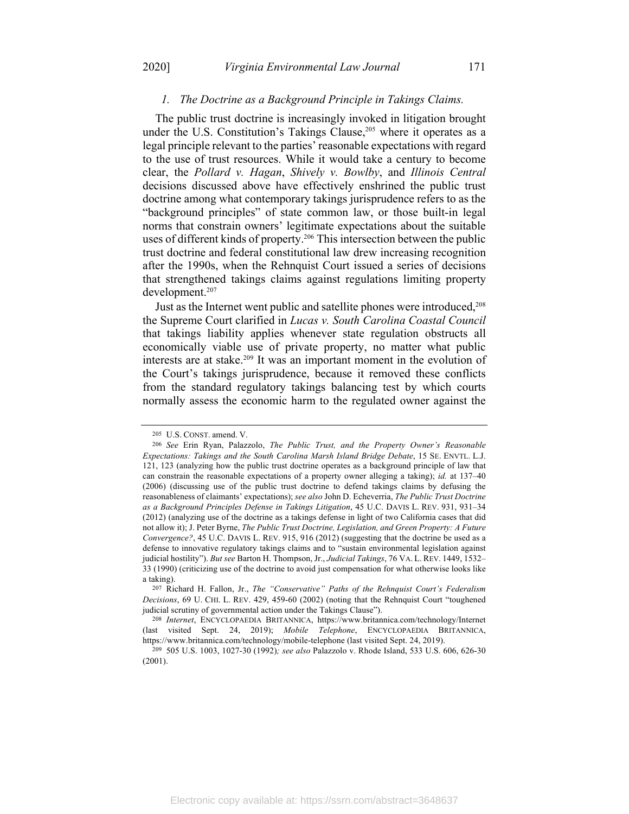# *1. The Doctrine as a Background Principle in Takings Claims.*

The public trust doctrine is increasingly invoked in litigation brought under the U.S. Constitution's Takings Clause, $205$  where it operates as a legal principle relevant to the parties' reasonable expectations with regard to the use of trust resources. While it would take a century to become clear, the *Pollard v. Hagan*, *Shively v. Bowlby*, and *Illinois Central* decisions discussed above have effectively enshrined the public trust doctrine among what contemporary takings jurisprudence refers to as the "background principles" of state common law, or those built-in legal norms that constrain owners' legitimate expectations about the suitable uses of different kinds of property.<sup>206</sup> This intersection between the public trust doctrine and federal constitutional law drew increasing recognition after the 1990s, when the Rehnquist Court issued a series of decisions that strengthened takings claims against regulations limiting property development.207

Just as the Internet went public and satellite phones were introduced,<sup>208</sup> the Supreme Court clarified in *Lucas v. South Carolina Coastal Council* that takings liability applies whenever state regulation obstructs all economically viable use of private property, no matter what public interests are at stake.<sup>209</sup> It was an important moment in the evolution of the Court's takings jurisprudence, because it removed these conflicts from the standard regulatory takings balancing test by which courts normally assess the economic harm to the regulated owner against the

<sup>205</sup> U.S. CONST. amend. V.

<sup>206</sup> *See* Erin Ryan, Palazzolo, *The Public Trust, and the Property Owner's Reasonable Expectations: Takings and the South Carolina Marsh Island Bridge Debate*, 15 SE. ENVTL. L.J. 121, 123 (analyzing how the public trust doctrine operates as a background principle of law that can constrain the reasonable expectations of a property owner alleging a taking); *id.* at 137–40 (2006) (discussing use of the public trust doctrine to defend takings claims by defusing the reasonableness of claimants' expectations); *see also* John D. Echeverria, *The Public Trust Doctrine as a Background Principles Defense in Takings Litigation*, 45 U.C. DAVIS L. REV. 931, 931–34 (2012) (analyzing use of the doctrine as a takings defense in light of two California cases that did not allow it); J. Peter Byrne, *The Public Trust Doctrine, Legislation, and Green Property: A Future Convergence?*, 45 U.C. DAVIS L. REV. 915, 916 (2012) (suggesting that the doctrine be used as a defense to innovative regulatory takings claims and to "sustain environmental legislation against judicial hostility"). *But see* Barton H. Thompson, Jr., *Judicial Takings*, 76 VA. L. REV. 1449, 1532– 33 (1990) (criticizing use of the doctrine to avoid just compensation for what otherwise looks like a taking).

<sup>207</sup> Richard H. Fallon, Jr., *The "Conservative" Paths of the Rehnquist Court's Federalism Decisions*, 69 U. CHI. L. REV. 429, 459-60 (2002) (noting that the Rehnquist Court "toughened judicial scrutiny of governmental action under the Takings Clause").

<sup>208</sup> *Internet*, ENCYCLOPAEDIA BRITANNICA, https://www.britannica.com/technology/Internet (last visited Sept. 24, 2019); *Mobile Telephone*, ENCYCLOPAEDIA BRITANNICA, https://www.britannica.com/technology/mobile-telephone (last visited Sept. 24, 2019).

<sup>209</sup> 505 U.S. 1003, 1027-30 (1992)*; see also* Palazzolo v. Rhode Island, 533 U.S. 606, 626-30 (2001).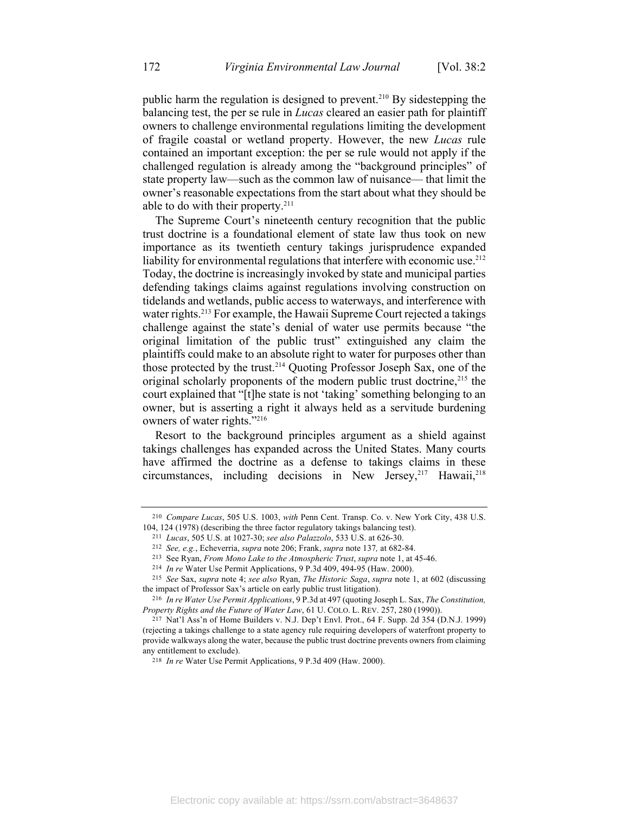public harm the regulation is designed to prevent.210 By sidestepping the balancing test, the per se rule in *Lucas* cleared an easier path for plaintiff owners to challenge environmental regulations limiting the development of fragile coastal or wetland property. However, the new *Lucas* rule contained an important exception: the per se rule would not apply if the challenged regulation is already among the "background principles" of state property law—such as the common law of nuisance— that limit the owner's reasonable expectations from the start about what they should be able to do with their property. $211$ 

The Supreme Court's nineteenth century recognition that the public trust doctrine is a foundational element of state law thus took on new importance as its twentieth century takings jurisprudence expanded liability for environmental regulations that interfere with economic use.<sup>212</sup> Today, the doctrine is increasingly invoked by state and municipal parties defending takings claims against regulations involving construction on tidelands and wetlands, public access to waterways, and interference with water rights.<sup>213</sup> For example, the Hawaii Supreme Court rejected a takings challenge against the state's denial of water use permits because "the original limitation of the public trust" extinguished any claim the plaintiffs could make to an absolute right to water for purposes other than those protected by the trust.<sup>214</sup> Quoting Professor Joseph Sax, one of the original scholarly proponents of the modern public trust doctrine,<sup>215</sup> the court explained that "[t]he state is not 'taking' something belonging to an owner, but is asserting a right it always held as a servitude burdening owners of water rights."216

Resort to the background principles argument as a shield against takings challenges has expanded across the United States. Many courts have affirmed the doctrine as a defense to takings claims in these circumstances, including decisions in New Jersey,  $217$  Hawaii,  $218$ 

<sup>210</sup> *Compare Lucas*, 505 U.S. 1003, *with* Penn Cent. Transp. Co. v. New York City, 438 U.S. 104, 124 (1978) (describing the three factor regulatory takings balancing test).

<sup>211</sup> *Lucas*, 505 U.S. at 1027-30; *see also Palazzolo*, 533 U.S. at 626-30.

<sup>212</sup> *See, e.g.*, Echeverria, *supra* note 206; Frank, *supra* note 137*,* at 682-84.

<sup>213</sup> See Ryan, *From Mono Lake to the Atmospheric Trust*, *supra* note 1, at 45-46.

<sup>214</sup> *In re* Water Use Permit Applications, 9 P.3d 409, 494-95 (Haw. 2000).

<sup>215</sup> *See* Sax, *supra* note 4; *see also* Ryan, *The Historic Saga*, *supra* note 1, at 602 (discussing the impact of Professor Sax's article on early public trust litigation).

<sup>216</sup> *In re Water Use Permit Applications*, 9 P.3d at 497 (quoting Joseph L. Sax, *The Constitution, Property Rights and the Future of Water Law*, 61 U. COLO. L. REV. 257, 280 (1990)).

<sup>217</sup> Nat'l Ass'n of Home Builders v. N.J. Dep't Envl. Prot., 64 F. Supp. 2d 354 (D.N.J. 1999) (rejecting a takings challenge to a state agency rule requiring developers of waterfront property to provide walkways along the water, because the public trust doctrine prevents owners from claiming any entitlement to exclude).

<sup>218</sup> *In re* Water Use Permit Applications, 9 P.3d 409 (Haw. 2000).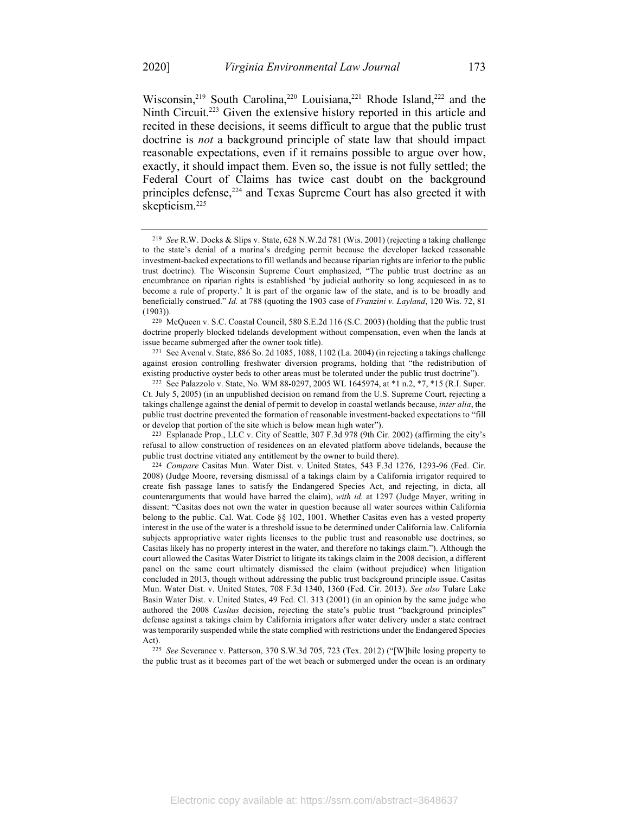Wisconsin,<sup>219</sup> South Carolina,<sup>220</sup> Louisiana,<sup>221</sup> Rhode Island,<sup>222</sup> and the Ninth Circuit.<sup>223</sup> Given the extensive history reported in this article and recited in these decisions, it seems difficult to argue that the public trust doctrine is *not* a background principle of state law that should impact reasonable expectations, even if it remains possible to argue over how, exactly, it should impact them. Even so, the issue is not fully settled; the Federal Court of Claims has twice cast doubt on the background principles defense,<sup>224</sup> and Texas Supreme Court has also greeted it with skepticism.<sup>225</sup>

220 McQueen v. S.C. Coastal Council, 580 S.E.2d 116 (S.C. 2003) (holding that the public trust doctrine properly blocked tidelands development without compensation, even when the lands at issue became submerged after the owner took title).

221 See Avenal v. State, 886 So. 2d 1085, 1088, 1102 (La. 2004) (in rejecting a takings challenge against erosion controlling freshwater diversion programs, holding that "the redistribution of existing productive oyster beds to other areas must be tolerated under the public trust doctrine").

223 Esplanade Prop., LLC v. City of Seattle, 307 F.3d 978 (9th Cir. 2002) (affirming the city's refusal to allow construction of residences on an elevated platform above tidelands, because the public trust doctrine vitiated any entitlement by the owner to build there).

224 *Compare* Casitas Mun. Water Dist. v. United States, 543 F.3d 1276, 1293-96 (Fed. Cir. 2008) (Judge Moore, reversing dismissal of a takings claim by a California irrigator required to create fish passage lanes to satisfy the Endangered Species Act, and rejecting, in dicta, all counterarguments that would have barred the claim), *with id.* at 1297 (Judge Mayer, writing in dissent: "Casitas does not own the water in question because all water sources within California belong to the public. Cal. Wat. Code §§ 102, 1001. Whether Casitas even has a vested property interest in the use of the water is a threshold issue to be determined under California law. California subjects appropriative water rights licenses to the public trust and reasonable use doctrines, so Casitas likely has no property interest in the water, and therefore no takings claim."). Although the court allowed the Casitas Water District to litigate its takings claim in the 2008 decision, a different panel on the same court ultimately dismissed the claim (without prejudice) when litigation concluded in 2013, though without addressing the public trust background principle issue. Casitas Mun. Water Dist. v. United States, 708 F.3d 1340, 1360 (Fed. Cir. 2013). *See also* Tulare Lake Basin Water Dist. v. United States, 49 Fed. Cl. 313 (2001) (in an opinion by the same judge who authored the 2008 *Casitas* decision, rejecting the state's public trust "background principles" defense against a takings claim by California irrigators after water delivery under a state contract was temporarily suspended while the state complied with restrictions under the Endangered Species Act).

225 *See* Severance v. Patterson, 370 S.W.3d 705, 723 (Tex. 2012) ("[W]hile losing property to the public trust as it becomes part of the wet beach or submerged under the ocean is an ordinary

<sup>219</sup> *See* R.W. Docks & Slips v. State, 628 N.W.2d 781 (Wis. 2001) (rejecting a taking challenge to the state's denial of a marina's dredging permit because the developer lacked reasonable investment-backed expectations to fill wetlands and because riparian rights are inferior to the public trust doctrine). The Wisconsin Supreme Court emphasized, "The public trust doctrine as an encumbrance on riparian rights is established 'by judicial authority so long acquiesced in as to become a rule of property.' It is part of the organic law of the state, and is to be broadly and beneficially construed." *Id.* at 788 (quoting the 1903 case of *Franzini v. Layland*, 120 Wis. 72, 81 (1903)).

<sup>222</sup> See Palazzolo v. State, No. WM 88-0297, 2005 WL 1645974, at \*1 n.2, \*7, \*15 (R.I. Super. Ct. July 5, 2005) (in an unpublished decision on remand from the U.S. Supreme Court, rejecting a takings challenge against the denial of permit to develop in coastal wetlands because, *inter alia*, the public trust doctrine prevented the formation of reasonable investment-backed expectations to "fill or develop that portion of the site which is below mean high water").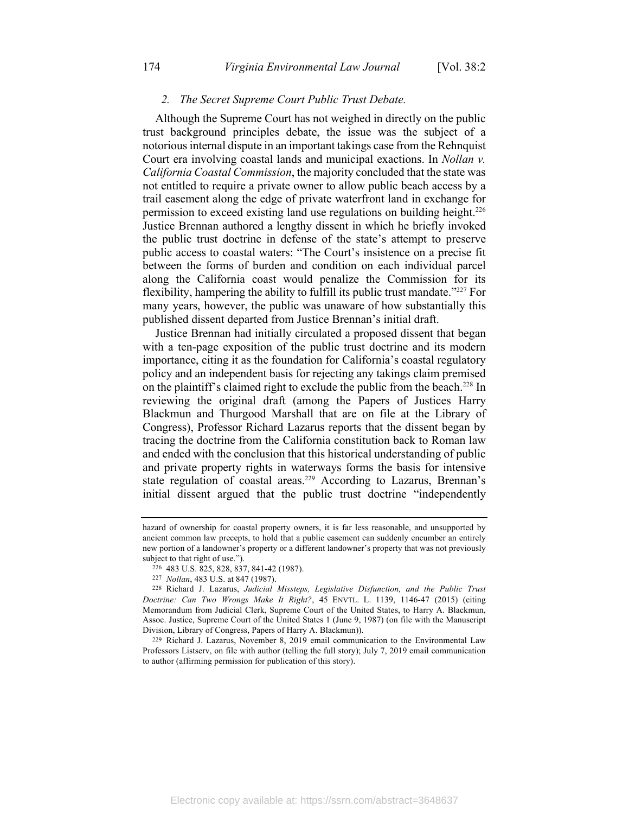# *2. The Secret Supreme Court Public Trust Debate.*

Although the Supreme Court has not weighed in directly on the public trust background principles debate, the issue was the subject of a notorious internal dispute in an important takings case from the Rehnquist Court era involving coastal lands and municipal exactions. In *Nollan v. California Coastal Commission*, the majority concluded that the state was not entitled to require a private owner to allow public beach access by a trail easement along the edge of private waterfront land in exchange for permission to exceed existing land use regulations on building height.226 Justice Brennan authored a lengthy dissent in which he briefly invoked the public trust doctrine in defense of the state's attempt to preserve public access to coastal waters: "The Court's insistence on a precise fit between the forms of burden and condition on each individual parcel along the California coast would penalize the Commission for its flexibility, hampering the ability to fulfill its public trust mandate.<sup> $227$ </sup> For many years, however, the public was unaware of how substantially this published dissent departed from Justice Brennan's initial draft.

Justice Brennan had initially circulated a proposed dissent that began with a ten-page exposition of the public trust doctrine and its modern importance, citing it as the foundation for California's coastal regulatory policy and an independent basis for rejecting any takings claim premised on the plaintiff's claimed right to exclude the public from the beach.<sup>228</sup> In reviewing the original draft (among the Papers of Justices Harry Blackmun and Thurgood Marshall that are on file at the Library of Congress), Professor Richard Lazarus reports that the dissent began by tracing the doctrine from the California constitution back to Roman law and ended with the conclusion that this historical understanding of public and private property rights in waterways forms the basis for intensive state regulation of coastal areas.<sup>229</sup> According to Lazarus, Brennan's initial dissent argued that the public trust doctrine "independently

229 Richard J. Lazarus, November 8, 2019 email communication to the Environmental Law Professors Listserv, on file with author (telling the full story); July 7, 2019 email communication to author (affirming permission for publication of this story).

hazard of ownership for coastal property owners, it is far less reasonable, and unsupported by ancient common law precepts, to hold that a public easement can suddenly encumber an entirely new portion of a landowner's property or a different landowner's property that was not previously subject to that right of use.").

<sup>226</sup> 483 U.S. 825, 828, 837, 841-42 (1987).

<sup>227</sup> *Nollan*, 483 U.S. at 847 (1987).

<sup>228</sup> Richard J. Lazarus, *Judicial Missteps, Legislative Disfunction, and the Public Trust Doctrine: Can Two Wrongs Make It Right?*, 45 ENVTL. L. 1139, 1146-47 (2015) (citing Memorandum from Judicial Clerk, Supreme Court of the United States, to Harry A. Blackmun, Assoc. Justice, Supreme Court of the United States 1 (June 9, 1987) (on file with the Manuscript Division, Library of Congress, Papers of Harry A. Blackmun)).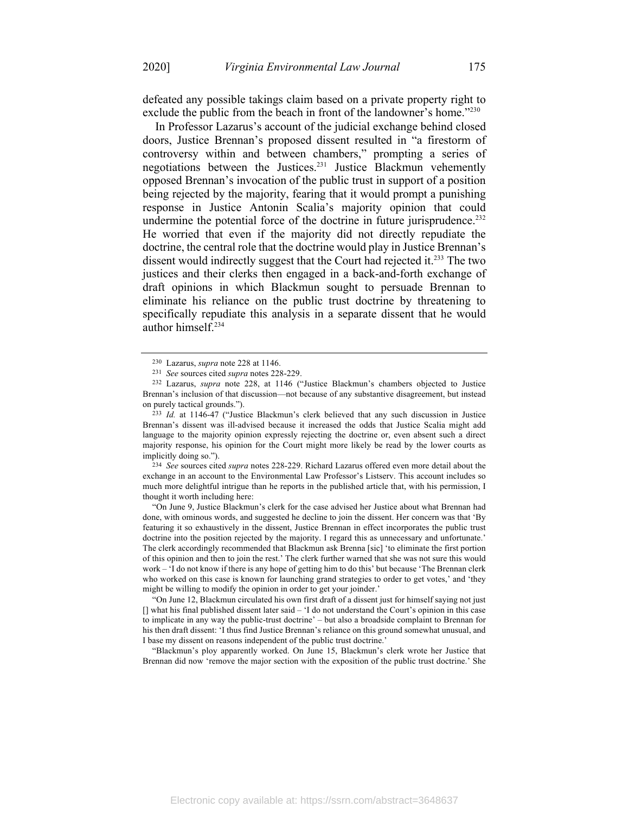defeated any possible takings claim based on a private property right to exclude the public from the beach in front of the landowner's home."<sup>230</sup>

In Professor Lazarus's account of the judicial exchange behind closed doors, Justice Brennan's proposed dissent resulted in "a firestorm of controversy within and between chambers," prompting a series of negotiations between the Justices.231 Justice Blackmun vehemently opposed Brennan's invocation of the public trust in support of a position being rejected by the majority, fearing that it would prompt a punishing response in Justice Antonin Scalia's majority opinion that could undermine the potential force of the doctrine in future jurisprudence.<sup>232</sup> He worried that even if the majority did not directly repudiate the doctrine, the central role that the doctrine would play in Justice Brennan's dissent would indirectly suggest that the Court had rejected it.<sup>233</sup> The two justices and their clerks then engaged in a back-and-forth exchange of draft opinions in which Blackmun sought to persuade Brennan to eliminate his reliance on the public trust doctrine by threatening to specifically repudiate this analysis in a separate dissent that he would author himself.234

234 *See* sources cited *supra* notes 228-229. Richard Lazarus offered even more detail about the exchange in an account to the Environmental Law Professor's Listserv. This account includes so much more delightful intrigue than he reports in the published article that, with his permission, I thought it worth including here:

"On June 9, Justice Blackmun's clerk for the case advised her Justice about what Brennan had done, with ominous words, and suggested he decline to join the dissent. Her concern was that 'By featuring it so exhaustively in the dissent, Justice Brennan in effect incorporates the public trust doctrine into the position rejected by the majority. I regard this as unnecessary and unfortunate.' The clerk accordingly recommended that Blackmun ask Brenna [sic] 'to eliminate the first portion of this opinion and then to join the rest.' The clerk further warned that she was not sure this would work – 'I do not know if there is any hope of getting him to do this' but because 'The Brennan clerk who worked on this case is known for launching grand strategies to order to get votes,' and 'they might be willing to modify the opinion in order to get your joinder.'

"On June 12, Blackmun circulated his own first draft of a dissent just for himself saying not just [] what his final published dissent later said – 'I do not understand the Court's opinion in this case to implicate in any way the public-trust doctrine' – but also a broadside complaint to Brennan for his then draft dissent: 'I thus find Justice Brennan's reliance on this ground somewhat unusual, and I base my dissent on reasons independent of the public trust doctrine.'

"Blackmun's ploy apparently worked. On June 15, Blackmun's clerk wrote her Justice that Brennan did now 'remove the major section with the exposition of the public trust doctrine.' She

<sup>230</sup> Lazarus, *supra* note 228 at 1146.

<sup>231</sup> *See* sources cited *supra* notes 228-229.

<sup>232</sup> Lazarus, *supra* note 228, at 1146 ("Justice Blackmun's chambers objected to Justice Brennan's inclusion of that discussion—not because of any substantive disagreement, but instead on purely tactical grounds.").

<sup>233</sup> *Id.* at 1146-47 ("Justice Blackmun's clerk believed that any such discussion in Justice Brennan's dissent was ill-advised because it increased the odds that Justice Scalia might add language to the majority opinion expressly rejecting the doctrine or, even absent such a direct majority response, his opinion for the Court might more likely be read by the lower courts as implicitly doing so.").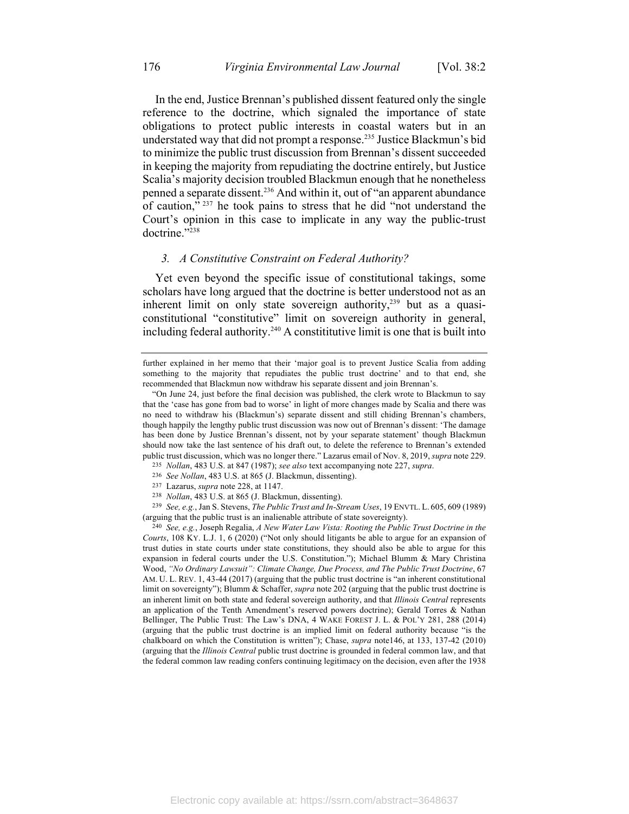In the end, Justice Brennan's published dissent featured only the single reference to the doctrine, which signaled the importance of state obligations to protect public interests in coastal waters but in an understated way that did not prompt a response.<sup>235</sup> Justice Blackmun's bid to minimize the public trust discussion from Brennan's dissent succeeded in keeping the majority from repudiating the doctrine entirely, but Justice Scalia's majority decision troubled Blackmun enough that he nonetheless penned a separate dissent.236 And within it, out of "an apparent abundance of caution,"<sup>237</sup> he took pains to stress that he did "not understand the Court's opinion in this case to implicate in any way the public-trust doctrine."<sup>238</sup>

# *3. A Constitutive Constraint on Federal Authority?*

Yet even beyond the specific issue of constitutional takings, some scholars have long argued that the doctrine is better understood not as an inherent limit on only state sovereign authority, $239$  but as a quasiconstitutional "constitutive" limit on sovereign authority in general, including federal authority.<sup>240</sup> A constititutive limit is one that is built into

- 237 Lazarus, *supra* note 228, at 1147.
- 238 *Nollan*, 483 U.S. at 865 (J. Blackmun, dissenting).

239 *See, e.g.*, Jan S. Stevens, *The Public Trust and In-Stream Uses*, 19 ENVTL. L. 605, 609 (1989) (arguing that the public trust is an inalienable attribute of state sovereignty).

240 *See, e.g.*, Joseph Regalia, *A New Water Law Vista: Rooting the Public Trust Doctrine in the Courts*, 108 KY. L.J. 1, 6 (2020) ("Not only should litigants be able to argue for an expansion of trust duties in state courts under state constitutions, they should also be able to argue for this expansion in federal courts under the U.S. Constitution."); Michael Blumm & Mary Christina Wood, *"No Ordinary Lawsuit": Climate Change, Due Process, and The Public Trust Doctrine*, 67 AM. U. L. REV. 1, 43-44 (2017) (arguing that the public trust doctrine is "an inherent constitutional limit on sovereignty"); Blumm & Schaffer, *supra* note 202 (arguing that the public trust doctrine is an inherent limit on both state and federal sovereign authority, and that *Illinois Central* represents an application of the Tenth Amendment's reserved powers doctrine); Gerald Torres & Nathan Bellinger, The Public Trust: The Law's DNA, 4 WAKE FOREST J. L. & POL'Y 281, 288 (2014) (arguing that the public trust doctrine is an implied limit on federal authority because "is the chalkboard on which the Constitution is written"); Chase, *supra* note146, at 133, 137-42 (2010) (arguing that the *Illinois Central* public trust doctrine is grounded in federal common law, and that the federal common law reading confers continuing legitimacy on the decision, even after the 1938

further explained in her memo that their 'major goal is to prevent Justice Scalia from adding something to the majority that repudiates the public trust doctrine' and to that end, she recommended that Blackmun now withdraw his separate dissent and join Brennan's.

<sup>&</sup>quot;On June 24, just before the final decision was published, the clerk wrote to Blackmun to say that the 'case has gone from bad to worse' in light of more changes made by Scalia and there was no need to withdraw his (Blackmun's) separate dissent and still chiding Brennan's chambers, though happily the lengthy public trust discussion was now out of Brennan's dissent: 'The damage has been done by Justice Brennan's dissent, not by your separate statement' though Blackmun should now take the last sentence of his draft out, to delete the reference to Brennan's extended public trust discussion, which was no longer there." Lazarus email of Nov. 8, 2019, *supra* note 229.

<sup>235</sup> *Nollan*, 483 U.S. at 847 (1987); *see also* text accompanying note 227, *supra*.

<sup>236</sup> *See Nollan*, 483 U.S. at 865 (J. Blackmun, dissenting).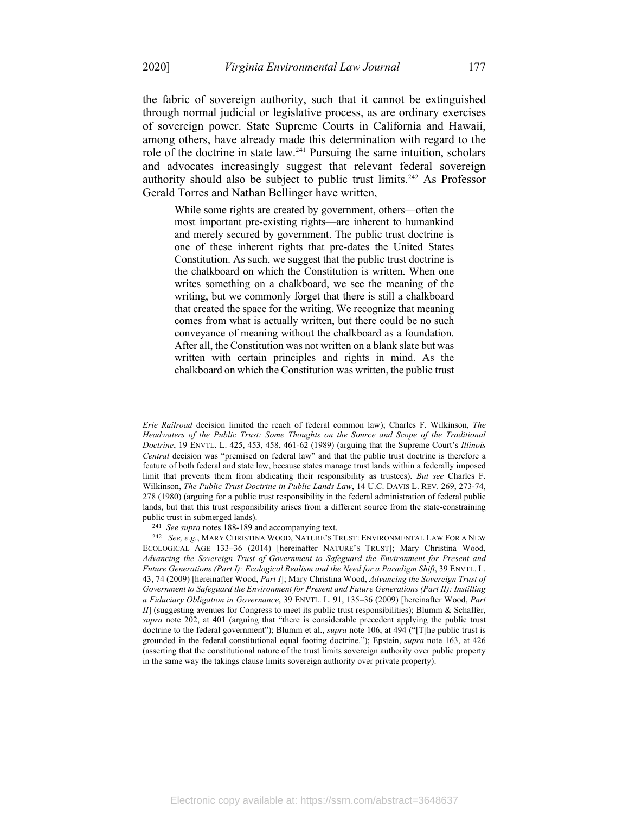the fabric of sovereign authority, such that it cannot be extinguished through normal judicial or legislative process, as are ordinary exercises of sovereign power. State Supreme Courts in California and Hawaii, among others, have already made this determination with regard to the role of the doctrine in state law.<sup>241</sup> Pursuing the same intuition, scholars and advocates increasingly suggest that relevant federal sovereign authority should also be subject to public trust limits.<sup>242</sup> As Professor Gerald Torres and Nathan Bellinger have written,

While some rights are created by government, others—often the most important pre-existing rights—are inherent to humankind and merely secured by government. The public trust doctrine is one of these inherent rights that pre-dates the United States Constitution. As such, we suggest that the public trust doctrine is the chalkboard on which the Constitution is written. When one writes something on a chalkboard, we see the meaning of the writing, but we commonly forget that there is still a chalkboard that created the space for the writing. We recognize that meaning comes from what is actually written, but there could be no such conveyance of meaning without the chalkboard as a foundation. After all, the Constitution was not written on a blank slate but was written with certain principles and rights in mind. As the chalkboard on which the Constitution was written, the public trust

*Erie Railroad* decision limited the reach of federal common law); Charles F. Wilkinson, *The Headwaters of the Public Trust: Some Thoughts on the Source and Scope of the Traditional Doctrine*, 19 ENVTL. L. 425, 453, 458, 461-62 (1989) (arguing that the Supreme Court's *Illinois Central* decision was "premised on federal law" and that the public trust doctrine is therefore a feature of both federal and state law, because states manage trust lands within a federally imposed limit that prevents them from abdicating their responsibility as trustees). *But see* Charles F. Wilkinson, *The Public Trust Doctrine in Public Lands Law*, 14 U.C. DAVIS L. REV. 269, 273-74, 278 (1980) (arguing for a public trust responsibility in the federal administration of federal public lands, but that this trust responsibility arises from a different source from the state-constraining public trust in submerged lands).

<sup>241</sup> *See supra* notes 188-189 and accompanying text.

<sup>242</sup> *See, e.g.*, MARY CHRISTINA WOOD, NATURE'S TRUST: ENVIRONMENTAL LAW FOR A NEW ECOLOGICAL AGE 133–36 (2014) [hereinafter NATURE'S TRUST]; Mary Christina Wood, *Advancing the Sovereign Trust of Government to Safeguard the Environment for Present and Future Generations (Part I): Ecological Realism and the Need for a Paradigm Shift*, 39 ENVTL. L. 43, 74 (2009) [hereinafter Wood, *Part I*]; Mary Christina Wood, *Advancing the Sovereign Trust of Government to Safeguard the Environment for Present and Future Generations (Part II): Instilling a Fiduciary Obligation in Governance*, 39 ENVTL. L. 91, 135–36 (2009) [hereinafter Wood, *Part II*] (suggesting avenues for Congress to meet its public trust responsibilities); Blumm & Schaffer, *supra* note 202, at 401 (arguing that "there is considerable precedent applying the public trust doctrine to the federal government"); Blumm et al., *supra* note 106, at 494 ("[T]he public trust is grounded in the federal constitutional equal footing doctrine."); Epstein, *supra* note 163, at 426 (asserting that the constitutional nature of the trust limits sovereign authority over public property in the same way the takings clause limits sovereign authority over private property).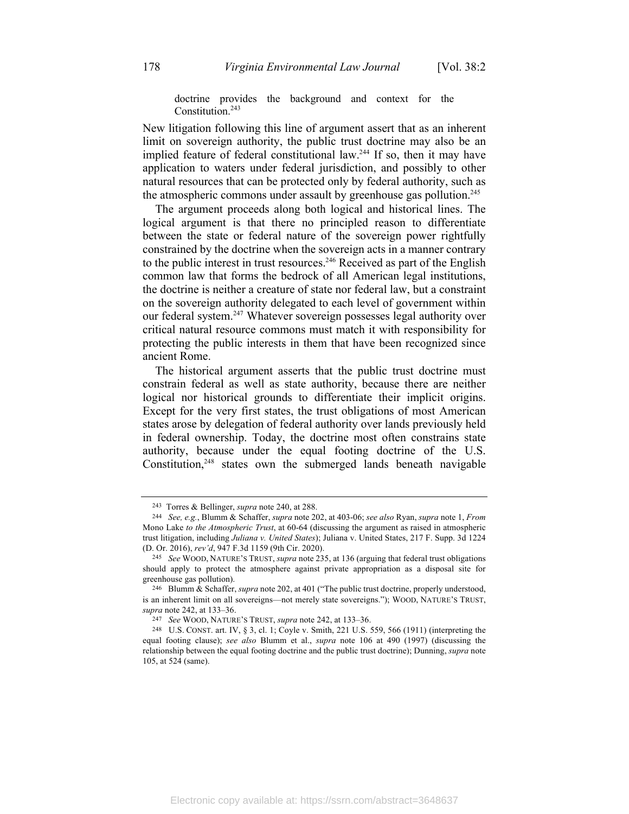doctrine provides the background and context for the Constitution.243

New litigation following this line of argument assert that as an inherent limit on sovereign authority, the public trust doctrine may also be an implied feature of federal constitutional law.<sup>244</sup> If so, then it may have application to waters under federal jurisdiction, and possibly to other natural resources that can be protected only by federal authority, such as the atmospheric commons under assault by greenhouse gas pollution.<sup>245</sup>

The argument proceeds along both logical and historical lines. The logical argument is that there no principled reason to differentiate between the state or federal nature of the sovereign power rightfully constrained by the doctrine when the sovereign acts in a manner contrary to the public interest in trust resources.<sup>246</sup> Received as part of the English common law that forms the bedrock of all American legal institutions, the doctrine is neither a creature of state nor federal law, but a constraint on the sovereign authority delegated to each level of government within our federal system.<sup>247</sup> Whatever sovereign possesses legal authority over critical natural resource commons must match it with responsibility for protecting the public interests in them that have been recognized since ancient Rome.

The historical argument asserts that the public trust doctrine must constrain federal as well as state authority, because there are neither logical nor historical grounds to differentiate their implicit origins. Except for the very first states, the trust obligations of most American states arose by delegation of federal authority over lands previously held in federal ownership. Today, the doctrine most often constrains state authority, because under the equal footing doctrine of the U.S. Constitution,<sup>248</sup> states own the submerged lands beneath navigable

<sup>243</sup> Torres & Bellinger, *supra* note 240, at 288.

<sup>244</sup> *See, e.g.*, Blumm & Schaffer, *supra* note 202, at 403-06; *see also* Ryan, *supra* note 1, *From*  Mono Lake *to the Atmospheric Trust*, at 60-64 (discussing the argument as raised in atmospheric trust litigation, including *Juliana v. United States*); Juliana v. United States, 217 F. Supp. 3d 1224 (D. Or. 2016), *rev'd*, 947 F.3d 1159 (9th Cir. 2020).

<sup>245</sup> *See* WOOD, NATURE'S TRUST, *supra* note 235, at 136 (arguing that federal trust obligations should apply to protect the atmosphere against private appropriation as a disposal site for greenhouse gas pollution).

<sup>246</sup> Blumm & Schaffer, *supra* note 202, at 401 ("The public trust doctrine, properly understood, is an inherent limit on all sovereigns—not merely state sovereigns."); WOOD, NATURE'S TRUST, *supra* note 242, at 133–36.

<sup>247</sup> *See* WOOD, NATURE'S TRUST, *supra* note 242, at 133–36.

<sup>248</sup> U.S. CONST. art. IV, § 3, cl. 1; Coyle v. Smith, 221 U.S. 559, 566 (1911) (interpreting the equal footing clause); *see also* Blumm et al., *supra* note 106 at 490 (1997) (discussing the relationship between the equal footing doctrine and the public trust doctrine); Dunning, *supra* note 105, at 524 (same).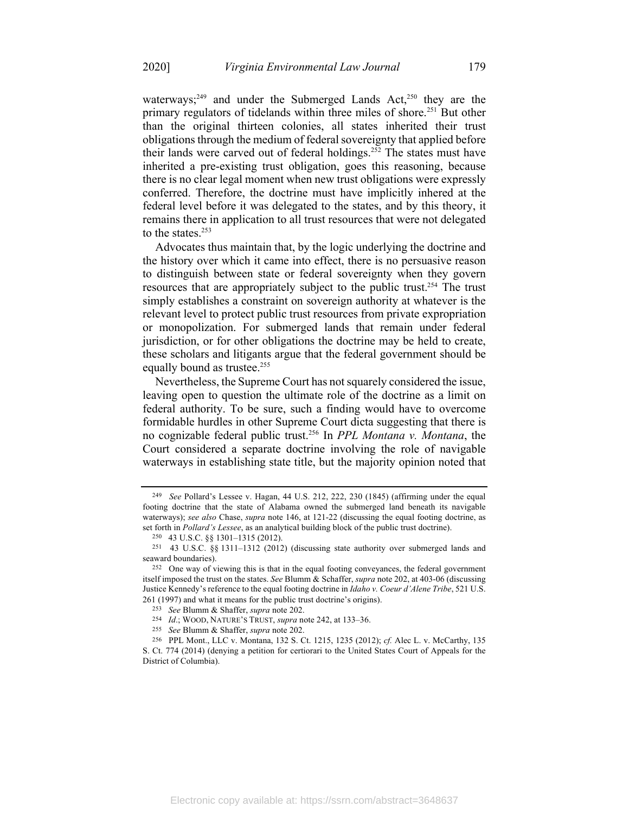waterways;<sup>249</sup> and under the Submerged Lands Act,<sup>250</sup> they are the primary regulators of tidelands within three miles of shore.<sup>251</sup> But other than the original thirteen colonies, all states inherited their trust obligations through the medium of federal sovereignty that applied before their lands were carved out of federal holdings.252 The states must have inherited a pre-existing trust obligation, goes this reasoning, because there is no clear legal moment when new trust obligations were expressly conferred. Therefore, the doctrine must have implicitly inhered at the federal level before it was delegated to the states, and by this theory, it remains there in application to all trust resources that were not delegated to the states.<sup>253</sup>

Advocates thus maintain that, by the logic underlying the doctrine and the history over which it came into effect, there is no persuasive reason to distinguish between state or federal sovereignty when they govern resources that are appropriately subject to the public trust.<sup>254</sup> The trust simply establishes a constraint on sovereign authority at whatever is the relevant level to protect public trust resources from private expropriation or monopolization. For submerged lands that remain under federal jurisdiction, or for other obligations the doctrine may be held to create, these scholars and litigants argue that the federal government should be equally bound as trustee.<sup>255</sup>

Nevertheless, the Supreme Court has not squarely considered the issue, leaving open to question the ultimate role of the doctrine as a limit on federal authority. To be sure, such a finding would have to overcome formidable hurdles in other Supreme Court dicta suggesting that there is no cognizable federal public trust.256 In *PPL Montana v. Montana*, the Court considered a separate doctrine involving the role of navigable waterways in establishing state title, but the majority opinion noted that

<sup>249</sup> *See* Pollard's Lessee v. Hagan, 44 U.S. 212, 222, 230 (1845) (affirming under the equal footing doctrine that the state of Alabama owned the submerged land beneath its navigable waterways); *see also* Chase, *supra* note 146, at 121-22 (discussing the equal footing doctrine, as set forth in *Pollard's Lessee*, as an analytical building block of the public trust doctrine).

<sup>250</sup> 43 U.S.C. §§ 1301–1315 (2012).

<sup>251</sup> 43 U.S.C. §§ 1311–1312 (2012) (discussing state authority over submerged lands and seaward boundaries).

<sup>252</sup> One way of viewing this is that in the equal footing conveyances, the federal government itself imposed the trust on the states. *See* Blumm & Schaffer, *supra* note 202, at 403-06 (discussing Justice Kennedy's reference to the equal footing doctrine in *Idaho v. Coeur d'Alene Tribe*, 521 U.S. 261 (1997) and what it means for the public trust doctrine's origins).

<sup>253</sup> *See* Blumm & Shaffer, *supra* note 202.

<sup>254</sup> *Id*.; WOOD, NATURE'S TRUST, *supra* note 242, at 133–36.

<sup>255</sup> *See* Blumm & Shaffer, *supra* note 202.

<sup>256</sup> PPL Mont., LLC v. Montana, 132 S. Ct. 1215, 1235 (2012); *cf.* Alec L. v. McCarthy, 135 S. Ct. 774 (2014) (denying a petition for certiorari to the United States Court of Appeals for the District of Columbia).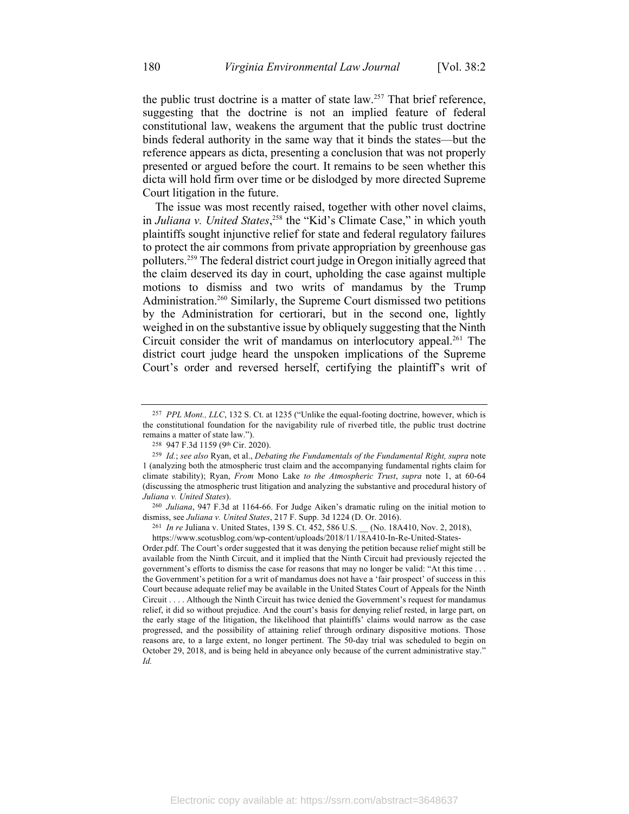the public trust doctrine is a matter of state law.257 That brief reference, suggesting that the doctrine is not an implied feature of federal constitutional law, weakens the argument that the public trust doctrine binds federal authority in the same way that it binds the states—but the reference appears as dicta, presenting a conclusion that was not properly presented or argued before the court. It remains to be seen whether this dicta will hold firm over time or be dislodged by more directed Supreme Court litigation in the future.

The issue was most recently raised, together with other novel claims, in *Juliana v. United States*, <sup>258</sup> the "Kid's Climate Case," in which youth plaintiffs sought injunctive relief for state and federal regulatory failures to protect the air commons from private appropriation by greenhouse gas polluters.259 The federal district court judge in Oregon initially agreed that the claim deserved its day in court, upholding the case against multiple motions to dismiss and two writs of mandamus by the Trump Administration.<sup>260</sup> Similarly, the Supreme Court dismissed two petitions by the Administration for certiorari, but in the second one, lightly weighed in on the substantive issue by obliquely suggesting that the Ninth Circuit consider the writ of mandamus on interlocutory appeal.<sup>261</sup> The district court judge heard the unspoken implications of the Supreme Court's order and reversed herself, certifying the plaintiff's writ of

260 *Juliana*, 947 F.3d at 1164-66. For Judge Aiken's dramatic ruling on the initial motion to dismiss, see *Juliana v. United States*, 217 F. Supp. 3d 1224 (D. Or. 2016).

<sup>257</sup> *PPL Mont., LLC*, 132 S. Ct. at 1235 ("Unlike the equal-footing doctrine, however, which is the constitutional foundation for the navigability rule of riverbed title, the public trust doctrine remains a matter of state law.").

<sup>258</sup> 947 F.3d 1159 (9th Cir. 2020).

<sup>259</sup> *Id.*; *see also* Ryan, et al., *Debating the Fundamentals of the Fundamental Right, supra* note 1 (analyzing both the atmospheric trust claim and the accompanying fundamental rights claim for climate stability); Ryan, *From* Mono Lake *to the Atmospheric Trust*, *supra* note 1, at 60-64 (discussing the atmospheric trust litigation and analyzing the substantive and procedural history of *Juliana v. United States*).

<sup>261</sup> *In re* Juliana v. United States, 139 S. Ct. 452, 586 U.S. \_\_ (No. 18A410, Nov. 2, 2018),

https://www.scotusblog.com/wp-content/uploads/2018/11/18A410-In-Re-United-States-Order.pdf. The Court's order suggested that it was denying the petition because relief might still be available from the Ninth Circuit, and it implied that the Ninth Circuit had previously rejected the government's efforts to dismiss the case for reasons that may no longer be valid: "At this time . . . the Government's petition for a writ of mandamus does not have a 'fair prospect' of success in this Court because adequate relief may be available in the United States Court of Appeals for the Ninth Circuit . . . . Although the Ninth Circuit has twice denied the Government's request for mandamus relief, it did so without prejudice. And the court's basis for denying relief rested, in large part, on the early stage of the litigation, the likelihood that plaintiffs' claims would narrow as the case progressed, and the possibility of attaining relief through ordinary dispositive motions. Those

reasons are, to a large extent, no longer pertinent. The 50-day trial was scheduled to begin on October 29, 2018, and is being held in abeyance only because of the current administrative stay." *Id.*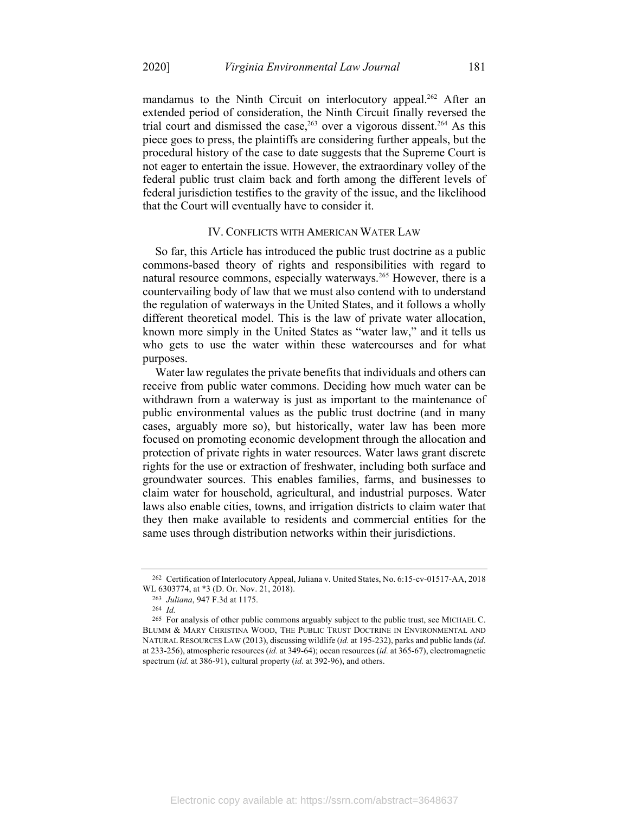mandamus to the Ninth Circuit on interlocutory appeal.<sup>262</sup> After an extended period of consideration, the Ninth Circuit finally reversed the trial court and dismissed the case,  $263$  over a vigorous dissent.  $264$  As this piece goes to press, the plaintiffs are considering further appeals, but the procedural history of the case to date suggests that the Supreme Court is not eager to entertain the issue. However, the extraordinary volley of the federal public trust claim back and forth among the different levels of federal jurisdiction testifies to the gravity of the issue, and the likelihood that the Court will eventually have to consider it.

## IV. CONFLICTS WITH AMERICAN WATER LAW

So far, this Article has introduced the public trust doctrine as a public commons-based theory of rights and responsibilities with regard to natural resource commons, especially waterways.<sup>265</sup> However, there is a countervailing body of law that we must also contend with to understand the regulation of waterways in the United States, and it follows a wholly different theoretical model. This is the law of private water allocation, known more simply in the United States as "water law," and it tells us who gets to use the water within these watercourses and for what purposes.

Water law regulates the private benefits that individuals and others can receive from public water commons. Deciding how much water can be withdrawn from a waterway is just as important to the maintenance of public environmental values as the public trust doctrine (and in many cases, arguably more so), but historically, water law has been more focused on promoting economic development through the allocation and protection of private rights in water resources. Water laws grant discrete rights for the use or extraction of freshwater, including both surface and groundwater sources. This enables families, farms, and businesses to claim water for household, agricultural, and industrial purposes. Water laws also enable cities, towns, and irrigation districts to claim water that they then make available to residents and commercial entities for the same uses through distribution networks within their jurisdictions.

<sup>262</sup> Certification of Interlocutory Appeal, Juliana v. United States, No. 6:15-cv-01517-AA, 2018 WL 6303774, at \*3 (D. Or. Nov. 21, 2018).

<sup>263</sup> *Juliana*, 947 F.3d at 1175.

<sup>264</sup> *Id.*

<sup>265</sup> For analysis of other public commons arguably subject to the public trust, see MICHAEL C. BLUMM & MARY CHRISTINA WOOD, THE PUBLIC TRUST DOCTRINE IN ENVIRONMENTAL AND NATURAL RESOURCES LAW (2013), discussing wildlife (*id.* at 195-232), parks and public lands (*id*. at 233-256), atmospheric resources (*id.* at 349-64); ocean resources (*id.* at 365-67), electromagnetic spectrum (*id.* at 386-91), cultural property (*id.* at 392-96), and others.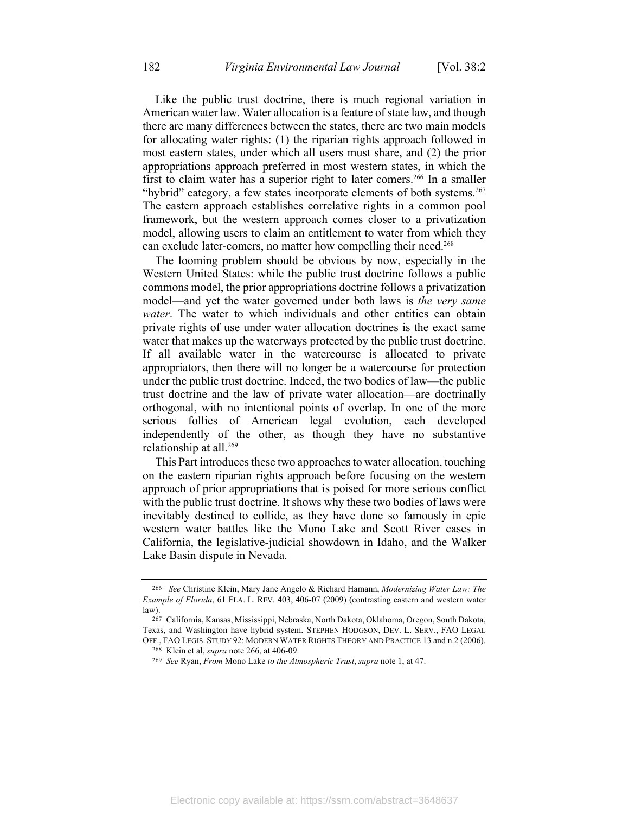Like the public trust doctrine, there is much regional variation in American water law. Water allocation is a feature of state law, and though there are many differences between the states, there are two main models for allocating water rights: (1) the riparian rights approach followed in most eastern states, under which all users must share, and (2) the prior appropriations approach preferred in most western states, in which the first to claim water has a superior right to later comers.<sup>266</sup> In a smaller "hybrid" category, a few states incorporate elements of both systems. $267$ The eastern approach establishes correlative rights in a common pool framework, but the western approach comes closer to a privatization model, allowing users to claim an entitlement to water from which they can exclude later-comers, no matter how compelling their need.<sup>268</sup>

The looming problem should be obvious by now, especially in the Western United States: while the public trust doctrine follows a public commons model, the prior appropriations doctrine follows a privatization model—and yet the water governed under both laws is *the very same water*. The water to which individuals and other entities can obtain private rights of use under water allocation doctrines is the exact same water that makes up the waterways protected by the public trust doctrine. If all available water in the watercourse is allocated to private appropriators, then there will no longer be a watercourse for protection under the public trust doctrine. Indeed, the two bodies of law—the public trust doctrine and the law of private water allocation—are doctrinally orthogonal, with no intentional points of overlap. In one of the more serious follies of American legal evolution, each developed independently of the other, as though they have no substantive relationship at all.<sup>269</sup>

This Part introduces these two approaches to water allocation, touching on the eastern riparian rights approach before focusing on the western approach of prior appropriations that is poised for more serious conflict with the public trust doctrine. It shows why these two bodies of laws were inevitably destined to collide, as they have done so famously in epic western water battles like the Mono Lake and Scott River cases in California, the legislative-judicial showdown in Idaho, and the Walker Lake Basin dispute in Nevada.

<sup>266</sup> *See* Christine Klein, Mary Jane Angelo & Richard Hamann, *Modernizing Water Law: The Example of Florida*, 61 FLA. L. REV. 403, 406-07 (2009) (contrasting eastern and western water law).

<sup>267</sup> California, Kansas, Mississippi, Nebraska, North Dakota, Oklahoma, Oregon, South Dakota, Texas, and Washington have hybrid system. STEPHEN HODGSON, DEV. L. SERV., FAO LEGAL OFF., FAO LEGIS. STUDY 92: MODERN WATER RIGHTS THEORY AND PRACTICE 13 and n.2 (2006).

<sup>268</sup> Klein et al, *supra* note 266, at 406-09.

<sup>269</sup> *See* Ryan, *From* Mono Lake *to the Atmospheric Trust*, *supra* note 1, at 47.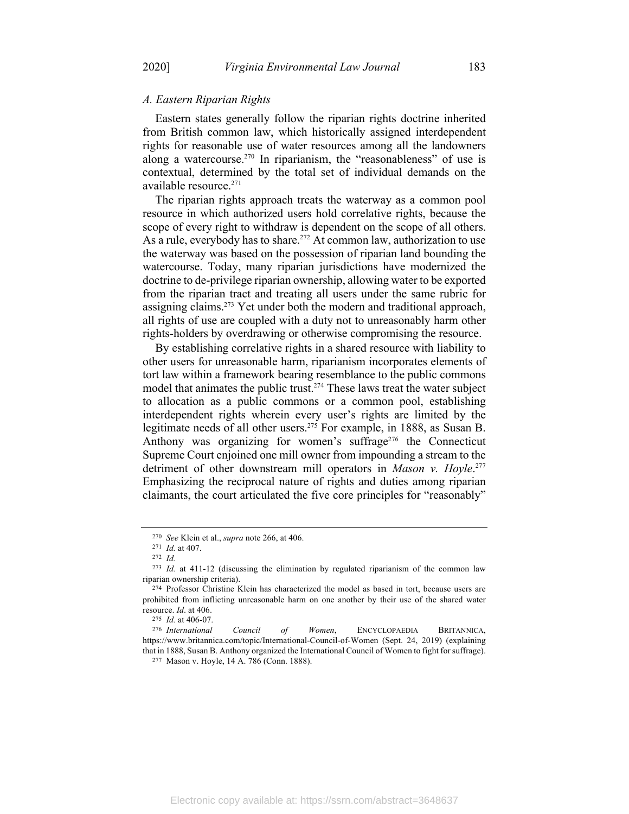#### *A. Eastern Riparian Rights*

Eastern states generally follow the riparian rights doctrine inherited from British common law, which historically assigned interdependent rights for reasonable use of water resources among all the landowners along a watercourse. <sup>270</sup> In riparianism, the "reasonableness" of use is contextual, determined by the total set of individual demands on the available resource.<sup>271</sup>

The riparian rights approach treats the waterway as a common pool resource in which authorized users hold correlative rights, because the scope of every right to withdraw is dependent on the scope of all others. As a rule, everybody has to share.<sup>272</sup> At common law, authorization to use the waterway was based on the possession of riparian land bounding the watercourse. Today, many riparian jurisdictions have modernized the doctrine to de-privilege riparian ownership, allowing water to be exported from the riparian tract and treating all users under the same rubric for assigning claims.273 Yet under both the modern and traditional approach, all rights of use are coupled with a duty not to unreasonably harm other rights-holders by overdrawing or otherwise compromising the resource.

By establishing correlative rights in a shared resource with liability to other users for unreasonable harm, riparianism incorporates elements of tort law within a framework bearing resemblance to the public commons model that animates the public trust.<sup>274</sup> These laws treat the water subject to allocation as a public commons or a common pool, establishing interdependent rights wherein every user's rights are limited by the legitimate needs of all other users.275 For example, in 1888, as Susan B. Anthony was organizing for women's suffrage<sup> $276$ </sup> the Connecticut Supreme Court enjoined one mill owner from impounding a stream to the detriment of other downstream mill operators in *Mason v. Hoyle*. 277 Emphasizing the reciprocal nature of rights and duties among riparian claimants, the court articulated the five core principles for "reasonably"

276 *International Council of Women*, ENCYCLOPAEDIA BRITANNICA, https://www.britannica.com/topic/International-Council-of-Women (Sept. 24, 2019) (explaining that in 1888, Susan B. Anthony organized the International Council of Women to fight for suffrage).

<sup>270</sup> *See* Klein et al., *supra* note 266, at 406.

<sup>271</sup> *Id.* at 407.

<sup>272</sup> *Id.*

<sup>273</sup> *Id.* at 411-12 (discussing the elimination by regulated riparianism of the common law riparian ownership criteria).

<sup>274</sup> Professor Christine Klein has characterized the model as based in tort, because users are prohibited from inflicting unreasonable harm on one another by their use of the shared water resource. *Id*. at 406.

<sup>275</sup> *Id.* at 406-07.

<sup>277</sup> Mason v. Hoyle, 14 A. 786 (Conn. 1888).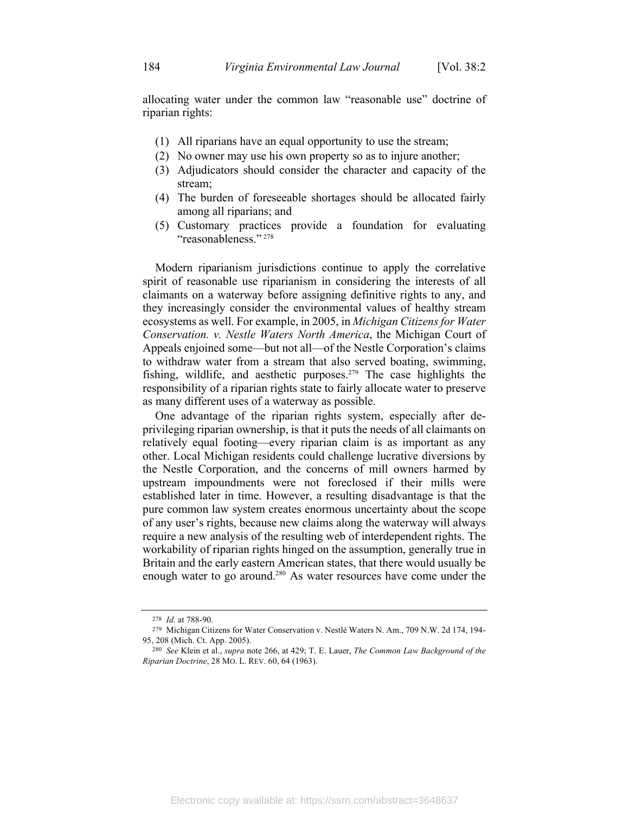allocating water under the common law "reasonable use" doctrine of riparian rights:

- (1) All riparians have an equal opportunity to use the stream;
- (2) No owner may use his own property so as to injure another;
- (3) Adjudicators should consider the character and capacity of the stream;
- (4) The burden of foreseeable shortages should be allocated fairly among all riparians; and
- (5) Customary practices provide a foundation for evaluating "reasonableness." <sup>278</sup>

Modern riparianism jurisdictions continue to apply the correlative spirit of reasonable use riparianism in considering the interests of all claimants on a waterway before assigning definitive rights to any, and they increasingly consider the environmental values of healthy stream ecosystems as well. For example, in 2005, in *Michigan Citizens for Water Conservation. v. Nestle Waters North America*, the Michigan Court of Appeals enjoined some—but not all—of the Nestle Corporation's claims to withdraw water from a stream that also served boating, swimming, fishing, wildlife, and aesthetic purposes.<sup>279</sup> The case highlights the responsibility of a riparian rights state to fairly allocate water to preserve as many different uses of a waterway as possible.

One advantage of the riparian rights system, especially after deprivileging riparian ownership, is that it puts the needs of all claimants on relatively equal footing—every riparian claim is as important as any other. Local Michigan residents could challenge lucrative diversions by the Nestle Corporation, and the concerns of mill owners harmed by upstream impoundments were not foreclosed if their mills were established later in time. However, a resulting disadvantage is that the pure common law system creates enormous uncertainty about the scope of any user's rights, because new claims along the waterway will always require a new analysis of the resulting web of interdependent rights. The workability of riparian rights hinged on the assumption, generally true in Britain and the early eastern American states, that there would usually be enough water to go around.<sup>280</sup> As water resources have come under the

<sup>278</sup> *Id.* at 788-90.

<sup>279</sup> Michigan Citizens for Water Conservation v. Nestlé Waters N. Am., 709 N.W. 2d 174, 194- 95, 208 (Mich. Ct. App. 2005).

<sup>280</sup> *See* Klein et al., *supra* note 266, at 429; T. E. Lauer, *The Common Law Background of the Riparian Doctrine*, 28 MO. L. REV. 60, 64 (1963).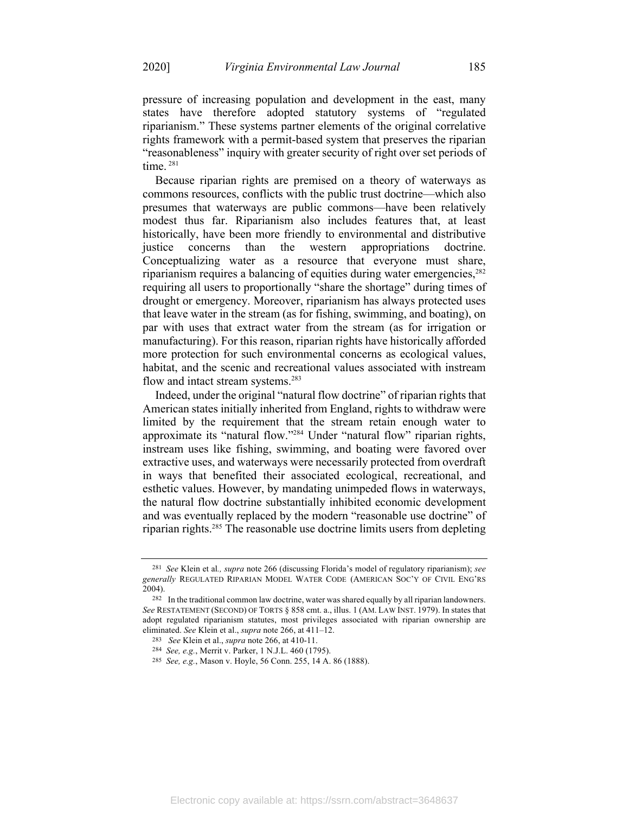pressure of increasing population and development in the east, many states have therefore adopted statutory systems of "regulated riparianism." These systems partner elements of the original correlative rights framework with a permit-based system that preserves the riparian "reasonableness" inquiry with greater security of right over set periods of time.<sup>281</sup>

Because riparian rights are premised on a theory of waterways as commons resources, conflicts with the public trust doctrine—which also presumes that waterways are public commons—have been relatively modest thus far. Riparianism also includes features that, at least historically, have been more friendly to environmental and distributive justice concerns than the western appropriations doctrine. Conceptualizing water as a resource that everyone must share, riparianism requires a balancing of equities during water emergencies,<sup>282</sup> requiring all users to proportionally "share the shortage" during times of drought or emergency. Moreover, riparianism has always protected uses that leave water in the stream (as for fishing, swimming, and boating), on par with uses that extract water from the stream (as for irrigation or manufacturing). For this reason, riparian rights have historically afforded more protection for such environmental concerns as ecological values, habitat, and the scenic and recreational values associated with instream flow and intact stream systems.<sup>283</sup>

Indeed, under the original "natural flow doctrine" of riparian rights that American states initially inherited from England, rights to withdraw were limited by the requirement that the stream retain enough water to approximate its "natural flow."284 Under "natural flow" riparian rights, instream uses like fishing, swimming, and boating were favored over extractive uses, and waterways were necessarily protected from overdraft in ways that benefited their associated ecological, recreational, and esthetic values. However, by mandating unimpeded flows in waterways, the natural flow doctrine substantially inhibited economic development and was eventually replaced by the modern "reasonable use doctrine" of riparian rights.285 The reasonable use doctrine limits users from depleting

<sup>281</sup> *See* Klein et al*., supra* note 266 (discussing Florida's model of regulatory riparianism); *see generally* REGULATED RIPARIAN MODEL WATER CODE (AMERICAN SOC'Y OF CIVIL ENG'RS 2004).

<sup>282</sup> In the traditional common law doctrine, water was shared equally by all riparian landowners. *See* RESTATEMENT (SECOND) OF TORTS § 858 cmt. a., illus. 1 (AM. LAW INST. 1979). In states that adopt regulated riparianism statutes, most privileges associated with riparian ownership are eliminated. *See* Klein et al., *supra* note 266, at 411–12.

<sup>283</sup> *See* Klein et al., *supra* note 266, at 410-11.

<sup>284</sup> *See, e.g.*, Merrit v. Parker, 1 N.J.L. 460 (1795).

<sup>285</sup> *See, e.g.*, Mason v. Hoyle, 56 Conn. 255, 14 A. 86 (1888).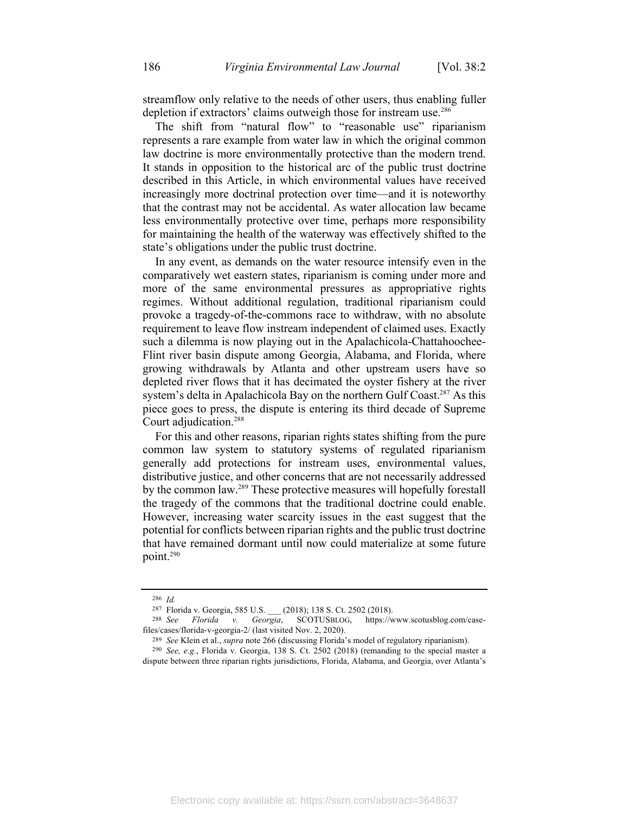streamflow only relative to the needs of other users, thus enabling fuller depletion if extractors' claims outweigh those for instream use.<sup>286</sup>

The shift from "natural flow" to "reasonable use" riparianism represents a rare example from water law in which the original common law doctrine is more environmentally protective than the modern trend. It stands in opposition to the historical arc of the public trust doctrine described in this Article, in which environmental values have received increasingly more doctrinal protection over time—and it is noteworthy that the contrast may not be accidental. As water allocation law became less environmentally protective over time, perhaps more responsibility for maintaining the health of the waterway was effectively shifted to the state's obligations under the public trust doctrine.

In any event, as demands on the water resource intensify even in the comparatively wet eastern states, riparianism is coming under more and more of the same environmental pressures as appropriative rights regimes. Without additional regulation, traditional riparianism could provoke a tragedy-of-the-commons race to withdraw, with no absolute requirement to leave flow instream independent of claimed uses. Exactly such a dilemma is now playing out in the Apalachicola-Chattahoochee-Flint river basin dispute among Georgia, Alabama, and Florida, where growing withdrawals by Atlanta and other upstream users have so depleted river flows that it has decimated the oyster fishery at the river system's delta in Apalachicola Bay on the northern Gulf Coast.<sup>287</sup> As this piece goes to press, the dispute is entering its third decade of Supreme Court adjudication.288

For this and other reasons, riparian rights states shifting from the pure common law system to statutory systems of regulated riparianism generally add protections for instream uses, environmental values, distributive justice, and other concerns that are not necessarily addressed by the common law.289 These protective measures will hopefully forestall the tragedy of the commons that the traditional doctrine could enable. However, increasing water scarcity issues in the east suggest that the potential for conflicts between riparian rights and the public trust doctrine that have remained dormant until now could materialize at some future point.290

<sup>286</sup> *Id.*

<sup>287</sup> Florida v. Georgia, 585 U.S. \_\_\_ (2018); 138 S. Ct. 2502 (2018).

<sup>288</sup> *See Florida v. Georgia*, SCOTUSBLOG, https://www.scotusblog.com/casefiles/cases/florida-v-georgia-2/ (last visited Nov. 2, 2020).

<sup>289</sup> *See* Klein et al., *supra* note 266 (discussing Florida's model of regulatory riparianism).

<sup>290</sup> *See, e.g.*, Florida v. Georgia, 138 S. Ct. 2502 (2018) (remanding to the special master a dispute between three riparian rights jurisdictions, Florida, Alabama, and Georgia, over Atlanta's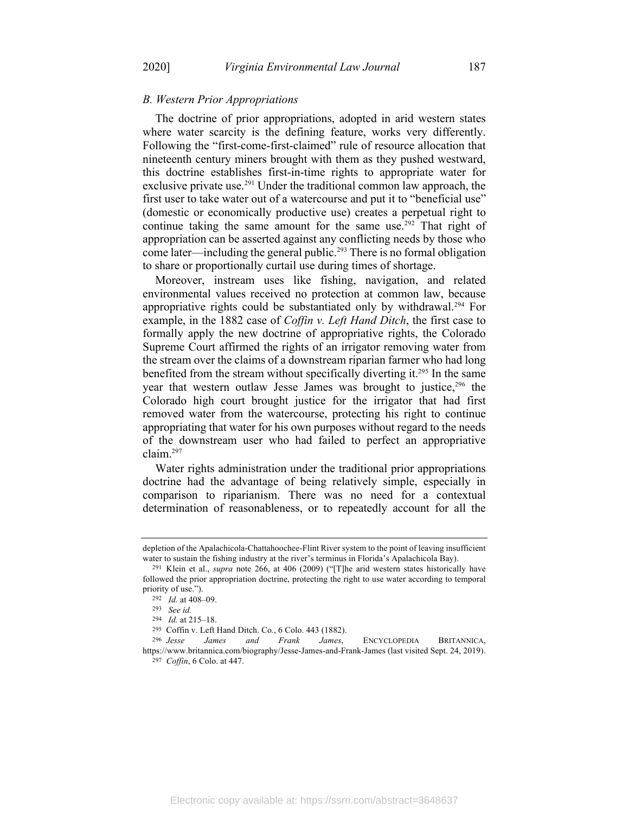#### *B. Western Prior Appropriations*

The doctrine of prior appropriations, adopted in arid western states where water scarcity is the defining feature, works very differently. Following the "first-come-first-claimed" rule of resource allocation that nineteenth century miners brought with them as they pushed westward, this doctrine establishes first-in-time rights to appropriate water for exclusive private use.<sup>291</sup> Under the traditional common law approach, the first user to take water out of a watercourse and put it to "beneficial use" (domestic or economically productive use) creates a perpetual right to continue taking the same amount for the same use.<sup>292</sup> That right of appropriation can be asserted against any conflicting needs by those who come later—including the general public.<sup>293</sup> There is no formal obligation to share or proportionally curtail use during times of shortage.

Moreover, instream uses like fishing, navigation, and related environmental values received no protection at common law, because appropriative rights could be substantiated only by withdrawal.<sup>294</sup> For example, in the 1882 case of *Coffin v. Left Hand Ditch*, the first case to formally apply the new doctrine of appropriative rights, the Colorado Supreme Court affirmed the rights of an irrigator removing water from the stream over the claims of a downstream riparian farmer who had long benefited from the stream without specifically diverting it.<sup>295</sup> In the same year that western outlaw Jesse James was brought to justice,<sup>296</sup> the Colorado high court brought justice for the irrigator that had first removed water from the watercourse, protecting his right to continue appropriating that water for his own purposes without regard to the needs of the downstream user who had failed to perfect an appropriative claim.297

Water rights administration under the traditional prior appropriations doctrine had the advantage of being relatively simple, especially in comparison to riparianism. There was no need for a contextual determination of reasonableness, or to repeatedly account for all the

depletion of the Apalachicola-Chattahoochee-Flint River system to the point of leaving insufficient water to sustain the fishing industry at the river's terminus in Florida's Apalachicola Bay).

<sup>291</sup> Klein et al., *supra* note 266, at 406 (2009) ("[T]he arid western states historically have followed the prior appropriation doctrine, protecting the right to use water according to temporal priority of use.").

<sup>292</sup> *Id.* at 408–09.

<sup>293</sup> *See id.*

<sup>294</sup> *Id.* at 215–18.

<sup>295</sup> Coffin v. Left Hand Ditch. Co*.*, 6 Colo. 443 (1882).

<sup>296</sup> *Jesse James and Frank James*, ENCYCLOPEDIA BRITANNICA, https://www.britannica.com/biography/Jesse-James-and-Frank-James (last visited Sept. 24, 2019). 297 *Coffin*, 6 Colo. at 447.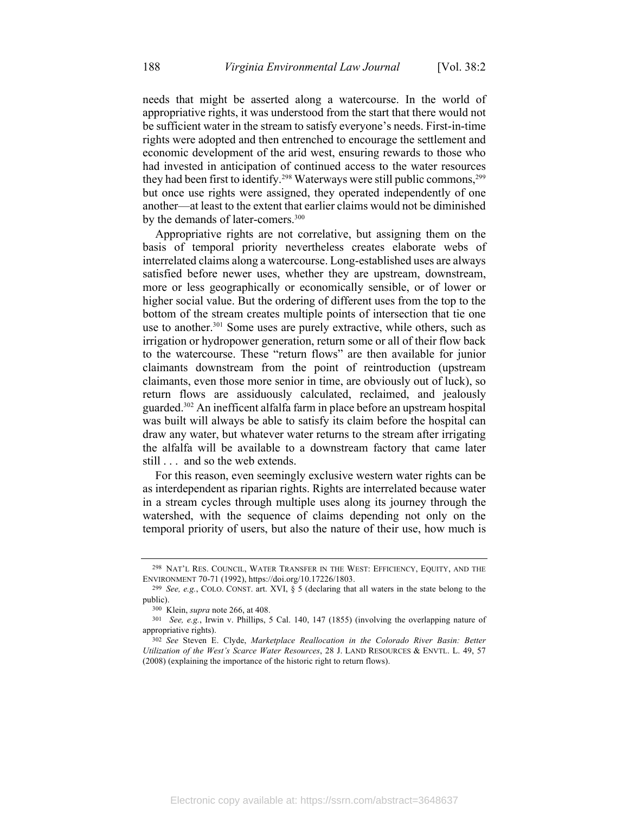needs that might be asserted along a watercourse. In the world of appropriative rights, it was understood from the start that there would not be sufficient water in the stream to satisfy everyone's needs. First-in-time rights were adopted and then entrenched to encourage the settlement and economic development of the arid west, ensuring rewards to those who had invested in anticipation of continued access to the water resources they had been first to identify.<sup>298</sup> Waterways were still public commons,<sup>299</sup> but once use rights were assigned, they operated independently of one another—at least to the extent that earlier claims would not be diminished by the demands of later-comers.<sup>300</sup>

Appropriative rights are not correlative, but assigning them on the basis of temporal priority nevertheless creates elaborate webs of interrelated claims along a watercourse. Long-established uses are always satisfied before newer uses, whether they are upstream, downstream, more or less geographically or economically sensible, or of lower or higher social value. But the ordering of different uses from the top to the bottom of the stream creates multiple points of intersection that tie one use to another.<sup>301</sup> Some uses are purely extractive, while others, such as irrigation or hydropower generation, return some or all of their flow back to the watercourse. These "return flows" are then available for junior claimants downstream from the point of reintroduction (upstream claimants, even those more senior in time, are obviously out of luck), so return flows are assiduously calculated, reclaimed, and jealously guarded.302 An inefficent alfalfa farm in place before an upstream hospital was built will always be able to satisfy its claim before the hospital can draw any water, but whatever water returns to the stream after irrigating the alfalfa will be available to a downstream factory that came later still . . . and so the web extends.

For this reason, even seemingly exclusive western water rights can be as interdependent as riparian rights. Rights are interrelated because water in a stream cycles through multiple uses along its journey through the watershed, with the sequence of claims depending not only on the temporal priority of users, but also the nature of their use, how much is

<sup>298</sup> NAT'L RES. COUNCIL, WATER TRANSFER IN THE WEST: EFFICIENCY, EQUITY, AND THE ENVIRONMENT 70-71 (1992), https://doi.org/10.17226/1803.

<sup>299</sup> *See, e.g.*, COLO. CONST. art. XVI, § 5 (declaring that all waters in the state belong to the public).

<sup>300</sup> Klein, *supra* note 266, at 408.

<sup>301</sup> *See, e.g.*, Irwin v. Phillips, 5 Cal. 140, 147 (1855) (involving the overlapping nature of appropriative rights).

<sup>302</sup> *See* Steven E. Clyde, *Marketplace Reallocation in the Colorado River Basin: Better Utilization of the West's Scarce Water Resources*, 28 J. LAND RESOURCES & ENVTL. L. 49, 57 (2008) (explaining the importance of the historic right to return flows).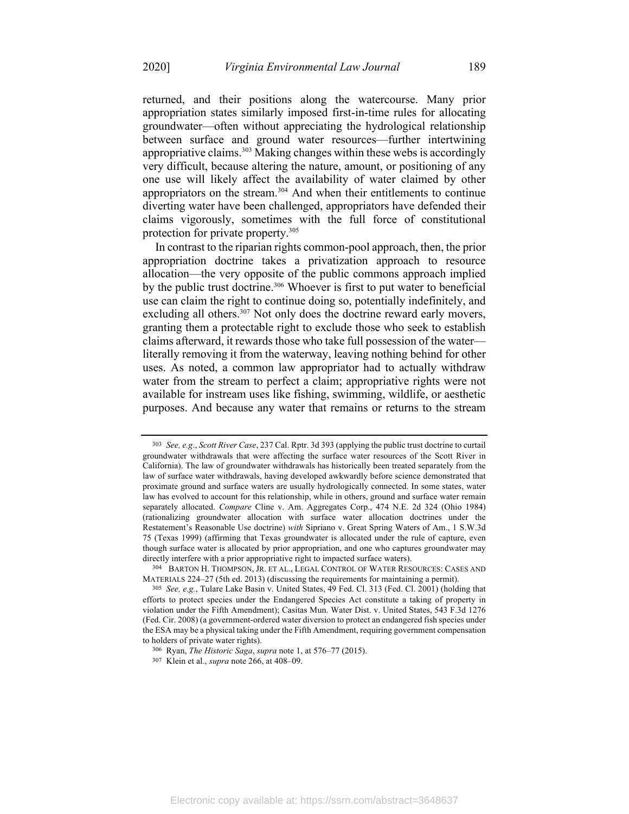returned, and their positions along the watercourse. Many prior appropriation states similarly imposed first-in-time rules for allocating groundwater—often without appreciating the hydrological relationship between surface and ground water resources—further intertwining appropriative claims.303 Making changes within these webs is accordingly very difficult, because altering the nature, amount, or positioning of any one use will likely affect the availability of water claimed by other appropriators on the stream.304 And when their entitlements to continue diverting water have been challenged, appropriators have defended their claims vigorously, sometimes with the full force of constitutional protection for private property.305

In contrast to the riparian rights common-pool approach, then, the prior appropriation doctrine takes a privatization approach to resource allocation—the very opposite of the public commons approach implied by the public trust doctrine.<sup>306</sup> Whoever is first to put water to beneficial use can claim the right to continue doing so, potentially indefinitely, and excluding all others.<sup>307</sup> Not only does the doctrine reward early movers, granting them a protectable right to exclude those who seek to establish claims afterward, it rewards those who take full possession of the water literally removing it from the waterway, leaving nothing behind for other uses. As noted, a common law appropriator had to actually withdraw water from the stream to perfect a claim; appropriative rights were not available for instream uses like fishing, swimming, wildlife, or aesthetic purposes. And because any water that remains or returns to the stream

<sup>303</sup> *See, e.g*., *Scott River Case*, 237 Cal. Rptr. 3d 393 (applying the public trust doctrine to curtail groundwater withdrawals that were affecting the surface water resources of the Scott River in California). The law of groundwater withdrawals has historically been treated separately from the law of surface water withdrawals, having developed awkwardly before science demonstrated that proximate ground and surface waters are usually hydrologically connected. In some states, water law has evolved to account for this relationship, while in others, ground and surface water remain separately allocated. *Compare* Cline v. Am. Aggregates Corp., 474 N.E. 2d 324 (Ohio 1984) (rationalizing groundwater allocation with surface water allocation doctrines under the Restatement's Reasonable Use doctrine) *with* Sipriano v. Great Spring Waters of Am., 1 S.W.3d 75 (Texas 1999) (affirming that Texas groundwater is allocated under the rule of capture, even though surface water is allocated by prior appropriation, and one who captures groundwater may directly interfere with a prior appropriative right to impacted surface waters).

<sup>304</sup> BARTON H. THOMPSON, JR. ET AL., LEGAL CONTROL OF WATER RESOURCES: CASES AND MATERIALS 224–27 (5th ed. 2013) (discussing the requirements for maintaining a permit).

<sup>305</sup> *See, e.g.*, Tulare Lake Basin v. United States, 49 Fed. Cl. 313 (Fed. Cl. 2001) (holding that efforts to protect species under the Endangered Species Act constitute a taking of property in violation under the Fifth Amendment); Casitas Mun. Water Dist. v. United States, 543 F.3d 1276 (Fed. Cir. 2008) (a government-ordered water diversion to protect an endangered fish species under the ESA may be a physical taking under the Fifth Amendment, requiring government compensation to holders of private water rights).

<sup>306</sup> Ryan, *The Historic Saga*, *supra* note 1, at 576–77 (2015).

<sup>307</sup> Klein et al., *supra* note 266, at 408–09.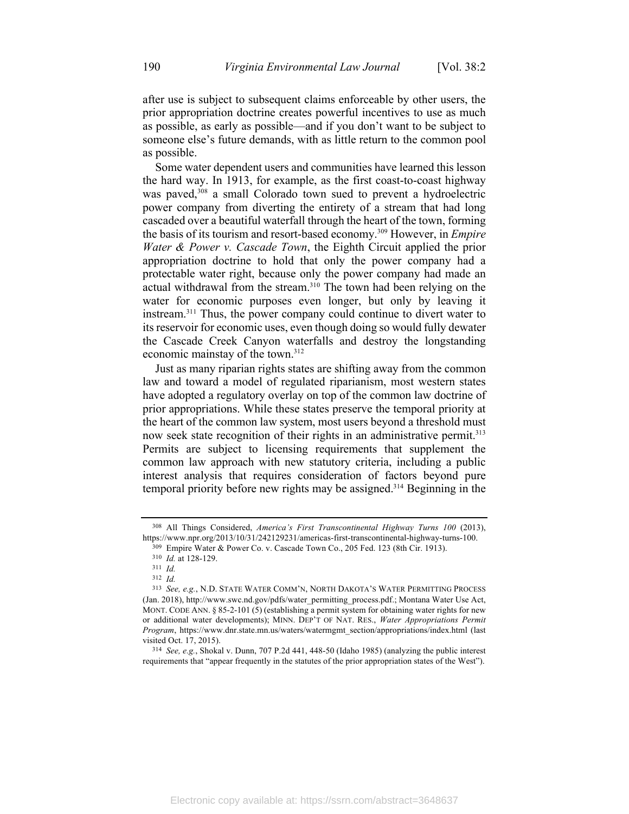after use is subject to subsequent claims enforceable by other users, the prior appropriation doctrine creates powerful incentives to use as much as possible, as early as possible—and if you don't want to be subject to someone else's future demands, with as little return to the common pool as possible.

Some water dependent users and communities have learned this lesson the hard way. In 1913, for example, as the first coast-to-coast highway was paved,<sup>308</sup> a small Colorado town sued to prevent a hydroelectric power company from diverting the entirety of a stream that had long cascaded over a beautiful waterfall through the heart of the town, forming the basis of its tourism and resort-based economy.309 However, in *Empire Water & Power v. Cascade Town*, the Eighth Circuit applied the prior appropriation doctrine to hold that only the power company had a protectable water right, because only the power company had made an actual withdrawal from the stream.<sup>310</sup> The town had been relying on the water for economic purposes even longer, but only by leaving it instream.311 Thus, the power company could continue to divert water to its reservoir for economic uses, even though doing so would fully dewater the Cascade Creek Canyon waterfalls and destroy the longstanding economic mainstay of the town.<sup>312</sup>

Just as many riparian rights states are shifting away from the common law and toward a model of regulated riparianism, most western states have adopted a regulatory overlay on top of the common law doctrine of prior appropriations. While these states preserve the temporal priority at the heart of the common law system, most users beyond a threshold must now seek state recognition of their rights in an administrative permit.<sup>313</sup> Permits are subject to licensing requirements that supplement the common law approach with new statutory criteria, including a public interest analysis that requires consideration of factors beyond pure temporal priority before new rights may be assigned.314 Beginning in the

<sup>308</sup> All Things Considered, *America's First Transcontinental Highway Turns 100* (2013), https://www.npr.org/2013/10/31/242129231/americas-first-transcontinental-highway-turns-100.

<sup>309</sup> Empire Water & Power Co. v. Cascade Town Co., 205 Fed. 123 (8th Cir. 1913).

<sup>310</sup> *Id.* at 128-129.

<sup>311</sup> *Id.*

<sup>312</sup> *Id.*

<sup>313</sup> *See, e.g.*, N.D. STATE WATER COMM'N, NORTH DAKOTA'S WATER PERMITTING PROCESS (Jan. 2018), http://www.swc.nd.gov/pdfs/water\_permitting\_process.pdf.; Montana Water Use Act, MONT. CODE ANN. § 85-2-101 (5) (establishing a permit system for obtaining water rights for new or additional water developments); MINN. DEP'T OF NAT. RES., *Water Appropriations Permit Program*, https://www.dnr.state.mn.us/waters/watermgmt\_section/appropriations/index.html (last visited Oct. 17, 2015).

<sup>314</sup> *See, e.g.*, Shokal v. Dunn, 707 P.2d 441, 448-50 (Idaho 1985) (analyzing the public interest requirements that "appear frequently in the statutes of the prior appropriation states of the West").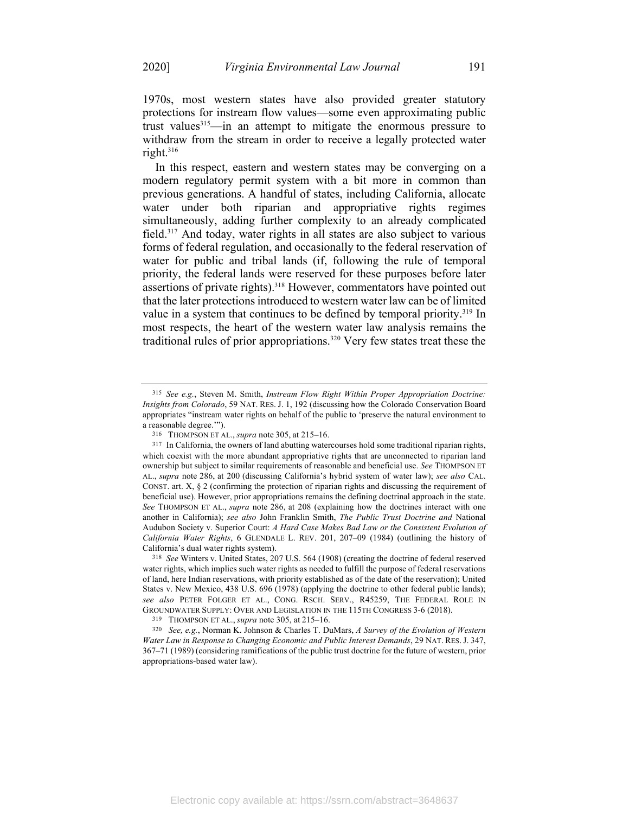1970s, most western states have also provided greater statutory protections for instream flow values—some even approximating public trust values $315$ —in an attempt to mitigate the enormous pressure to withdraw from the stream in order to receive a legally protected water right.316

In this respect, eastern and western states may be converging on a modern regulatory permit system with a bit more in common than previous generations. A handful of states, including California, allocate water under both riparian and appropriative rights regimes simultaneously, adding further complexity to an already complicated field.317 And today, water rights in all states are also subject to various forms of federal regulation, and occasionally to the federal reservation of water for public and tribal lands (if, following the rule of temporal priority, the federal lands were reserved for these purposes before later assertions of private rights).<sup>318</sup> However, commentators have pointed out that the later protections introduced to western water law can be of limited value in a system that continues to be defined by temporal priority.<sup>319</sup> In most respects, the heart of the western water law analysis remains the traditional rules of prior appropriations.320 Very few states treat these the

<sup>315</sup> *See e.g.*, Steven M. Smith, *Instream Flow Right Within Proper Appropriation Doctrine: Insights from Colorado*, 59 NAT. RES. J. 1, 192 (discussing how the Colorado Conservation Board appropriates "instream water rights on behalf of the public to 'preserve the natural environment to a reasonable degree.'").

<sup>316</sup> THOMPSON ET AL., *supra* note 305, at 215–16.

<sup>317</sup> In California, the owners of land abutting watercourses hold some traditional riparian rights, which coexist with the more abundant appropriative rights that are unconnected to riparian land ownership but subject to similar requirements of reasonable and beneficial use. *See* THOMPSON ET AL., *supra* note 286, at 200 (discussing California's hybrid system of water law); *see also* CAL. CONST. art.  $X$ ,  $\S$  2 (confirming the protection of riparian rights and discussing the requirement of beneficial use). However, prior appropriations remains the defining doctrinal approach in the state. *See* THOMPSON ET AL., *supra* note 286, at 208 (explaining how the doctrines interact with one another in California); *see also* John Franklin Smith, *The Public Trust Doctrine and* National Audubon Society v. Superior Court: *A Hard Case Makes Bad Law or the Consistent Evolution of California Water Rights*, 6 GLENDALE L. REV. 201, 207–09 (1984) (outlining the history of California's dual water rights system).

<sup>318</sup> *See* Winters v. United States, 207 U.S. 564 (1908) (creating the doctrine of federal reserved water rights, which implies such water rights as needed to fulfill the purpose of federal reservations of land, here Indian reservations, with priority established as of the date of the reservation); United States v. New Mexico, 438 U.S. 696 (1978) (applying the doctrine to other federal public lands); *see also* PETER FOLGER ET AL., CONG. RSCH. SERV., R45259, THE FEDERAL ROLE IN GROUNDWATER SUPPLY: OVER AND LEGISLATION IN THE 115TH CONGRESS 3-6 (2018).

<sup>319</sup> THOMPSON ET AL., *supra* note 305, at 215–16.

<sup>320</sup> *See, e.g.*, Norman K. Johnson & Charles T. DuMars, *A Survey of the Evolution of Western Water Law in Response to Changing Economic and Public Interest Demands*, 29 NAT. RES. J. 347, 367–71 (1989) (considering ramifications of the public trust doctrine for the future of western, prior appropriations-based water law).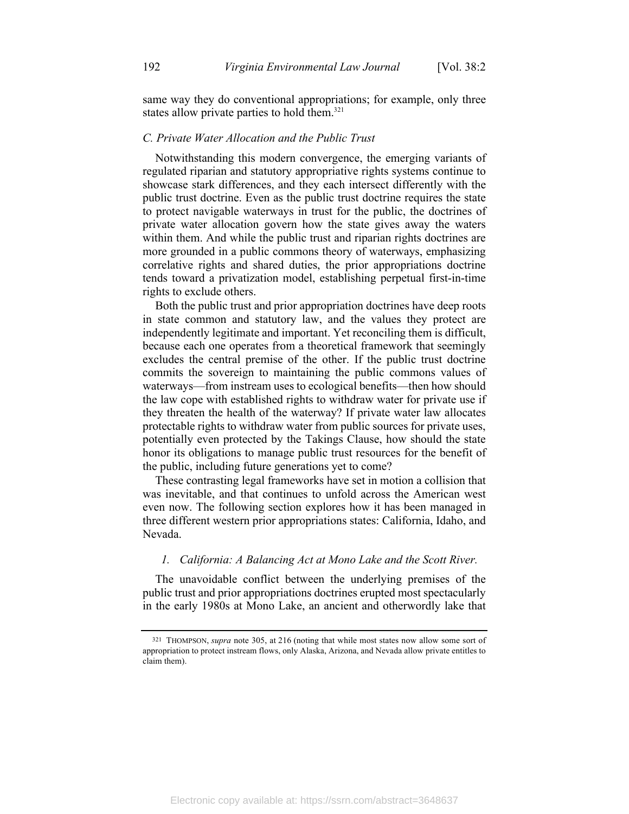same way they do conventional appropriations; for example, only three states allow private parties to hold them.<sup>321</sup>

# *C. Private Water Allocation and the Public Trust*

Notwithstanding this modern convergence, the emerging variants of regulated riparian and statutory appropriative rights systems continue to showcase stark differences, and they each intersect differently with the public trust doctrine. Even as the public trust doctrine requires the state to protect navigable waterways in trust for the public, the doctrines of private water allocation govern how the state gives away the waters within them. And while the public trust and riparian rights doctrines are more grounded in a public commons theory of waterways, emphasizing correlative rights and shared duties, the prior appropriations doctrine tends toward a privatization model, establishing perpetual first-in-time rights to exclude others.

Both the public trust and prior appropriation doctrines have deep roots in state common and statutory law, and the values they protect are independently legitimate and important. Yet reconciling them is difficult, because each one operates from a theoretical framework that seemingly excludes the central premise of the other. If the public trust doctrine commits the sovereign to maintaining the public commons values of waterways—from instream uses to ecological benefits—then how should the law cope with established rights to withdraw water for private use if they threaten the health of the waterway? If private water law allocates protectable rights to withdraw water from public sources for private uses, potentially even protected by the Takings Clause, how should the state honor its obligations to manage public trust resources for the benefit of the public, including future generations yet to come?

These contrasting legal frameworks have set in motion a collision that was inevitable, and that continues to unfold across the American west even now. The following section explores how it has been managed in three different western prior appropriations states: California, Idaho, and Nevada.

# *1. California: A Balancing Act at Mono Lake and the Scott River.*

The unavoidable conflict between the underlying premises of the public trust and prior appropriations doctrines erupted most spectacularly in the early 1980s at Mono Lake, an ancient and otherwordly lake that

<sup>321</sup> THOMPSON, *supra* note 305, at 216 (noting that while most states now allow some sort of appropriation to protect instream flows, only Alaska, Arizona, and Nevada allow private entitles to claim them).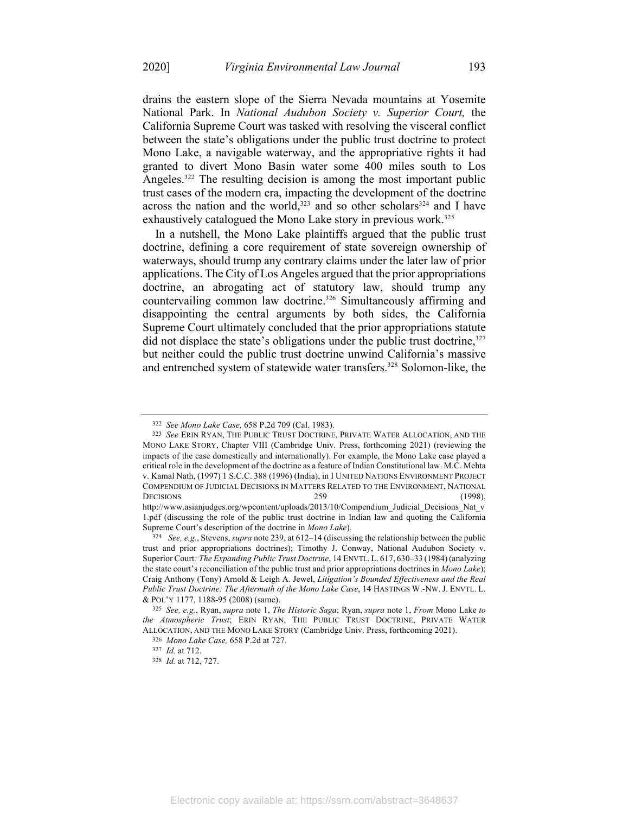drains the eastern slope of the Sierra Nevada mountains at Yosemite National Park. In *National Audubon Society v. Superior Court,* the California Supreme Court was tasked with resolving the visceral conflict between the state's obligations under the public trust doctrine to protect Mono Lake, a navigable waterway, and the appropriative rights it had granted to divert Mono Basin water some 400 miles south to Los Angeles.<sup>322</sup> The resulting decision is among the most important public trust cases of the modern era, impacting the development of the doctrine across the nation and the world, $323$  and so other scholars $324$  and I have exhaustively catalogued the Mono Lake story in previous work.<sup>325</sup>

In a nutshell, the Mono Lake plaintiffs argued that the public trust doctrine, defining a core requirement of state sovereign ownership of waterways, should trump any contrary claims under the later law of prior applications. The City of Los Angeles argued that the prior appropriations doctrine, an abrogating act of statutory law, should trump any countervailing common law doctrine.326 Simultaneously affirming and disappointing the central arguments by both sides, the California Supreme Court ultimately concluded that the prior appropriations statute did not displace the state's obligations under the public trust doctrine,  $327$ but neither could the public trust doctrine unwind California's massive and entrenched system of statewide water transfers.<sup>328</sup> Solomon-like, the

<sup>322</sup> *See Mono Lake Case,* 658 P.2d 709 (Cal. 1983).

<sup>323</sup> *See* ERIN RYAN, THE PUBLIC TRUST DOCTRINE, PRIVATE WATER ALLOCATION, AND THE MONO LAKE STORY, Chapter VIII (Cambridge Univ. Press, forthcoming 2021) (reviewing the impacts of the case domestically and internationally). For example, the Mono Lake case played a critical role in the development of the doctrine as a feature of Indian Constitutional law. M.C. Mehta v. Kamal Nath, (1997) 1 S.C.C. 388 (1996) (India), in I UNITED NATIONS ENVIRONMENT PROJECT COMPENDIUM OF JUDICIAL DECISIONS IN MATTERS RELATED TO THE ENVIRONMENT, NATIONAL DECISIONS 259 (1998), http://www.asianjudges.org/wpcontent/uploads/2013/10/Compendium\_Judicial\_Decisions\_Nat\_v

<sup>1.</sup>pdf (discussing the role of the public trust doctrine in Indian law and quoting the California Supreme Court's description of the doctrine in *Mono Lake*).

<sup>324</sup> *See, e.g.*, Stevens, *supra* note 239, at 612–14 (discussing the relationship between the public trust and prior appropriations doctrines); Timothy J. Conway, National Audubon Society v. Superior Court*: The Expanding Public Trust Doctrine*, 14 ENVTL. L. 617, 630–33 (1984)(analyzing the state court's reconciliation of the public trust and prior appropriations doctrines in *Mono Lake*); Craig Anthony (Tony) Arnold & Leigh A. Jewel, *Litigation's Bounded Effectiveness and the Real Public Trust Doctrine: The Aftermath of the Mono Lake Case*, 14 HASTINGS W.-NW. J. ENVTL. L. & POL'Y 1177, 1188-95 (2008) (same).

<sup>325</sup> *See, e.g.*, Ryan, *supra* note 1, *The Historic Saga*; Ryan, *supra* note 1, *From* Mono Lake *to the Atmospheric Trust*; ERIN RYAN, THE PUBLIC TRUST DOCTRINE, PRIVATE WATER ALLOCATION, AND THE MONO LAKE STORY (Cambridge Univ. Press, forthcoming 2021).

<sup>326</sup> *Mono Lake Case,* 658 P.2d at 727.

<sup>327</sup> *Id.* at 712.

<sup>328</sup> *Id.* at 712, 727.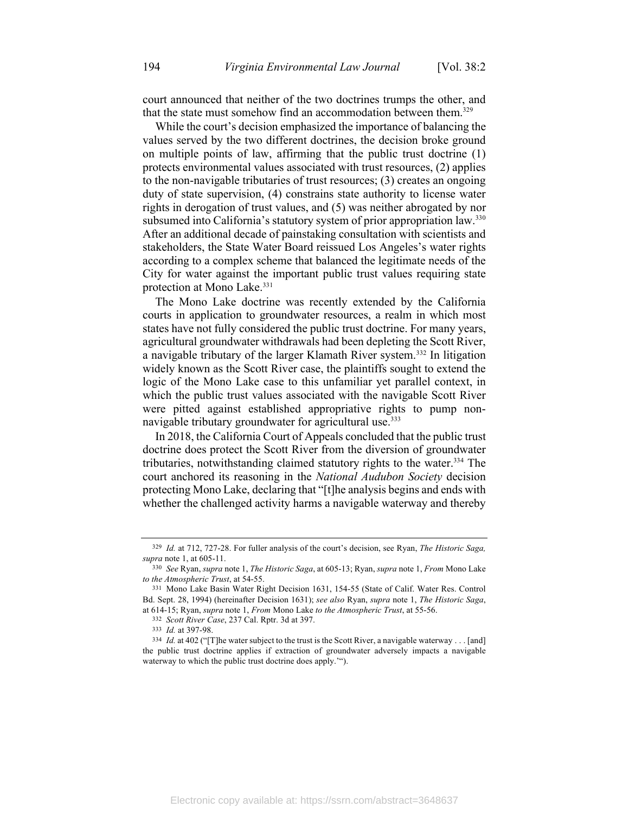court announced that neither of the two doctrines trumps the other, and that the state must somehow find an accommodation between them.<sup>329</sup>

While the court's decision emphasized the importance of balancing the values served by the two different doctrines, the decision broke ground on multiple points of law, affirming that the public trust doctrine (1) protects environmental values associated with trust resources, (2) applies to the non-navigable tributaries of trust resources; (3) creates an ongoing duty of state supervision, (4) constrains state authority to license water rights in derogation of trust values, and (5) was neither abrogated by nor subsumed into California's statutory system of prior appropriation law.<sup>330</sup> After an additional decade of painstaking consultation with scientists and stakeholders, the State Water Board reissued Los Angeles's water rights according to a complex scheme that balanced the legitimate needs of the City for water against the important public trust values requiring state protection at Mono Lake.<sup>331</sup>

The Mono Lake doctrine was recently extended by the California courts in application to groundwater resources, a realm in which most states have not fully considered the public trust doctrine. For many years, agricultural groundwater withdrawals had been depleting the Scott River, a navigable tributary of the larger Klamath River system.<sup>332</sup> In litigation widely known as the Scott River case, the plaintiffs sought to extend the logic of the Mono Lake case to this unfamiliar yet parallel context, in which the public trust values associated with the navigable Scott River were pitted against established appropriative rights to pump nonnavigable tributary groundwater for agricultural use.<sup>333</sup>

In 2018, the California Court of Appeals concluded that the public trust doctrine does protect the Scott River from the diversion of groundwater tributaries, notwithstanding claimed statutory rights to the water.<sup>334</sup> The court anchored its reasoning in the *National Audubon Society* decision protecting Mono Lake, declaring that "[t]he analysis begins and ends with whether the challenged activity harms a navigable waterway and thereby

<sup>329</sup> *Id.* at 712, 727-28. For fuller analysis of the court's decision, see Ryan, *The Historic Saga, supra* note 1, at 605-11.

<sup>330</sup> *See* Ryan, *supra* note 1, *The Historic Saga*, at 605-13; Ryan, *supra* note 1, *From* Mono Lake *to the Atmospheric Trust*, at 54-55.

<sup>331</sup> Mono Lake Basin Water Right Decision 1631, 154-55 (State of Calif. Water Res. Control Bd. Sept. 28, 1994) (hereinafter Decision 1631); *see also* Ryan, *supra* note 1, *The Historic Saga*, at 614-15; Ryan, *supra* note 1, *From* Mono Lake *to the Atmospheric Trust*, at 55-56.

<sup>332</sup> *Scott River Case*, 237 Cal. Rptr. 3d at 397.

<sup>333</sup> *Id.* at 397-98.

<sup>334</sup> *Id.* at 402 ("[T]he water subject to the trust is the Scott River, a navigable waterway . . . [and] the public trust doctrine applies if extraction of groundwater adversely impacts a navigable waterway to which the public trust doctrine does apply.'").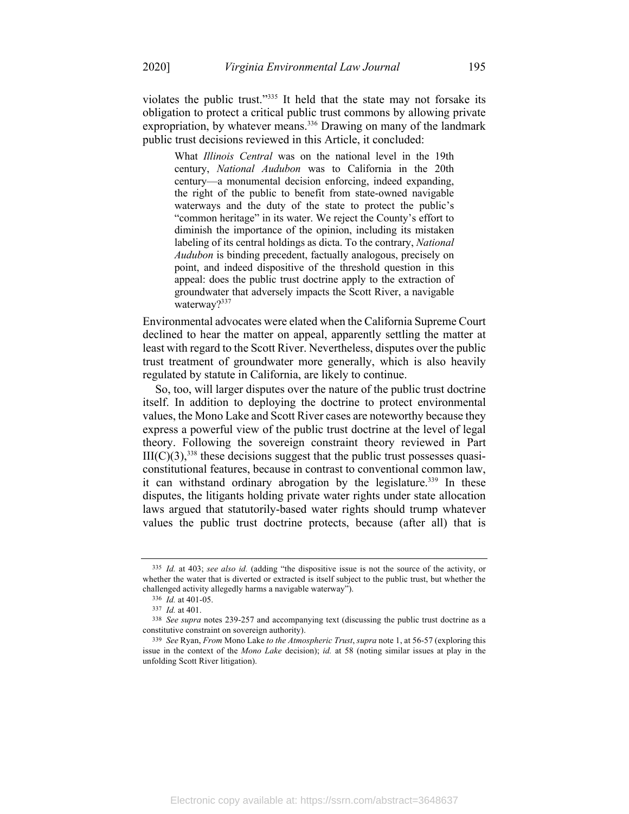violates the public trust."335 It held that the state may not forsake its obligation to protect a critical public trust commons by allowing private expropriation, by whatever means.<sup>336</sup> Drawing on many of the landmark public trust decisions reviewed in this Article, it concluded:

What *Illinois Central* was on the national level in the 19th century, *National Audubon* was to California in the 20th century—a monumental decision enforcing, indeed expanding, the right of the public to benefit from state-owned navigable waterways and the duty of the state to protect the public's "common heritage" in its water. We reject the County's effort to diminish the importance of the opinion, including its mistaken labeling of its central holdings as dicta. To the contrary, *National Audubon* is binding precedent, factually analogous, precisely on point, and indeed dispositive of the threshold question in this appeal: does the public trust doctrine apply to the extraction of groundwater that adversely impacts the Scott River, a navigable waterway?<sup>337</sup>

Environmental advocates were elated when the California Supreme Court declined to hear the matter on appeal, apparently settling the matter at least with regard to the Scott River. Nevertheless, disputes over the public trust treatment of groundwater more generally, which is also heavily regulated by statute in California, are likely to continue.

So, too, will larger disputes over the nature of the public trust doctrine itself. In addition to deploying the doctrine to protect environmental values, the Mono Lake and Scott River cases are noteworthy because they express a powerful view of the public trust doctrine at the level of legal theory. Following the sovereign constraint theory reviewed in Part  $III(C)(3)$ ,<sup>338</sup> these decisions suggest that the public trust possesses quasiconstitutional features, because in contrast to conventional common law, it can withstand ordinary abrogation by the legislature.<sup>339</sup> In these disputes, the litigants holding private water rights under state allocation laws argued that statutorily-based water rights should trump whatever values the public trust doctrine protects, because (after all) that is

<sup>335</sup> *Id.* at 403; *see also id.* (adding "the dispositive issue is not the source of the activity, or whether the water that is diverted or extracted is itself subject to the public trust, but whether the challenged activity allegedly harms a navigable waterway").

<sup>336</sup> *Id.* at 401-05.

<sup>337</sup> *Id.* at 401.

<sup>338</sup> *See supra* notes 239-257 and accompanying text (discussing the public trust doctrine as a constitutive constraint on sovereign authority).

<sup>339</sup> *See* Ryan, *From* Mono Lake *to the Atmospheric Trust*, *supra* note 1, at 56-57 (exploring this issue in the context of the *Mono Lake* decision); *id.* at 58 (noting similar issues at play in the unfolding Scott River litigation).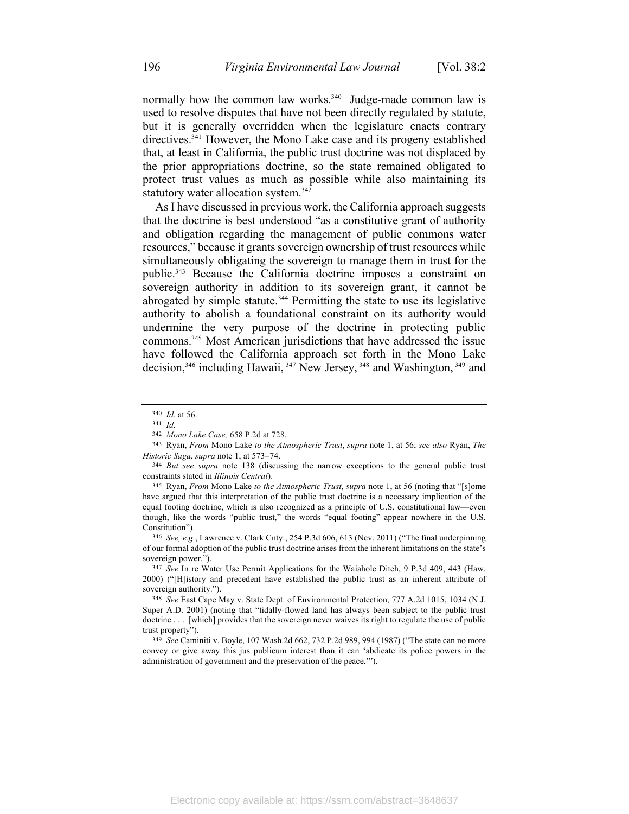normally how the common law works. $340$  Judge-made common law is used to resolve disputes that have not been directly regulated by statute, but it is generally overridden when the legislature enacts contrary directives.341 However, the Mono Lake case and its progeny established that, at least in California, the public trust doctrine was not displaced by the prior appropriations doctrine, so the state remained obligated to protect trust values as much as possible while also maintaining its statutory water allocation system.<sup>342</sup>

As I have discussed in previous work, the California approach suggests that the doctrine is best understood "as a constitutive grant of authority and obligation regarding the management of public commons water resources," because it grants sovereign ownership of trust resources while simultaneously obligating the sovereign to manage them in trust for the public.<sup>343</sup> Because the California doctrine imposes a constraint on sovereign authority in addition to its sovereign grant, it cannot be abrogated by simple statute.<sup>344</sup> Permitting the state to use its legislative authority to abolish a foundational constraint on its authority would undermine the very purpose of the doctrine in protecting public commons.345 Most American jurisdictions that have addressed the issue have followed the California approach set forth in the Mono Lake decision,<sup>346</sup> including Hawaii,<sup>347</sup> New Jersey,<sup>348</sup> and Washington,<sup>349</sup> and

346 *See, e.g.*, Lawrence v. Clark Cnty., 254 P.3d 606, 613 (Nev. 2011) ("The final underpinning of our formal adoption of the public trust doctrine arises from the inherent limitations on the state's sovereign power.").

347 *See* In re Water Use Permit Applications for the Waiahole Ditch, 9 P.3d 409, 443 (Haw. 2000) ("[H]istory and precedent have established the public trust as an inherent attribute of sovereign authority.").

349 *See* Caminiti v. Boyle, 107 Wash.2d 662, 732 P.2d 989, 994 (1987) ("The state can no more convey or give away this jus publicum interest than it can 'abdicate its police powers in the administration of government and the preservation of the peace.'").

<sup>340</sup> *Id.* at 56.

<sup>341</sup> *Id.*

<sup>342</sup> *Mono Lake Case,* 658 P.2d at 728.

<sup>343</sup> Ryan, *From* Mono Lake *to the Atmospheric Trust*, *supra* note 1, at 56; *see also* Ryan, *The Historic Saga*, *supra* note 1, at 573-74.

<sup>344</sup> *But see supra* note 138 (discussing the narrow exceptions to the general public trust constraints stated in *Illinois Central*).

<sup>345</sup> Ryan, *From* Mono Lake *to the Atmospheric Trust*, *supra* note 1, at 56 (noting that "[s]ome have argued that this interpretation of the public trust doctrine is a necessary implication of the equal footing doctrine, which is also recognized as a principle of U.S. constitutional law—even though, like the words "public trust," the words "equal footing" appear nowhere in the U.S. Constitution").

<sup>348</sup> *See* East Cape May v. State Dept. of Environmental Protection, 777 A.2d 1015, 1034 (N.J. Super A.D. 2001) (noting that "tidally-flowed land has always been subject to the public trust doctrine . . . [which] provides that the sovereign never waives its right to regulate the use of public trust property").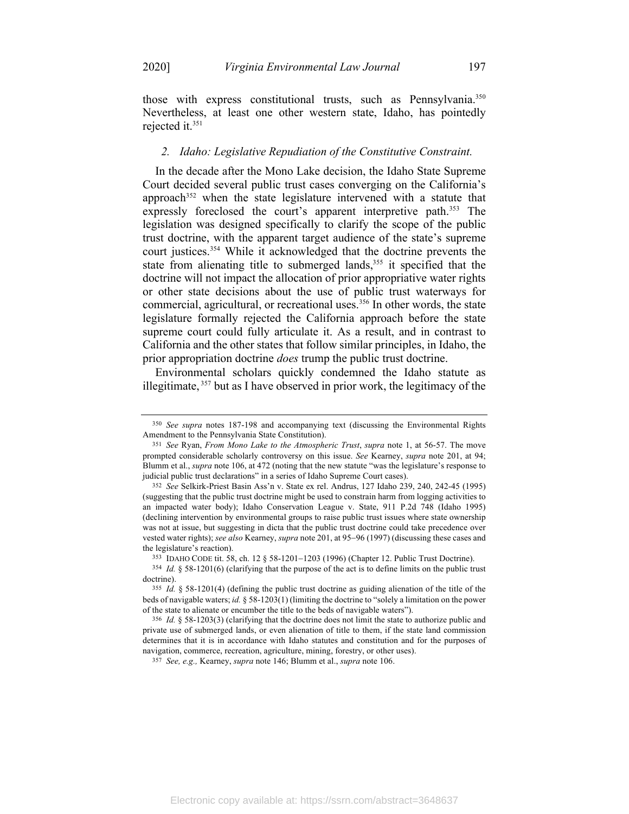those with express constitutional trusts, such as Pennsylvania.<sup>350</sup> Nevertheless, at least one other western state, Idaho, has pointedly rejected it.351

# *2. Idaho: Legislative Repudiation of the Constitutive Constraint.*

In the decade after the Mono Lake decision, the Idaho State Supreme Court decided several public trust cases converging on the California's approach<sup>352</sup> when the state legislature intervened with a statute that expressly foreclosed the court's apparent interpretive path.<sup>353</sup> The legislation was designed specifically to clarify the scope of the public trust doctrine, with the apparent target audience of the state's supreme court justices.354 While it acknowledged that the doctrine prevents the state from alienating title to submerged lands,<sup>355</sup> it specified that the doctrine will not impact the allocation of prior appropriative water rights or other state decisions about the use of public trust waterways for commercial, agricultural, or recreational uses.<sup>356</sup> In other words, the state legislature formally rejected the California approach before the state supreme court could fully articulate it. As a result, and in contrast to California and the other states that follow similar principles, in Idaho, the prior appropriation doctrine *does* trump the public trust doctrine.

Environmental scholars quickly condemned the Idaho statute as illegitimate, <sup>357</sup> but as I have observed in prior work, the legitimacy of the

<sup>350</sup> *See supra* notes 187-198 and accompanying text (discussing the Environmental Rights Amendment to the Pennsylvania State Constitution).

<sup>351</sup> *See* Ryan, *From Mono Lake to the Atmospheric Trust*, *supra* note 1, at 56-57. The move prompted considerable scholarly controversy on this issue. *See* Kearney, *supra* note 201, at 94; Blumm et al., *supra* note 106, at 472 (noting that the new statute "was the legislature's response to judicial public trust declarations" in a series of Idaho Supreme Court cases).

<sup>352</sup> *See* Selkirk-Priest Basin Ass'n v. State ex rel. Andrus, 127 Idaho 239, 240, 242-45 (1995) (suggesting that the public trust doctrine might be used to constrain harm from logging activities to an impacted water body); Idaho Conservation League v. State, 911 P.2d 748 (Idaho 1995) (declining intervention by environmental groups to raise public trust issues where state ownership was not at issue, but suggesting in dicta that the public trust doctrine could take precedence over vested water rights); *see also* Kearney, *supra* note 201, at 95-96 (1997) (discussing these cases and the legislature's reaction).

<sup>353</sup> IDAHO CODE tit. 58, ch. 12 § 58-1201-1203 (1996) (Chapter 12. Public Trust Doctrine).

<sup>354</sup> *Id.* § 58-1201(6) (clarifying that the purpose of the act is to define limits on the public trust doctrine).

<sup>355</sup> *Id.* § 58-1201(4) (defining the public trust doctrine as guiding alienation of the title of the beds of navigable waters; *id.* § 58-1203(1) (limiting the doctrine to "solely a limitation on the power of the state to alienate or encumber the title to the beds of navigable waters").

<sup>356</sup> *Id.* § 58-1203(3) (clarifying that the doctrine does not limit the state to authorize public and private use of submerged lands, or even alienation of title to them, if the state land commission determines that it is in accordance with Idaho statutes and constitution and for the purposes of navigation, commerce, recreation, agriculture, mining, forestry, or other uses).

<sup>357</sup> *See, e.g.,* Kearney, *supra* note 146; Blumm et al., *supra* note 106.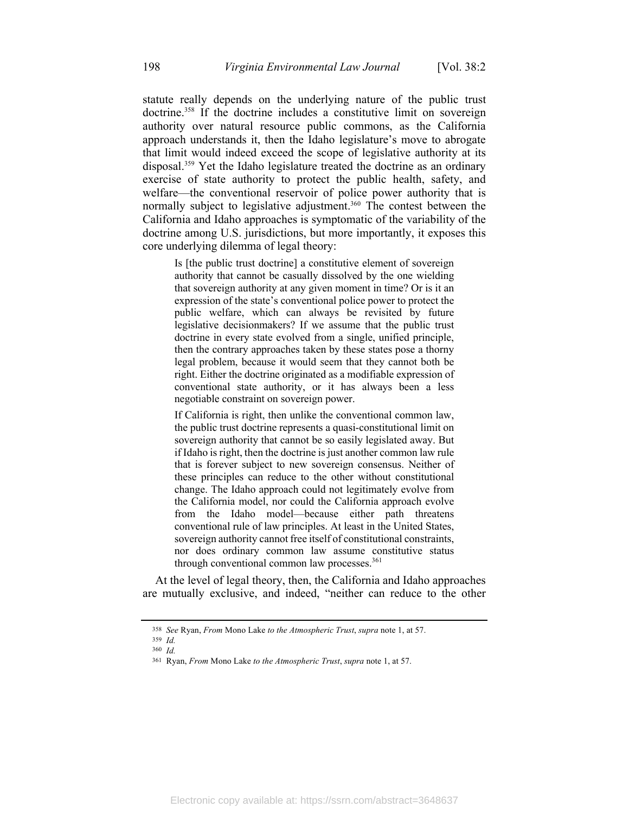statute really depends on the underlying nature of the public trust doctrine.<sup>358</sup> If the doctrine includes a constitutive limit on sovereign authority over natural resource public commons, as the California approach understands it, then the Idaho legislature's move to abrogate that limit would indeed exceed the scope of legislative authority at its disposal.<sup>359</sup> Yet the Idaho legislature treated the doctrine as an ordinary exercise of state authority to protect the public health, safety, and welfare—the conventional reservoir of police power authority that is normally subject to legislative adjustment.<sup>360</sup> The contest between the California and Idaho approaches is symptomatic of the variability of the doctrine among U.S. jurisdictions, but more importantly, it exposes this core underlying dilemma of legal theory:

Is [the public trust doctrine] a constitutive element of sovereign authority that cannot be casually dissolved by the one wielding that sovereign authority at any given moment in time? Or is it an expression of the state's conventional police power to protect the public welfare, which can always be revisited by future legislative decisionmakers? If we assume that the public trust doctrine in every state evolved from a single, unified principle, then the contrary approaches taken by these states pose a thorny legal problem, because it would seem that they cannot both be right. Either the doctrine originated as a modifiable expression of conventional state authority, or it has always been a less negotiable constraint on sovereign power.

If California is right, then unlike the conventional common law, the public trust doctrine represents a quasi-constitutional limit on sovereign authority that cannot be so easily legislated away. But if Idaho is right, then the doctrine is just another common law rule that is forever subject to new sovereign consensus. Neither of these principles can reduce to the other without constitutional change. The Idaho approach could not legitimately evolve from the California model, nor could the California approach evolve from the Idaho model—because either path threatens conventional rule of law principles. At least in the United States, sovereign authority cannot free itself of constitutional constraints, nor does ordinary common law assume constitutive status through conventional common law processes. $361$ 

At the level of legal theory, then, the California and Idaho approaches are mutually exclusive, and indeed, "neither can reduce to the other

<sup>358</sup> *See* Ryan, *From* Mono Lake *to the Atmospheric Trust*, *supra* note 1, at 57.

<sup>359</sup> *Id.*

<sup>360</sup> *Id.*

<sup>361</sup> Ryan, *From* Mono Lake *to the Atmospheric Trust*, *supra* note 1, at 57.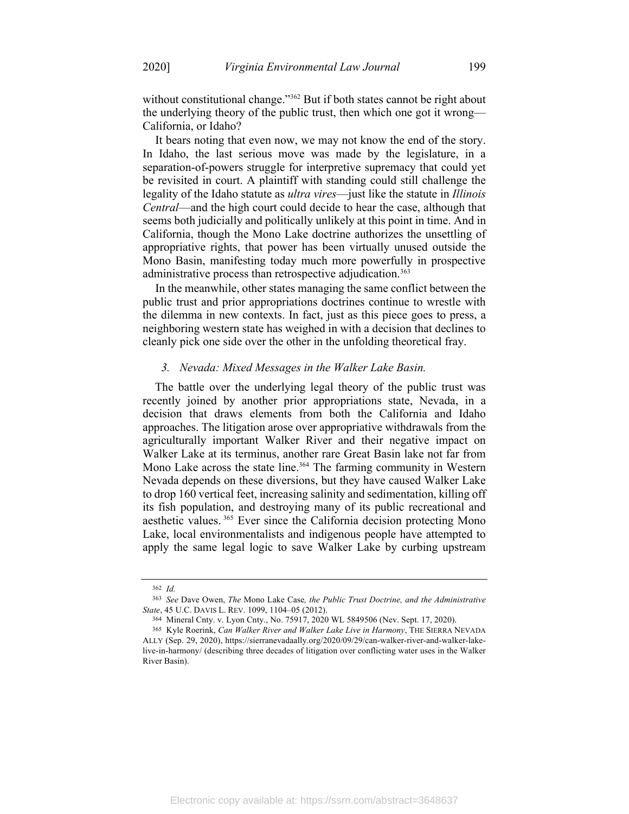without constitutional change."<sup>362</sup> But if both states cannot be right about the underlying theory of the public trust, then which one got it wrong— California, or Idaho?

It bears noting that even now, we may not know the end of the story. In Idaho, the last serious move was made by the legislature, in a separation-of-powers struggle for interpretive supremacy that could yet be revisited in court. A plaintiff with standing could still challenge the legality of the Idaho statute as *ultra vires*—just like the statute in *Illinois Central*—and the high court could decide to hear the case, although that seems both judicially and politically unlikely at this point in time. And in California, though the Mono Lake doctrine authorizes the unsettling of appropriative rights, that power has been virtually unused outside the Mono Basin, manifesting today much more powerfully in prospective administrative process than retrospective adjudication.<sup>363</sup>

In the meanwhile, other states managing the same conflict between the public trust and prior appropriations doctrines continue to wrestle with the dilemma in new contexts. In fact, just as this piece goes to press, a neighboring western state has weighed in with a decision that declines to cleanly pick one side over the other in the unfolding theoretical fray.

# *3. Nevada: Mixed Messages in the Walker Lake Basin.*

The battle over the underlying legal theory of the public trust was recently joined by another prior appropriations state, Nevada, in a decision that draws elements from both the California and Idaho approaches. The litigation arose over appropriative withdrawals from the agriculturally important Walker River and their negative impact on Walker Lake at its terminus, another rare Great Basin lake not far from Mono Lake across the state line.<sup>364</sup> The farming community in Western Nevada depends on these diversions, but they have caused Walker Lake to drop 160 vertical feet, increasing salinity and sedimentation, killing off its fish population, and destroying many of its public recreational and aesthetic values. <sup>365</sup> Ever since the California decision protecting Mono Lake, local environmentalists and indigenous people have attempted to apply the same legal logic to save Walker Lake by curbing upstream

<sup>362</sup> *Id.*

<sup>363</sup> *See* Dave Owen, *The* Mono Lake Case*, the Public Trust Doctrine, and the Administrative State*, 45 U.C. DAVIS L. REV. 1099, 1104–05 (2012).

<sup>364</sup> Mineral Cnty. v. Lyon Cnty., No. 75917, 2020 WL 5849506 (Nev. Sept. 17, 2020).

<sup>365</sup> Kyle Roerink, *Can Walker River and Walker Lake Live in Harmony*, THE SIERRA NEVADA ALLY (Sep. 29, 2020), https://sierranevadaally.org/2020/09/29/can-walker-river-and-walker-lakelive-in-harmony/ (describing three decades of litigation over conflicting water uses in the Walker River Basin).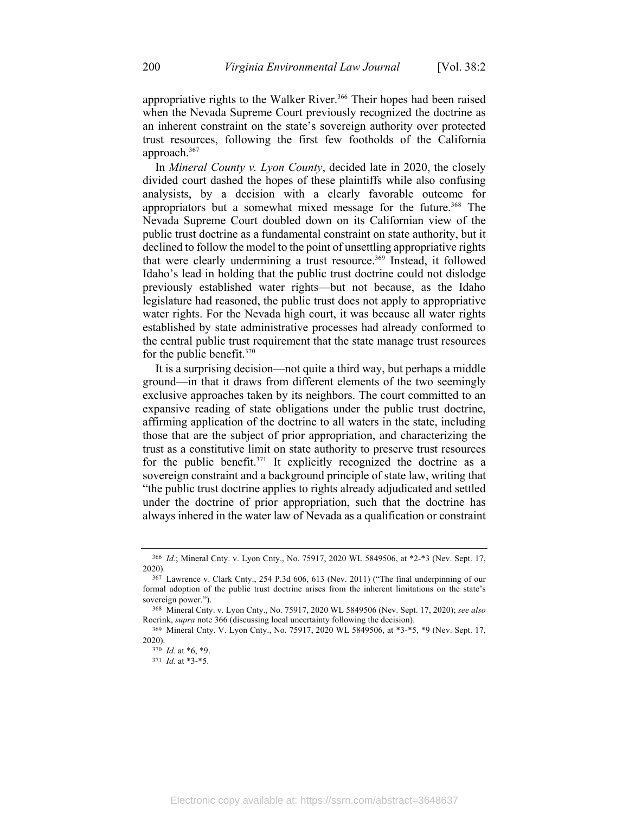appropriative rights to the Walker River.<sup>366</sup> Their hopes had been raised when the Nevada Supreme Court previously recognized the doctrine as an inherent constraint on the state's sovereign authority over protected trust resources, following the first few footholds of the California approach.367

In *Mineral County v. Lyon County*, decided late in 2020, the closely divided court dashed the hopes of these plaintiffs while also confusing analysists, by a decision with a clearly favorable outcome for appropriators but a somewhat mixed message for the future.<sup>368</sup> The Nevada Supreme Court doubled down on its Californian view of the public trust doctrine as a fundamental constraint on state authority, but it declined to follow the model to the point of unsettling appropriative rights that were clearly undermining a trust resource.<sup>369</sup> Instead, it followed Idaho's lead in holding that the public trust doctrine could not dislodge previously established water rights—but not because, as the Idaho legislature had reasoned, the public trust does not apply to appropriative water rights. For the Nevada high court, it was because all water rights established by state administrative processes had already conformed to the central public trust requirement that the state manage trust resources for the public benefit.370

It is a surprising decision—not quite a third way, but perhaps a middle ground—in that it draws from different elements of the two seemingly exclusive approaches taken by its neighbors. The court committed to an expansive reading of state obligations under the public trust doctrine, affirming application of the doctrine to all waters in the state, including those that are the subject of prior appropriation, and characterizing the trust as a constitutive limit on state authority to preserve trust resources for the public benefit. $371$  It explicitly recognized the doctrine as a sovereign constraint and a background principle of state law, writing that "the public trust doctrine applies to rights already adjudicated and settled under the doctrine of prior appropriation, such that the doctrine has always inhered in the water law of Nevada as a qualification or constraint

<sup>366</sup> *Id.*; Mineral Cnty. v. Lyon Cnty., No. 75917, 2020 WL 5849506, at \*2-\*3 (Nev. Sept. 17, 2020).

<sup>367</sup> Lawrence v. Clark Cnty., 254 P.3d 606, 613 (Nev. 2011) ("The final underpinning of our formal adoption of the public trust doctrine arises from the inherent limitations on the state's sovereign power.").

<sup>368</sup> Mineral Cnty. v. Lyon Cnty., No. 75917, 2020 WL 5849506 (Nev. Sept. 17, 2020); *see also*  Roerink, *supra* note 366 (discussing local uncertainty following the decision).

<sup>369</sup> Mineral Cnty. V. Lyon Cnty., No. 75917, 2020 WL 5849506, at \*3-\*5, \*9 (Nev. Sept. 17, 2020).

<sup>370</sup> *Id.* at \*6, \*9.

<sup>371</sup> *Id.* at \*3-\*5.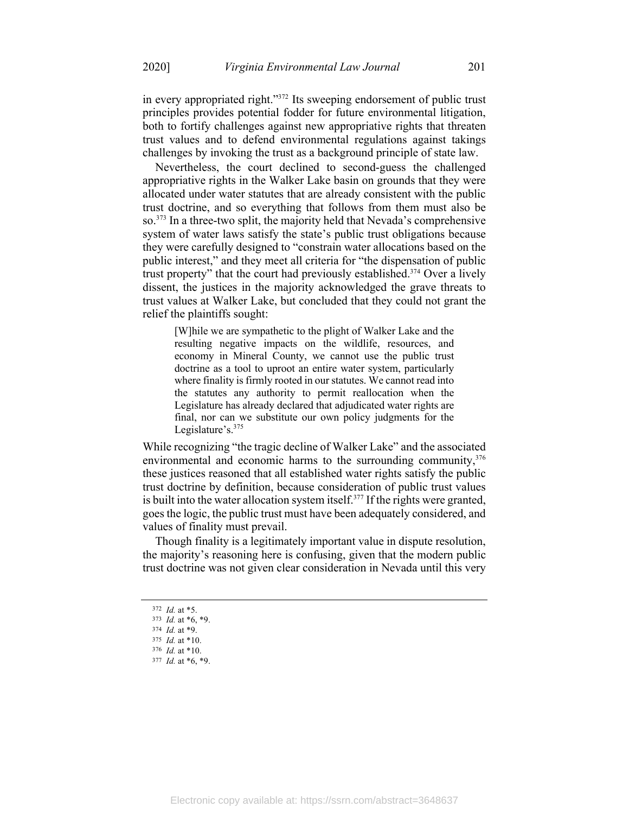in every appropriated right."372 Its sweeping endorsement of public trust principles provides potential fodder for future environmental litigation, both to fortify challenges against new appropriative rights that threaten trust values and to defend environmental regulations against takings challenges by invoking the trust as a background principle of state law.

Nevertheless, the court declined to second-guess the challenged appropriative rights in the Walker Lake basin on grounds that they were allocated under water statutes that are already consistent with the public trust doctrine, and so everything that follows from them must also be so.373 In a three-two split, the majority held that Nevada's comprehensive system of water laws satisfy the state's public trust obligations because they were carefully designed to "constrain water allocations based on the public interest," and they meet all criteria for "the dispensation of public trust property" that the court had previously established.<sup>374</sup> Over a lively dissent, the justices in the majority acknowledged the grave threats to trust values at Walker Lake, but concluded that they could not grant the relief the plaintiffs sought:

[W]hile we are sympathetic to the plight of Walker Lake and the resulting negative impacts on the wildlife, resources, and economy in Mineral County, we cannot use the public trust doctrine as a tool to uproot an entire water system, particularly where finality is firmly rooted in our statutes. We cannot read into the statutes any authority to permit reallocation when the Legislature has already declared that adjudicated water rights are final, nor can we substitute our own policy judgments for the Legislature's.<sup>375</sup>

While recognizing "the tragic decline of Walker Lake" and the associated environmental and economic harms to the surrounding community,  $376$ these justices reasoned that all established water rights satisfy the public trust doctrine by definition, because consideration of public trust values is built into the water allocation system itself.<sup>377</sup> If the rights were granted, goes the logic, the public trust must have been adequately considered, and values of finality must prevail.

Though finality is a legitimately important value in dispute resolution, the majority's reasoning here is confusing, given that the modern public trust doctrine was not given clear consideration in Nevada until this very

<sup>372</sup> *Id.* at \*5.

<sup>373</sup> *Id.* at \*6, \*9. 374 *Id.* at \*9.

<sup>375</sup> *Id.* at \*10.

<sup>376</sup> *Id.* at \*10. 377 *Id.* at \*6, \*9.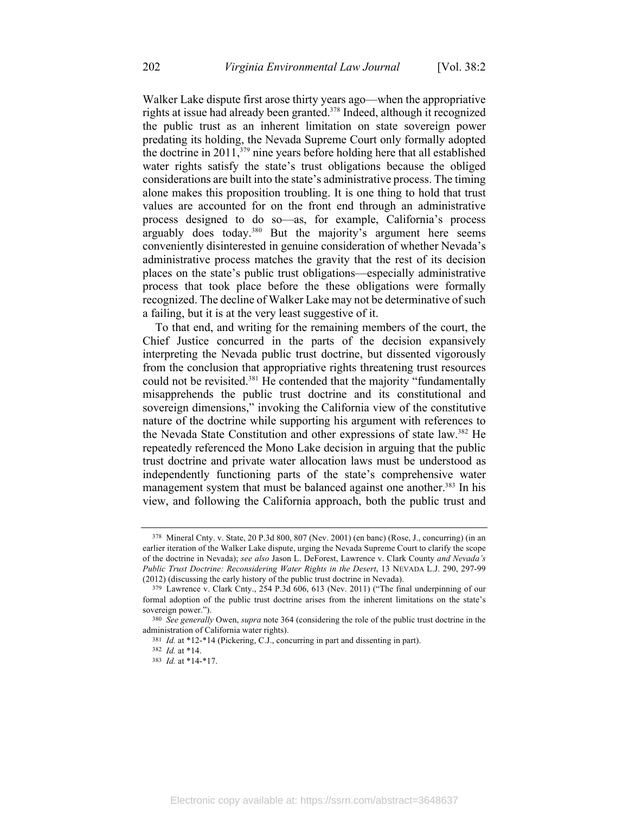Walker Lake dispute first arose thirty years ago—when the appropriative rights at issue had already been granted.<sup>378</sup> Indeed, although it recognized the public trust as an inherent limitation on state sovereign power predating its holding, the Nevada Supreme Court only formally adopted the doctrine in  $2011$ ,<sup>379</sup> nine years before holding here that all established water rights satisfy the state's trust obligations because the obliged considerations are built into the state's administrative process. The timing alone makes this proposition troubling. It is one thing to hold that trust values are accounted for on the front end through an administrative process designed to do so—as, for example, California's process arguably does today.<sup>380</sup> But the majority's argument here seems conveniently disinterested in genuine consideration of whether Nevada's administrative process matches the gravity that the rest of its decision places on the state's public trust obligations—especially administrative process that took place before the these obligations were formally recognized. The decline of Walker Lake may not be determinative of such a failing, but it is at the very least suggestive of it.

To that end, and writing for the remaining members of the court, the Chief Justice concurred in the parts of the decision expansively interpreting the Nevada public trust doctrine, but dissented vigorously from the conclusion that appropriative rights threatening trust resources could not be revisited.381 He contended that the majority "fundamentally misapprehends the public trust doctrine and its constitutional and sovereign dimensions," invoking the California view of the constitutive nature of the doctrine while supporting his argument with references to the Nevada State Constitution and other expressions of state law.382 He repeatedly referenced the Mono Lake decision in arguing that the public trust doctrine and private water allocation laws must be understood as independently functioning parts of the state's comprehensive water management system that must be balanced against one another.<sup>383</sup> In his view, and following the California approach, both the public trust and

<sup>378</sup> Mineral Cnty. v. State, 20 P.3d 800, 807 (Nev. 2001) (en banc) (Rose, J., concurring) (in an earlier iteration of the Walker Lake dispute, urging the Nevada Supreme Court to clarify the scope of the doctrine in Nevada); *see also* Jason L. DeForest, Lawrence v. Clark County *and Nevada's Public Trust Doctrine: Reconsidering Water Rights in the Desert*, 13 NEVADA L.J. 290, 297-99 (2012) (discussing the early history of the public trust doctrine in Nevada).

<sup>379</sup> Lawrence v. Clark Cnty., 254 P.3d 606, 613 (Nev. 2011) ("The final underpinning of our formal adoption of the public trust doctrine arises from the inherent limitations on the state's sovereign power.").

<sup>380</sup> *See generally* Owen, *supra* note 364 (considering the role of the public trust doctrine in the administration of California water rights).

<sup>381</sup> *Id.* at \*12-\*14 (Pickering, C.J., concurring in part and dissenting in part).

<sup>382</sup> *Id.* at \*14.

<sup>383</sup> *Id.* at \*14-\*17.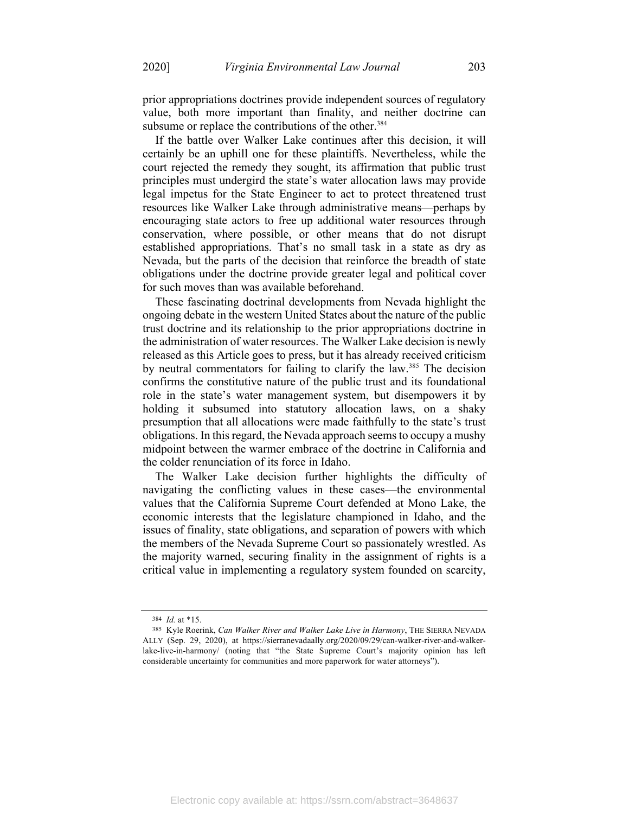prior appropriations doctrines provide independent sources of regulatory value, both more important than finality, and neither doctrine can subsume or replace the contributions of the other.<sup>384</sup>

If the battle over Walker Lake continues after this decision, it will certainly be an uphill one for these plaintiffs. Nevertheless, while the court rejected the remedy they sought, its affirmation that public trust principles must undergird the state's water allocation laws may provide legal impetus for the State Engineer to act to protect threatened trust resources like Walker Lake through administrative means—perhaps by encouraging state actors to free up additional water resources through conservation, where possible, or other means that do not disrupt established appropriations. That's no small task in a state as dry as Nevada, but the parts of the decision that reinforce the breadth of state obligations under the doctrine provide greater legal and political cover for such moves than was available beforehand.

These fascinating doctrinal developments from Nevada highlight the ongoing debate in the western United States about the nature of the public trust doctrine and its relationship to the prior appropriations doctrine in the administration of water resources. The Walker Lake decision is newly released as this Article goes to press, but it has already received criticism by neutral commentators for failing to clarify the law.<sup>385</sup> The decision confirms the constitutive nature of the public trust and its foundational role in the state's water management system, but disempowers it by holding it subsumed into statutory allocation laws, on a shaky presumption that all allocations were made faithfully to the state's trust obligations. In this regard, the Nevada approach seems to occupy a mushy midpoint between the warmer embrace of the doctrine in California and the colder renunciation of its force in Idaho.

The Walker Lake decision further highlights the difficulty of navigating the conflicting values in these cases—the environmental values that the California Supreme Court defended at Mono Lake, the economic interests that the legislature championed in Idaho, and the issues of finality, state obligations, and separation of powers with which the members of the Nevada Supreme Court so passionately wrestled. As the majority warned, securing finality in the assignment of rights is a critical value in implementing a regulatory system founded on scarcity,

<sup>384</sup> *Id.* at \*15.

<sup>385</sup> Kyle Roerink, *Can Walker River and Walker Lake Live in Harmony*, THE SIERRA NEVADA ALLY (Sep. 29, 2020), at https://sierranevadaally.org/2020/09/29/can-walker-river-and-walkerlake-live-in-harmony/ (noting that "the State Supreme Court's majority opinion has left considerable uncertainty for communities and more paperwork for water attorneys").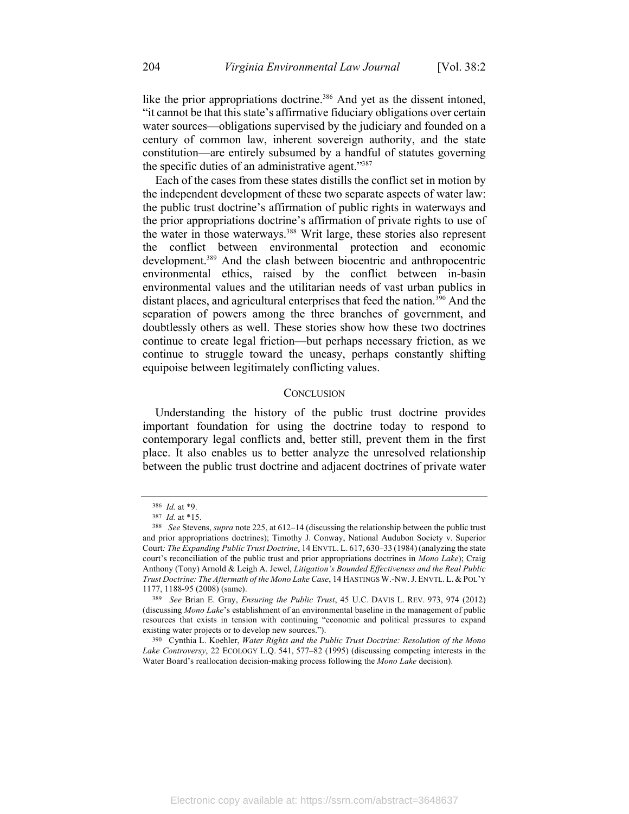like the prior appropriations doctrine.<sup>386</sup> And yet as the dissent intoned, "it cannot be that this state's affirmative fiduciary obligations over certain water sources—obligations supervised by the judiciary and founded on a century of common law, inherent sovereign authority, and the state constitution—are entirely subsumed by a handful of statutes governing the specific duties of an administrative agent."387

Each of the cases from these states distills the conflict set in motion by the independent development of these two separate aspects of water law: the public trust doctrine's affirmation of public rights in waterways and the prior appropriations doctrine's affirmation of private rights to use of the water in those waterways.<sup>388</sup> Writ large, these stories also represent the conflict between environmental protection and economic development.389 And the clash between biocentric and anthropocentric environmental ethics, raised by the conflict between in-basin environmental values and the utilitarian needs of vast urban publics in distant places, and agricultural enterprises that feed the nation.<sup>390</sup> And the separation of powers among the three branches of government, and doubtlessly others as well. These stories show how these two doctrines continue to create legal friction—but perhaps necessary friction, as we continue to struggle toward the uneasy, perhaps constantly shifting equipoise between legitimately conflicting values.

#### **CONCLUSION**

Understanding the history of the public trust doctrine provides important foundation for using the doctrine today to respond to contemporary legal conflicts and, better still, prevent them in the first place. It also enables us to better analyze the unresolved relationship between the public trust doctrine and adjacent doctrines of private water

<sup>386</sup> *Id.* at \*9.

<sup>387</sup> *Id.* at \*15.

<sup>388</sup> *See* Stevens, *supra* note 225, at 612–14 (discussing the relationship between the public trust and prior appropriations doctrines); Timothy J. Conway, National Audubon Society v. Superior Court*: The Expanding Public Trust Doctrine*, 14 ENVTL. L. 617, 630–33 (1984) (analyzing the state court's reconciliation of the public trust and prior appropriations doctrines in *Mono Lake*); Craig Anthony (Tony) Arnold & Leigh A. Jewel, *Litigation's Bounded Effectiveness and the Real Public Trust Doctrine: The Aftermath of the Mono Lake Case*, 14 HASTINGS W.-NW.J. ENVTL. L. & POL'Y 1177, 1188-95 (2008) (same).

<sup>389</sup> *See* Brian E. Gray, *Ensuring the Public Trust*, 45 U.C. DAVIS L. REV. 973, 974 (2012) (discussing *Mono Lake*'s establishment of an environmental baseline in the management of public resources that exists in tension with continuing "economic and political pressures to expand existing water projects or to develop new sources.").

<sup>390</sup> Cynthia L. Koehler, *Water Rights and the Public Trust Doctrine: Resolution of the Mono Lake Controversy*, 22 ECOLOGY L.Q. 541, 577–82 (1995) (discussing competing interests in the Water Board's reallocation decision-making process following the *Mono Lake* decision).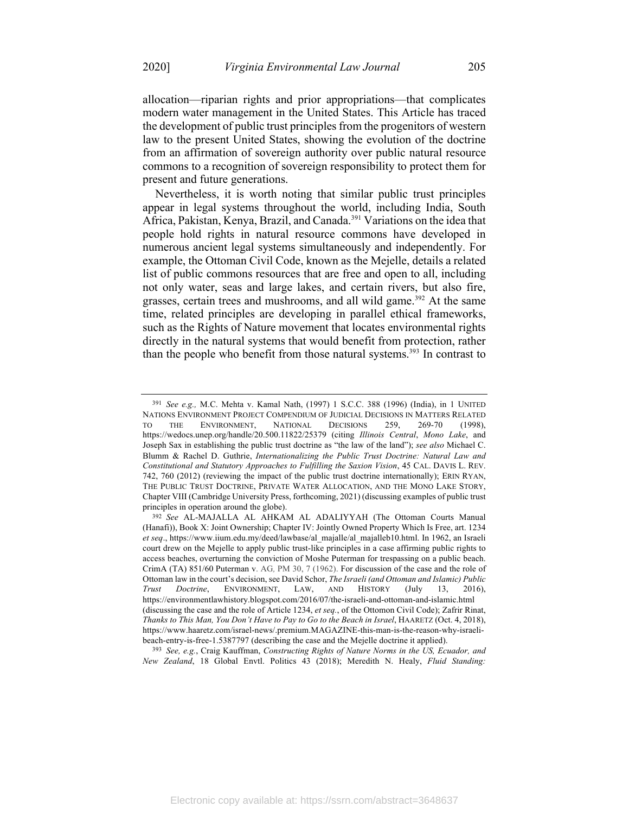allocation—riparian rights and prior appropriations—that complicates modern water management in the United States. This Article has traced the development of public trust principles from the progenitors of western law to the present United States, showing the evolution of the doctrine from an affirmation of sovereign authority over public natural resource commons to a recognition of sovereign responsibility to protect them for present and future generations.

Nevertheless, it is worth noting that similar public trust principles appear in legal systems throughout the world, including India, South Africa, Pakistan, Kenya, Brazil, and Canada.<sup>391</sup> Variations on the idea that people hold rights in natural resource commons have developed in numerous ancient legal systems simultaneously and independently. For example, the Ottoman Civil Code, known as the Mejelle, details a related list of public commons resources that are free and open to all, including not only water, seas and large lakes, and certain rivers, but also fire, grasses, certain trees and mushrooms, and all wild game.<sup>392</sup> At the same time, related principles are developing in parallel ethical frameworks, such as the Rights of Nature movement that locates environmental rights directly in the natural systems that would benefit from protection, rather than the people who benefit from those natural systems.<sup>393</sup> In contrast to

393 *See, e.g.*, Craig Kauffman, *Constructing Rights of Nature Norms in the US, Ecuador, and New Zealand*, 18 Global Envtl. Politics 43 (2018); Meredith N. Healy, *Fluid Standing:* 

<sup>391</sup> *See e.g.,* M.C. Mehta v. Kamal Nath, (1997) 1 S.C.C. 388 (1996) (India), in 1 UNITED NATIONS ENVIRONMENT PROJECT COMPENDIUM OF JUDICIAL DECISIONS IN MATTERS RELATED TO THE ENVIRONMENT, NATIONAL DECISIONS 259, 269-70 (1998), https://wedocs.unep.org/handle/20.500.11822/25379 (citing *Illinois Central*, *Mono Lake*, and Joseph Sax in establishing the public trust doctrine as "the law of the land"); *see also* Michael C. Blumm & Rachel D. Guthrie, *Internationalizing the Public Trust Doctrine: Natural Law and Constitutional and Statutory Approaches to Fulfilling the Saxion Vision*, 45 CAL. DAVIS L. REV. 742, 760 (2012) (reviewing the impact of the public trust doctrine internationally); ERIN RYAN, THE PUBLIC TRUST DOCTRINE, PRIVATE WATER ALLOCATION, AND THE MONO LAKE STORY, Chapter VIII (Cambridge University Press, forthcoming, 2021) (discussing examples of public trust principles in operation around the globe).

<sup>392</sup> *See* AL-MAJALLA AL AHKAM AL ADALIYYAH (The Ottoman Courts Manual (Hanafi)), Book X: Joint Ownership; Chapter IV: Jointly Owned Property Which Is Free, art. 1234 *et seq*., https://www.iium.edu.my/deed/lawbase/al\_majalle/al\_majalleb10.html. In 1962, an Israeli court drew on the Mejelle to apply public trust-like principles in a case affirming public rights to access beaches, overturning the conviction of Moshe Puterman for trespassing on a public beach. CrimA (TA) 851/60 Puterman v. AG*,* PM 30, 7 (1962). For discussion of the case and the role of Ottoman law in the court's decision, see David Schor, *The Israeli (and Ottoman and Islamic) Public Trust Doctrine*, ENVIRONMENT, LAW, AND HISTORY (July 13, 2016), https://environmentlawhistory.blogspot.com/2016/07/the-israeli-and-ottoman-and-islamic.html (discussing the case and the role of Article 1234, *et seq.*, of the Ottomon Civil Code); Zafrir Rinat, *Thanks to This Man, You Don't Have to Pay to Go to the Beach in Israel*, HAARETZ (Oct. 4, 2018), https://www.haaretz.com/israel-news/.premium.MAGAZINE-this-man-is-the-reason-why-israelibeach-entry-is-free-1.5387797 (describing the case and the Mejelle doctrine it applied).